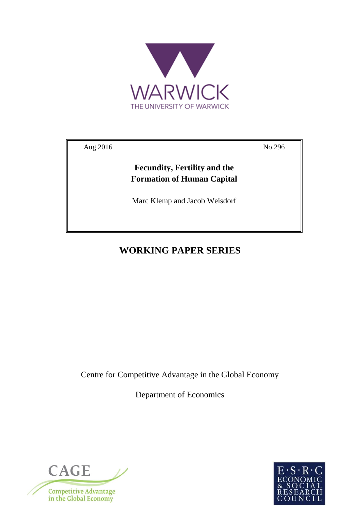

Aug 2016 No.296

**Fecundity, Fertility and the Formation of Human Capital**

Marc Klemp and Jacob Weisdorf

# **WORKING PAPER SERIES**

Centre for Competitive Advantage in the Global Economy

Department of Economics



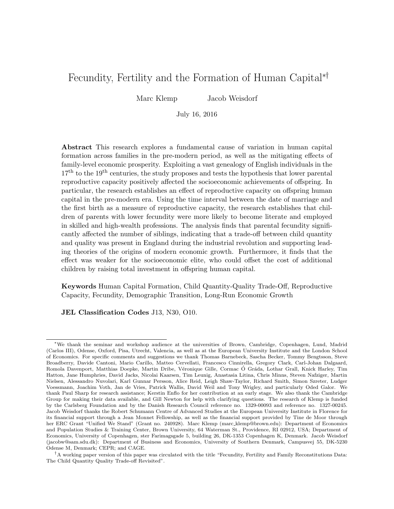## <span id="page-1-1"></span><span id="page-1-0"></span>Fecundity, Fertility and the Formation of Human Capital<sup>\*†</sup>

Marc Klemp Jacob Weisdorf

July 16, 2016

Abstract This research explores a fundamental cause of variation in human capital formation across families in the pre-modern period, as well as the mitigating effects of family-level economic prosperity. Exploiting a vast genealogy of English individuals in the  $17<sup>th</sup>$  to the 19<sup>th</sup> centuries, the study proposes and tests the hypothesis that lower parental reproductive capacity positively affected the socioeconomic achievements of offspring. In particular, the research establishes an effect of reproductive capacity on offspring human capital in the pre-modern era. Using the time interval between the date of marriage and the first birth as a measure of reproductive capacity, the research establishes that children of parents with lower fecundity were more likely to become literate and employed in skilled and high-wealth professions. The analysis finds that parental fecundity significantly affected the number of siblings, indicating that a trade-off between child quantity and quality was present in England during the industrial revolution and supporting leading theories of the origins of modern economic growth. Furthermore, it finds that the effect was weaker for the socioeconomic elite, who could offset the cost of additional children by raising total investment in offspring human capital.

Keywords Human Capital Formation, Child Quantity-Quality Trade-Off, Reproductive Capacity, Fecundity, Demographic Transition, Long-Run Economic Growth

JEL Classification Codes J13, N30, O10.

<sup>⇤</sup>We thank the seminar and workshop audience at the universities of Brown, Cambridge, Copenhagen, Lund, Madrid (Carlos III), Odense, Oxford, Pisa, Utrecht, Valencia, as well as at the European University Institute and the London School of Economics. For specific comments and suggestions we thank Thomas Barnebeck, Sascha Becker, Tommy Bengtsson, Steve Broadberry, Davide Cantoni, Mario Carillo, Matteo Cervellati, Francesco Cinnirella, Gregory Clark, Carl-Johan Dalgaard, Romola Davenport, Matthias Doepke, Martin Dribe, Véronique Gille, Cormac Ó Gráda, Lothar Grall, Knick Harley, Tim Hatton, Jane Humphries, David Jacks, Nicolai Kaarsen, Tim Leunig, Anastasia Litina, Chris Minns, Steven Nafziger, Martin Nielsen, Alessandro Nuvolari, Karl Gunnar Persson, Alice Reid, Leigh Shaw-Taylor, Richard Smith, Simon Szreter, Ludger Voessmann, Joachim Voth, Jan de Vries, Patrick Wallis, David Weil and Tony Wrigley, and particularly Oded Galor. We thank Paul Sharp for research assistance; Kerstin Enflo for her contribution at an early stage. We also thank the Cambridge Group for making their data available, and Gill Newton for help with clarifying questions. The research of Klemp is funded by the Carlsberg Foundation and by the Danish Research Council reference no. 1329-00093 and reference no. 1327-00245. Jacob Weisdorf thanks the Robert Schumann Centre of Advanced Studies at the European University Institute in Florence for its financial support through a Jean Monnet Fellowship, as well as the financial support provided by Tine de Moor through her ERC Grant "Unified We Stand" (Grant no. 240928). Marc Klemp (marc klemp@brown.edu): Department of Economics and Population Studies & Training Center, Brown University, 64 Waterman St., Providence, RI 02912, USA; Department of Economics, University of Copenhagen, ster Farimagsgade 5, building 26, DK-1353 Copenhagen K, Denmark. Jacob Weisdorf (jacobw@sam.sdu.dk): Department of Business and Economics, University of Southern Denmark, Campusvej 55, DK-5230 Odense M, Denmark; CEPR; and CAGE.

<sup>&</sup>lt;sup>†</sup>A working paper version of this paper was circulated with the title "Fecundity, Fertility and Family Reconstitutions Data: The Child Quantity Quality Trade-off Revisited".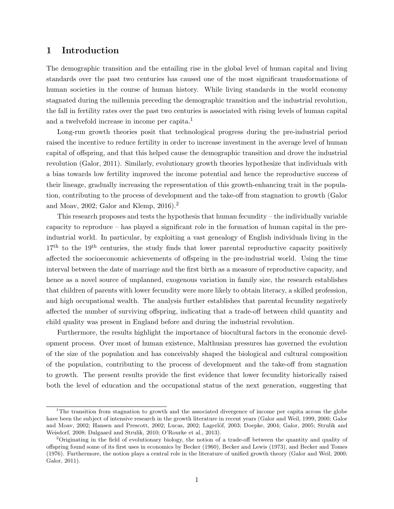## 1 Introduction

The demographic transition and the entailing rise in the global level of human capital and living standards over the past two centuries has caused one of the most significant transformations of human societies in the course of human history. While living standards in the world economy stagnated during the millennia preceding the demographic transition and the industrial revolution, the fall in fertility rates over the past two centuries is associated with rising levels of human capital and a twelvefold increase in income per capita.<sup>[1](#page-1-0)</sup>

Long-run growth theories posit that technological progress during the pre-industrial period raised the incentive to reduce fertility in order to increase investment in the average level of human capital of offspring, and that this helped cause the demographic transition and drove the industrial revolution [\(Galor, 2011\)](#page-40-0). Similarly, evolutionary growth theories hypothesize that individuals with a bias towards low fertility improved the income potential and hence the reproductive success of their lineage, gradually increasing the representation of this growth-enhancing trait in the popula-tion, contributing to the process of development and the take-off from stagnation to growth [\(Galor](#page-40-1) [and Moav, 2002;](#page-40-1) Galor and Klemp,  $2016$  $2016$ .<sup>2</sup>

This research proposes and tests the hypothesis that human fecundity – the individually variable capacity to reproduce – has played a significant role in the formation of human capital in the preindustrial world. In particular, by exploiting a vast genealogy of English individuals living in the  $17<sup>th</sup>$  to the 19<sup>th</sup> centuries, the study finds that lower parental reproductive capacity positively affected the socioeconomic achievements of offspring in the pre-industrial world. Using the time interval between the date of marriage and the first birth as a measure of reproductive capacity, and hence as a novel source of unplanned, exogenous variation in family size, the research establishes that children of parents with lower fecundity were more likely to obtain literacy, a skilled profession, and high occupational wealth. The analysis further establishes that parental fecundity negatively affected the number of surviving offspring, indicating that a trade-off between child quantity and child quality was present in England before and during the industrial revolution.

Furthermore, the results highlight the importance of biocultural factors in the economic development process. Over most of human existence, Malthusian pressures has governed the evolution of the size of the population and has conceivably shaped the biological and cultural composition of the population, contributing to the process of development and the take-off from stagnation to growth. The present results provide the first evidence that lower fecundity historically raised both the level of education and the occupational status of the next generation, suggesting that

<sup>&</sup>lt;sup>1</sup>The transition from stagnation to growth and the associated divergence of income per capita across the globe have been the subject of intensive research in the growth literature in recent years [\(Galor and Weil, 1999,](#page-40-3) [2000;](#page-40-4) [Galor](#page-40-1) [and Moav, 2002;](#page-40-1) [Hansen and Prescott, 2002;](#page-40-5) [Lucas, 2002;](#page-41-0) Lagerlöf, 2003; [Doepke, 2004;](#page-40-6) [Galor, 2005;](#page-40-7) [Strulik and](#page-42-0) [Weisdorf, 2008;](#page-42-0) [Dalgaard and Strulik, 2010;](#page-39-0) [O'Rourke et al., 2013\)](#page-42-1).

<sup>&</sup>lt;sup>2</sup>Originating in the field of evolutionary biology, the notion of a trade-off between the quantity and quality of offspring found some of its first uses in economics by [Becker](#page-38-0) [\(1960\)](#page-38-0), [Becker and Lewis](#page-38-1) [\(1973\)](#page-38-1), and [Becker and Tomes](#page-38-2) [\(1976\)](#page-38-2). Furthermore, the notion plays a central role in the literature of unified growth theory [\(Galor and Weil, 2000;](#page-40-4) [Galor, 2011\)](#page-40-0).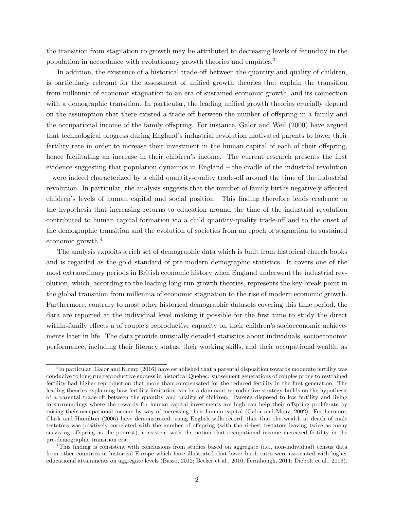<span id="page-3-0"></span>the transition from stagnation to growth may be attributed to decreasing levels of fecundity in the population in accordance with evolutionary growth theories and empirics.[3](#page-1-0)

In addition, the existence of a historical trade-off between the quantity and quality of children, is particularly relevant for the assessment of unified growth theories that explain the transition from millennia of economic stagnation to an era of sustained economic growth, and its connection with a demographic transition. In particular, the leading unified growth theories crucially depend on the assumption that there existed a trade-off between the number of offspring in a family and the occupational income of the family offspring. For instance, [Galor and Weil](#page-40-4) [\(2000\)](#page-40-4) have argued that technological progress during England's industrial revolution motivated parents to lower their fertility rate in order to increase their investment in the human capital of each of their offspring, hence facilitating an increase in their children's income. The current research presents the first evidence suggesting that population dynamics in England – the cradle of the industrial revolution – were indeed characterized by a child quantity-quality trade-o↵ around the time of the industrial revolution. In particular, the analysis suggests that the number of family births negatively affected children's levels of human capital and social position. This finding therefore lends credence to the hypothesis that increasing returns to education around the time of the industrial revolution contributed to human capital formation via a child quantity-quality trade-off and to the onset of the demographic transition and the evolution of societies from an epoch of stagnation to sustained economic growth.[4](#page-1-0)

The analysis exploits a rich set of demographic data which is built from historical church books and is regarded as the gold standard of pre-modern demographic statistics. It covers one of the most extraordinary periods in British economic history when England underwent the industrial revolution, which, according to the leading long-run growth theories, represents the key break-point in the global transition from millennia of economic stagnation to the rise of modern economic growth. Furthermore, contrary to most other historical demographic datasets covering this time period, the data are reported at the individual level making it possible for the first time to study the direct within-family effects a of couple's reproductive capacity on their children's socioeconomic achievements later in life. The data provide unusually detailed statistics about individuals' socioeconomic performance, including their literacy status, their working skills, and their occupational wealth, as

 ${}^{3}$ In particular, [Galor and Klemp](#page-40-2) [\(2016\)](#page-40-2) have established that a parental disposition towards moderate fertility was conducive to long-run reproductive success in historical Quebec: subsequent generations of couples prone to restrained fertility had higher reproduction that more than compensated for the reduced fertility in the first generation. The leading theories explaining how fertility limitation can be a dominant reproductive strategy builds on the hypothesis of a parental trade-off between the quantity and quality of children. Parents disposed to low fertility and living in surroundings where the rewards for human capital investments are high can help their offspring proliferate by raising their occupational income by way of increasing their human capital [\(Galor and Moav, 2002\)](#page-40-1). Furthermore, [Clark and Hamilton](#page-39-1) [\(2006\)](#page-39-1) have demonstrated, using English wills record, that that the wealth at death of male testators was positively correlated with the number of offspring (with the richest testators leaving twice as many surviving offspring as the poorest), consistent with the notion that occupational income increased fertility in the pre-demographic transition era.

<sup>&</sup>lt;sup>4</sup>This finding is consistent with conclusions from studies based on aggregate (i.e., non-individual) census data from other countries in historical Europe which have illustrated that lower birth rates were associated with higher educational attainments on aggregate levels [\(Basso, 2012;](#page-38-3) [Becker et al., 2010;](#page-38-4) [Fernihough, 2011;](#page-40-8) [Diebolt et al., 2016\)](#page-39-2).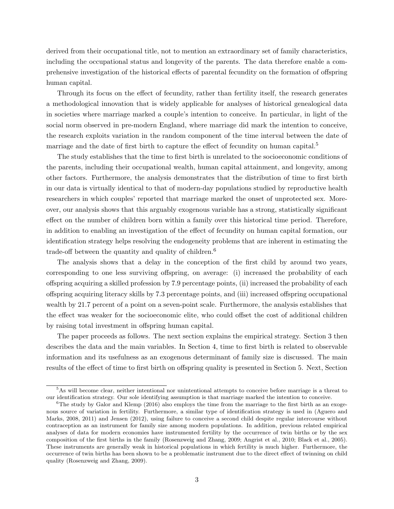<span id="page-4-0"></span>derived from their occupational title, not to mention an extraordinary set of family characteristics, including the occupational status and longevity of the parents. The data therefore enable a comprehensive investigation of the historical effects of parental fecundity on the formation of offspring human capital.

Through its focus on the effect of fecundity, rather than fertility itself, the research generates a methodological innovation that is widely applicable for analyses of historical genealogical data in societies where marriage marked a couple's intention to conceive. In particular, in light of the social norm observed in pre-modern England, where marriage did mark the intention to conceive, the research exploits variation in the random component of the time interval between the date of marriage and the date of first birth to capture the effect of fecundity on human capital.<sup>[5](#page-1-0)</sup>

The study establishes that the time to first birth is unrelated to the socioeconomic conditions of the parents, including their occupational wealth, human capital attainment, and longevity, among other factors. Furthermore, the analysis demonstrates that the distribution of time to first birth in our data is virtually identical to that of modern-day populations studied by reproductive health researchers in which couples' reported that marriage marked the onset of unprotected sex. Moreover, our analysis shows that this arguably exogenous variable has a strong, statistically significant effect on the number of children born within a family over this historical time period. Therefore, in addition to enabling an investigation of the effect of fecundity on human capital formation, our identification strategy helps resolving the endogeneity problems that are inherent in estimating the trade-off between the quantity and quality of children. $6$ 

The analysis shows that a delay in the conception of the first child by around two years, corresponding to one less surviving offspring, on average: (i) increased the probability of each offspring acquiring a skilled profession by 7.9 percentage points, (ii) increased the probability of each o↵spring acquiring literacy skills by 7.3 percentage points, and (iii) increased o↵spring occupational wealth by 21.7 percent of a point on a seven-point scale. Furthermore, the analysis establishes that the effect was weaker for the socioeconomic elite, who could offset the cost of additional children by raising total investment in offspring human capital.

The paper proceeds as follows. The next section explains the empirical strategy. Section 3 then describes the data and the main variables. In Section 4, time to first birth is related to observable information and its usefulness as an exogenous determinant of family size is discussed. The main results of the effect of time to first birth on offspring quality is presented in Section 5. Next, Section

<sup>5</sup>As will become clear, neither intentional nor unintentional attempts to conceive before marriage is a threat to our identification strategy. Our sole identifying assumption is that marriage marked the intention to conceive.

 $6$ The study by [Galor and Klemp](#page-40-2) [\(2016\)](#page-40-2) also employs the time from the marriage to the first birth as an exogenous source of variation in fertility. Furthermore, a similar type of identification strategy is used in [\(Aguero and](#page-38-5) [Marks, 2008,](#page-38-5) [2011\)](#page-38-6) and [Jensen](#page-40-9) [\(2012\)](#page-40-9), using failure to conceive a second child despite regular intercourse without contraception as an instrument for family size among modern populations. In addition, previous related empirical analyses of data for modern economies have instrumented fertility by the occurrence of twin births or by the sex composition of the first births in the family [\(Rosenzweig and Zhang, 2009;](#page-42-2) [Angrist et al., 2010;](#page-38-7) [Black et al., 2005\)](#page-39-3). These instruments are generally weak in historical populations in which fertility is much higher. Furthermore, the occurrence of twin births has been shown to be a problematic instrument due to the direct effect of twinning on child quality [\(Rosenzweig and Zhang, 2009\)](#page-42-2).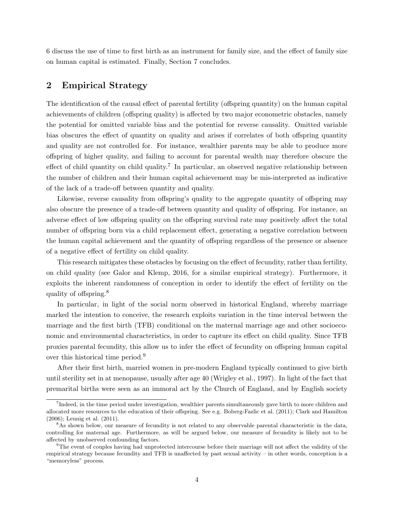<span id="page-5-0"></span>6 discuss the use of time to first birth as an instrument for family size, and the effect of family size on human capital is estimated. Finally, Section 7 concludes.

## 2 Empirical Strategy

The identification of the causal effect of parental fertility (offspring quantity) on the human capital achievements of children (offspring quality) is affected by two major econometric obstacles, namely the potential for omitted variable bias and the potential for reverse causality. Omitted variable bias obscures the effect of quantity on quality and arises if correlates of both offspring quantity and quality are not controlled for. For instance, wealthier parents may be able to produce more o↵spring of higher quality, and failing to account for parental wealth may therefore obscure the effect of child quantity on child quality.<sup>[7](#page-1-0)</sup> In particular, an observed negative relationship between the number of children and their human capital achievement may be mis-interpreted as indicative of the lack of a trade-off between quantity and quality.

Likewise, reverse causality from offspring's quality to the aggregate quantity of offspring may also obscure the presence of a trade-off between quantity and quality of offspring. For instance, an adverse effect of low offspring quality on the offspring survival rate may positively affect the total number of offspring born via a child replacement effect, generating a negative correlation between the human capital achievement and the quantity of offspring regardless of the presence or absence of a negative effect of fertility on child quality.

This research mitigates these obstacles by focusing on the effect of fecundity, rather than fertility, on child quality (see [Galor and Klemp, 2016,](#page-40-2) for a similar empirical strategy). Furthermore, it exploits the inherent randomness of conception in order to identify the effect of fertility on the quality of offspring.<sup>[8](#page-1-0)</sup>

In particular, in light of the social norm observed in historical England, whereby marriage marked the intention to conceive, the research exploits variation in the time interval between the marriage and the first birth (TFB) conditional on the maternal marriage age and other socioeconomic and environmental characteristics, in order to capture its effect on child quality. Since TFB proxies parental fecundity, this allow us to infer the effect of fecundity on offspring human capital over this historical time period.[9](#page-1-0)

After their first birth, married women in pre-modern England typically continued to give birth until sterility set in at menopause, usually after age 40 [\(Wrigley et al., 1997\)](#page-43-0). In light of the fact that premarital births were seen as an immoral act by the Church of England, and by English society

<sup>&</sup>lt;sup>7</sup>Indeed, in the time period under investigation, wealthier parents simultaneously gave birth to more children and allocated more resources to the education of their offspring. See e.g. [Boberg-Fazlic et al.](#page-39-4) [\(2011\)](#page-39-4); [Clark and Hamilton](#page-39-1) [\(2006\)](#page-39-1); [Leunig et al.](#page-41-2) [\(2011\)](#page-41-2).

<sup>&</sup>lt;sup>8</sup>As shown below, our measure of fecundity is not related to any observable parental characteristic in the data, controlling for maternal age. Furthermore, as will be argued below, our measure of fecundity is likely not to be affected by unobserved confounding factors.

 $9$ The event of couples having had unprotected intercourse before their marriage will not affect the validity of the empirical strategy because fecundity and TFB is unaffected by past sexual activity – in other words, conception is a "memoryless" process.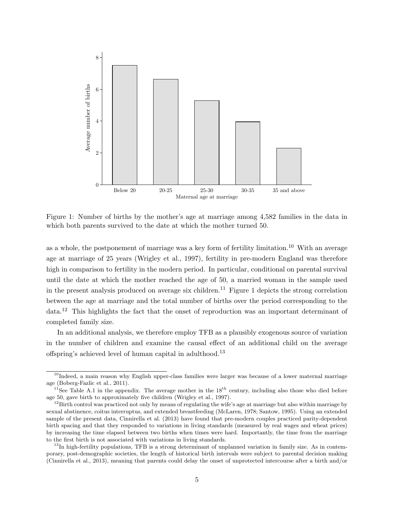<span id="page-6-1"></span><span id="page-6-0"></span>

Figure 1: Number of births by the mother's age at marriage among 4,582 families in the data in which both parents survived to the date at which the mother turned 50.

as a whole, the postponement of marriage was a key form of fertility limitation.<sup>[10](#page-1-0)</sup> With an average age at marriage of 25 years [\(Wrigley et al., 1997\)](#page-43-0), fertility in pre-modern England was therefore high in comparison to fertility in the modern period. In particular, conditional on parental survival until the date at which the mother reached the age of 50, a married woman in the sample used in the present analysis produced on average six children.<sup>[11](#page-1-0)</sup> Figure [1](#page-6-0) depicts the strong correlation between the age at marriage and the total number of births over the period corresponding to the data.[12](#page-1-0) This highlights the fact that the onset of reproduction was an important determinant of completed family size.

In an additional analysis, we therefore employ TFB as a plausibly exogenous source of variation in the number of children and examine the causal effect of an additional child on the average offspring's achieved level of human capital in adulthood.<sup>[13](#page-1-0)</sup>

 $10$ Indeed, a main reason why English upper-class families were larger was because of a lower maternal marriage age [\(Boberg-Fazlic et al., 2011\)](#page-39-4).

 $11$ See Table A[.1](#page-44-0) in the appendix. The average mother in the 18<sup>th</sup> century, including also those who died before age 50, gave birth to approximately five children [\(Wrigley et al., 1997\)](#page-43-0).

 $12$ Birth control was practiced not only by means of regulating the wife's age at marriage but also within marriage by sexual abstinence, coitus interruptus, and extended breastfeeding [\(McLaren, 1978;](#page-42-3) [Santow, 1995\)](#page-42-4). Using an extended sample of the present data, [Cinnirella et al.](#page-39-5) [\(2013\)](#page-39-5) have found that pre-modern couples practiced parity-dependent birth spacing and that they responded to variations in living standards (measured by real wages and wheat prices) by increasing the time elapsed between two births when times were hard. Importantly, the time from the marriage to the first birth is not associated with variations in living standards.

 $^{13}$ In high-fertility populations, TFB is a strong determinant of unplanned variation in family size. As in contemporary, post-demographic societies, the length of historical birth intervals were subject to parental decision making [\(Cinnirella et al., 2013\)](#page-39-5), meaning that parents could delay the onset of unprotected intercourse after a birth and/or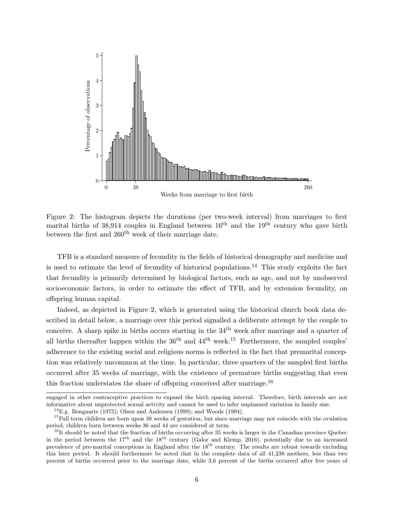<span id="page-7-1"></span><span id="page-7-0"></span>

Figure 2: The histogram depicts the durations (per two-week interval) from marriages to first marital births of 38,914 couples in England between  $16<sup>th</sup>$  and the  $19<sup>th</sup>$  century who gave birth between the first and  $260<sup>th</sup>$  week of their marriage date.

TFB is a standard measure of fecundity in the fields of historical demography and medicine and is used to estimate the level of fecundity of historical populations.<sup>[14](#page-1-0)</sup> This study exploits the fact that fecundity is primarily determined by biological factors, such as age, and not by unobserved socioeconomic factors, in order to estimate the effect of TFB, and by extension fecundity, on offspring human capital.

Indeed, as depicted in Figure [2,](#page-7-0) which is generated using the historical church book data described in detail below, a marriage over this period signalled a deliberate attempt by the couple to conceive. A sharp spike in births occurs starting in the  $34<sup>th</sup>$  week after marriage and a quarter of all births thereafter happen within the  $36<sup>th</sup>$  and  $44<sup>th</sup>$  week.<sup>[15](#page-1-0)</sup> Furthermore, the sampled couples' adherence to the existing social and religious norms is reflected in the fact that premarital conception was relatively uncommon at the time. In particular, three quarters of the sampled first births occurred after 35 weeks of marriage, with the existence of premature births suggesting that even this fraction understates the share of offspring conceived after marriage.<sup>[16](#page-1-0)</sup>

engaged in other contraceptive practices to expand the birth spacing interval. Therefore, birth intervals are not informative about unprotected sexual activity and cannot be used to infer unplanned variation in family size.

 $^{14}$ E.g. [Bongaarts](#page-39-6) [\(1975\)](#page-39-6); [Olsen and Andersen](#page-42-5) [\(1999\)](#page-42-5); and [Woods](#page-43-1) [\(1994\)](#page-43-1).

<sup>&</sup>lt;sup>15</sup>Full term children are born upon 38 weeks of gestation, but since marriage may not coincide with the ovulation period, children born between weeks 36 and 44 are considered at term.

 $16$ It should be noted that the fraction of births occurring after 35 weeks is larger in the Canadian province Quebec in the period between the  $17<sup>th</sup>$  and the  $18<sup>th</sup>$  century [\(Galor and Klemp, 2016\)](#page-40-2), potentially due to an increased prevalence of pre-marital conceptions in England after the 18th century. The results are robust towards excluding this later period. It should furthermore be noted that in the complete data of all 41,238 mothers, less than two percent of births occurred prior to the marriage date, while 3.6 percent of the births occurred after five years of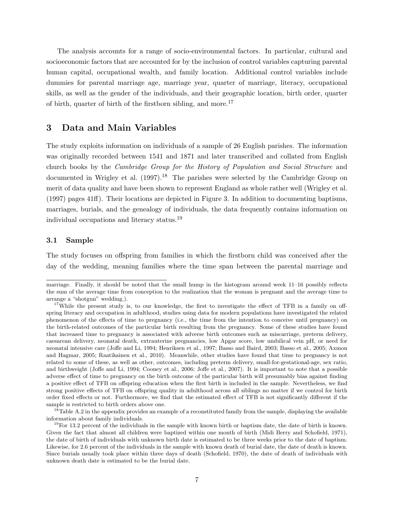<span id="page-8-0"></span>The analysis accounts for a range of socio-environmental factors. In particular, cultural and socioeconomic factors that are accounted for by the inclusion of control variables capturing parental human capital, occupational wealth, and family location. Additional control variables include dummies for parental marriage age, marriage year, quarter of marriage, literacy, occupational skills, as well as the gender of the individuals, and their geographic location, birth order, quarter of birth, quarter of birth of the firstborn sibling, and more.[17](#page-1-0)

## 3 Data and Main Variables

The study exploits information on individuals of a sample of 26 English parishes. The information was originally recorded between 1541 and 1871 and later transcribed and collated from English church books by the *Cambridge Group for the History of Population and Social Structure* and documented in [Wrigley et al.](#page-43-0)  $(1997).<sup>18</sup>$  $(1997).<sup>18</sup>$  $(1997).<sup>18</sup>$  $(1997).<sup>18</sup>$  The parishes were selected by the Cambridge Group on merit of data quality and have been shown to represent England as whole rather well [\(Wrigley et al.](#page-43-0)  $(1997)$  pages 41 $ff$ ). Their locations are depicted in Figure [3.](#page-9-0) In addition to documenting baptisms, marriages, burials, and the genealogy of individuals, the data frequently contains information on individual occupations and literacy status.[19](#page-1-0)

## 3.1 Sample

The study focuses on offspring from families in which the firstborn child was conceived after the day of the wedding, meaning families where the time span between the parental marriage and

<sup>18</sup>Table A[.2](#page-45-0) in the appendix provides an example of a reconstituted family from the sample, displaying the available information about family individuals.

 $19$ For 13.2 percent of the individuals in the sample with known birth or baptism date, the date of birth is known. Given the fact that almost all children were baptized within one month of birth [\(Midi Berry and Schofield, 1971\)](#page-42-7), the date of birth of individuals with unknown birth date is estimated to be three weeks prior to the date of baptism. Likewise, for 2.6 percent of the individuals in the sample with known death of burial date, the date of death is known. Since burials usually took place within three days of death [\(Schofield, 1970\)](#page-42-8), the date of death of individuals with unknown death date is estimated to be the burial date.

marriage. Finally, it should be noted that the small hump in the histogram around week 11–16 possibly reflects the sum of the average time from conception to the realization that the woman is pregnant and the average time to arrange a "shotgun" wedding.).

<sup>&</sup>lt;sup>17</sup>While the present study is, to our knowledge, the first to investigate the effect of TFB in a family on offspring literacy and occupation in adulthood, studies using data for modern populations have investigated the related phenomenon of the effects of time to pregnancy (i.e., the time from the intention to conceive until pregnancy) on the birth-related outcomes of the particular birth resulting from the pregnancy. Some of these studies have found that increased time to pregnancy is associated with adverse birth outcomes such as miscarriage, preterm delivery, caesarean delivery, neonatal death, extrauterine pregnancies, low Apgar score, low umbilical vein pH, or need for neonatal intensive care (Joff[e and Li, 1994;](#page-41-3) [Henriksen et al., 1997;](#page-40-10) [Basso and Baird, 2003;](#page-38-8) [Basso et al., 2005;](#page-38-9) [Axmon](#page-38-10) [and Hagmar, 2005;](#page-38-10) [Raatikainen et al., 2010\)](#page-42-6). Meanwhile, other studies have found that time to pregnancy is not related to some of these, as well as other, outcomes, including preterm delivery, small-for-gestational-age, sex ratio, and birthweight (Joff[e and Li, 1994;](#page-41-3) [Cooney et al., 2006;](#page-39-7) Joff[e et al., 2007\)](#page-41-4). It is important to note that a possible adverse effect of time to pregnancy on the birth outcome of the particular birth will presumably bias against finding a positive effect of TFB on offspring education when the first birth is included in the sample. Nevertheless, we find strong positive effects of TFB on offspring quality in adulthood across all siblings no matter if we control for birth order fixed effects or not. Furthermore, we find that the estimated effect of TFB is not significantly different if the sample is restricted to birth orders above one.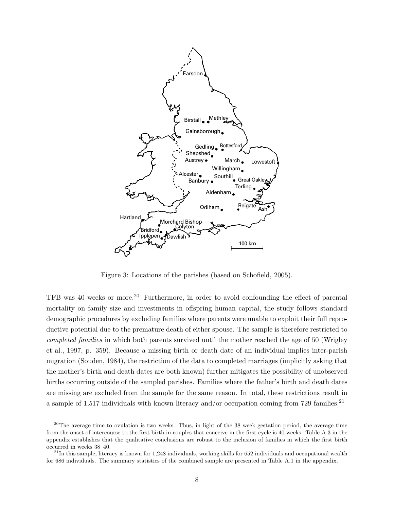<span id="page-9-1"></span><span id="page-9-0"></span>

Figure 3: Locations of the parishes (based on [Schofield, 2005\)](#page-42-9).

TFB was 40 weeks or more.<sup>20</sup> Furthermore, in order to avoid confounding the effect of parental mortality on family size and investments in offspring human capital, the study follows standard ductive potential due to the premature death of either spouse. The sample is therefore restricted to *completed families* in which both parents survived until the mother reached the age of 50 [\(Wrigley](#page-43-0) [et al., 1997,](#page-43-0) p. 359). Because a missing birth or death date of an individual implies inter-parish  $\frac{1004}{\pi}$  the pertuition of the data to completed manusces (implicity migration [\(Souden, 1984\)](#page-42-10), the restriction of the data to completed marriages (implicitly asking that the mother's birth and death dates are both known) further mitigates the possibility of unobserved births occurring outside of the sampled parishes. Families where the father's birth and death dates are missing are excluded from the sample for the same reason. In total, these restrictions result in a sample of 1,517 individuals with known literacy and/or occupation coming from 729 families.<sup>[21](#page-1-0)</sup> demographic procedures by excluding families where parents were unable to exploit their full repro-

<sup>&</sup>lt;sup>20</sup>The average time to ovulation is two weeks. Thus, in light of the 38 week gestation period, the average time from the onset of intercourse to the first birth in couples that conceive in the first cycle is 40 weeks. Table A[.3](#page-46-0) in the appendix establishes that the qualitative conclusions are robust to the inclusion of families in which the first birth occurred in weeks 38–40.

 $^{21}$ In this sample, literacy is known for 1,248 individuals, working skills for 652 individuals and occupational wealth for 686 individuals. The summary statistics of the combined sample are presented in Table A[.1](#page-44-0) in the appendix.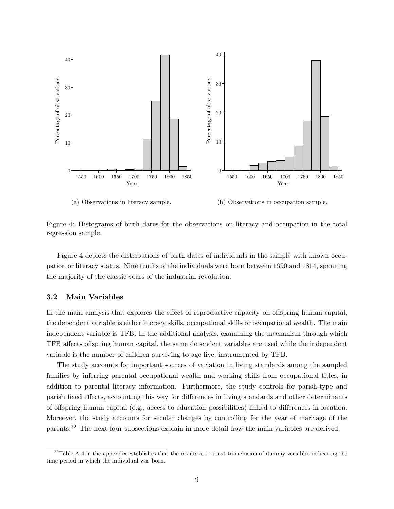<span id="page-10-0"></span>

(a) Observations in literacy sample.

(b) Observations in occupation sample.

Figure 4: Histograms of birth dates for the observations on literacy and occupation in the total regression sample.

Figure [4](#page-10-0) depicts the distributions of birth dates of individuals in the sample with known occupation or literacy status. Nine tenths of the individuals were born between 1690 and 1814, spanning the majority of the classic years of the industrial revolution.

## 3.2 Main Variables

In the main analysis that explores the effect of reproductive capacity on offspring human capital, the dependent variable is either literacy skills, occupational skills or occupational wealth. The main independent variable is TFB. In the additional analysis, examining the mechanism through which TFB affects offspring human capital, the same dependent variables are used while the independent variable is the number of children surviving to age five, instrumented by TFB.

The study accounts for important sources of variation in living standards among the sampled families by inferring parental occupational wealth and working skills from occupational titles, in addition to parental literacy information. Furthermore, the study controls for parish-type and parish fixed effects, accounting this way for differences in living standards and other determinants of offspring human capital (e.g., access to education possibilities) linked to differences in location. Moreover, the study accounts for secular changes by controlling for the year of marriage of the parents.[22](#page-1-0) The next four subsections explain in more detail how the main variables are derived.

 $22$ Table A[.4](#page-47-0) in the appendix establishes that the results are robust to inclusion of dummy variables indicating the time period in which the individual was born.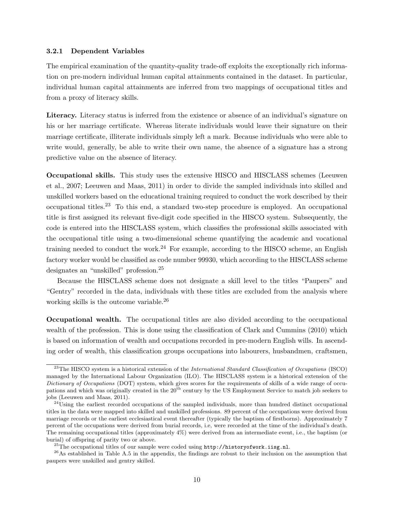#### <span id="page-11-0"></span>3.2.1 Dependent Variables

The empirical examination of the quantity-quality trade-off exploits the exceptionally rich information on pre-modern individual human capital attainments contained in the dataset. In particular, individual human capital attainments are inferred from two mappings of occupational titles and from a proxy of literacy skills.

Literacy. Literacy status is inferred from the existence or absence of an individual's signature on his or her marriage certificate. Whereas literate individuals would leave their signature on their marriage certificate, illiterate individuals simply left a mark. Because individuals who were able to write would, generally, be able to write their own name, the absence of a signature has a strong predictive value on the absence of literacy.

Occupational skills. This study uses the extensive HISCO and HISCLASS schemes [\(Leeuwen](#page-41-5) [et al., 2007;](#page-41-5) [Leeuwen and Maas, 2011\)](#page-41-6) in order to divide the sampled individuals into skilled and unskilled workers based on the educational training required to conduct the work described by their occupational titles.<sup>[23](#page-1-0)</sup> To this end, a standard two-step procedure is employed. An occupational title is first assigned its relevant five-digit code specified in the HISCO system. Subsequently, the code is entered into the HISCLASS system, which classifies the professional skills associated with the occupational title using a two-dimensional scheme quantifying the academic and vocational training needed to conduct the work.<sup>[24](#page-1-0)</sup> For example, according to the HISCO scheme, an English factory worker would be classified as code number 99930, which according to the HISCLASS scheme designates an "unskilled" profession.[25](#page-1-0)

Because the HISCLASS scheme does not designate a skill level to the titles "Paupers" and "Gentry" recorded in the data, individuals with these titles are excluded from the analysis where working skills is the outcome variable.[26](#page-1-0)

Occupational wealth. The occupational titles are also divided according to the occupational wealth of the profession. This is done using the classification of [Clark and Cummins](#page-39-8) [\(2010\)](#page-39-8) which is based on information of wealth and occupations recorded in pre-modern English wills. In ascending order of wealth, this classification groups occupations into labourers, husbandmen, craftsmen,

<sup>23</sup>The HISCO system is a historical extension of the *International Standard Classification of Occupations* (ISCO) managed by the International Labour Organization (ILO). The HISCLASS system is a historical extension of the *Dictionary of Occupations* (DOT) system, which gives scores for the requirements of skills of a wide range of occupations and which was originally created in the 20th century by the US Employment Service to match job seekers to jobs [\(Leeuwen and Maas, 2011\)](#page-41-6).

<sup>&</sup>lt;sup>24</sup>Using the earliest recorded occupations of the sampled individuals, more than hundred distinct occupational titles in the data were mapped into skilled and unskilled professions. 89 percent of the occupations were derived from marriage records or the earliest ecclesiastical event thereafter (typically the baptism of firstborns). Approximately 7 percent of the occupations were derived from burial records, i.e, were recorded at the time of the individual's death. The remaining occupational titles (approximately 4%) were derived from an intermediate event, i.e., the baptism (or burial) of offspring of parity two or above.

<sup>&</sup>lt;sup>25</sup>The occupational titles of our sample were coded using  $http://historyofwork.iisp.nl.$ 

 $^{26}$ As established in Table A[.5](#page-48-0) in the appendix, the findings are robust to their inclusion on the assumption that paupers were unskilled and gentry skilled.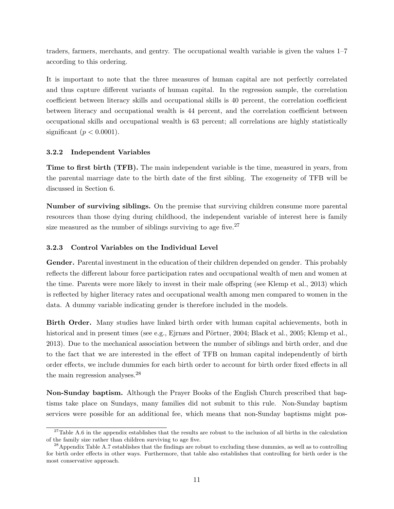<span id="page-12-0"></span>traders, farmers, merchants, and gentry. The occupational wealth variable is given the values 1–7 according to this ordering.

It is important to note that the three measures of human capital are not perfectly correlated and thus capture different variants of human capital. In the regression sample, the correlation coefficient between literacy skills and occupational skills is 40 percent, the correlation coefficient between literacy and occupational wealth is 44 percent, and the correlation coefficient between occupational skills and occupational wealth is 63 percent; all correlations are highly statistically significant  $(p < 0.0001)$ .

### 3.2.2 Independent Variables

Time to first birth (TFB). The main independent variable is the time, measured in years, from the parental marriage date to the birth date of the first sibling. The exogeneity of TFB will be discussed in Section [6.](#page-28-0)

Number of surviving siblings. On the premise that surviving children consume more parental resources than those dying during childhood, the independent variable of interest here is family size measured as the number of siblings surviving to age five. $27$ 

## 3.2.3 Control Variables on the Individual Level

Gender. Parental investment in the education of their children depended on gender. This probably reflects the different labour force participation rates and occupational wealth of men and women at the time. Parents were more likely to invest in their male offspring (see [Klemp et al., 2013\)](#page-41-7) which is reflected by higher literacy rates and occupational wealth among men compared to women in the data. A dummy variable indicating gender is therefore included in the models.

Birth Order. Many studies have linked birth order with human capital achievements, both in historical and in present times (see e.g., Ejrnæs and Pörtner, 2004; [Black et al., 2005;](#page-39-3) [Klemp et al.,](#page-41-7) [2013\)](#page-41-7). Due to the mechanical association between the number of siblings and birth order, and due to the fact that we are interested in the effect of TFB on human capital independently of birth order effects, we include dummies for each birth order to account for birth order fixed effects in all the main regression analyses.[28](#page-1-0)

Non-Sunday baptism. Although the Prayer Books of the English Church prescribed that baptisms take place on Sundays, many families did not submit to this rule. Non-Sunday baptism services were possible for an additional fee, which means that non-Sunday baptisms might pos-

 $27$ Table A[.6](#page-49-0) in the appendix establishes that the results are robust to the inclusion of all births in the calculation of the family size rather than children surviving to age five.

<sup>&</sup>lt;sup>28</sup>Appendix Table A[.7](#page-50-0) establishes that the findings are robust to excluding these dummies, as well as to controlling for birth order effects in other ways. Furthermore, that table also establishes that controlling for birth order is the most conservative approach.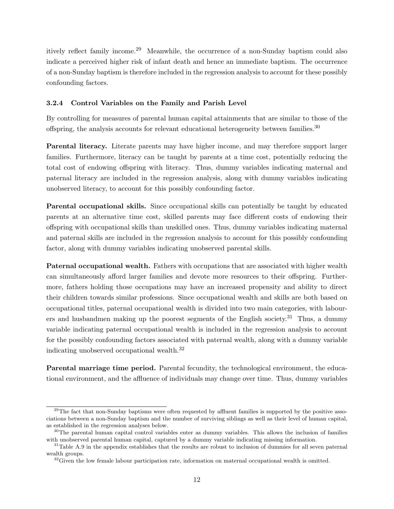itively reflect family income.[29](#page-1-0) Meanwhile, the occurrence of a non-Sunday baptism could also indicate a perceived higher risk of infant death and hence an immediate baptism. The occurrence of a non-Sunday baptism is therefore included in the regression analysis to account for these possibly confounding factors.

## 3.2.4 Control Variables on the Family and Parish Level

By controlling for measures of parental human capital attainments that are similar to those of the offspring, the analysis accounts for relevant educational heterogeneity between families.<sup>[30](#page-1-0)</sup>

Parental literacy. Literate parents may have higher income, and may therefore support larger families. Furthermore, literacy can be taught by parents at a time cost, potentially reducing the total cost of endowing offspring with literacy. Thus, dummy variables indicating maternal and paternal literacy are included in the regression analysis, along with dummy variables indicating unobserved literacy, to account for this possibly confounding factor.

Parental occupational skills. Since occupational skills can potentially be taught by educated parents at an alternative time cost, skilled parents may face different costs of endowing their o↵spring with occupational skills than unskilled ones. Thus, dummy variables indicating maternal and paternal skills are included in the regression analysis to account for this possibly confounding factor, along with dummy variables indicating unobserved parental skills.

Paternal occupational wealth. Fathers with occupations that are associated with higher wealth can simultaneously afford larger families and devote more resources to their offspring. Furthermore, fathers holding those occupations may have an increased propensity and ability to direct their children towards similar professions. Since occupational wealth and skills are both based on occupational titles, paternal occupational wealth is divided into two main categories, with labour-ers and husbandmen making up the poorest segments of the English society.<sup>[31](#page-1-0)</sup> Thus, a dummy variable indicating paternal occupational wealth is included in the regression analysis to account for the possibly confounding factors associated with paternal wealth, along with a dummy variable indicating unobserved occupational wealth.[32](#page-1-0)

Parental marriage time period. Parental fecundity, the technological environment, the educational environment, and the affluence of individuals may change over time. Thus, dummy variables

<sup>&</sup>lt;sup>29</sup>The fact that non-Sunday baptisms were often requested by affluent families is supported by the positive associations between a non-Sunday baptism and the number of surviving siblings as well as their level of human capital, as established in the regression analyses below.

<sup>&</sup>lt;sup>30</sup>The parental human capital control variables enter as dummy variables. This allows the inclusion of families with unobserved parental human capital, captured by a dummy variable indicating missing information.

 $31$ Table A[.9](#page-52-0) in the appendix establishes that the results are robust to inclusion of dummies for all seven paternal wealth groups.

 $32\,\text{Given}$  the low female labour participation rate, information on maternal occupational wealth is omitted.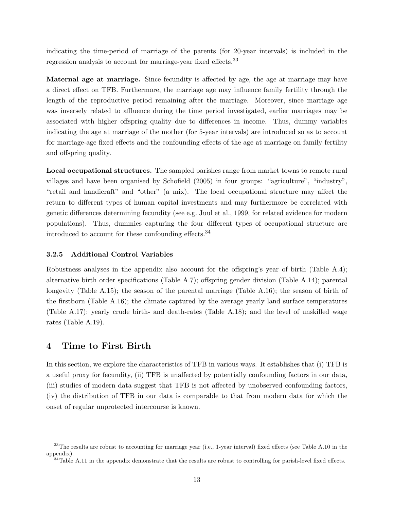<span id="page-14-1"></span>indicating the time-period of marriage of the parents (for 20-year intervals) is included in the regression analysis to account for marriage-year fixed effects.<sup>[33](#page-1-0)</sup>

Maternal age at marriage. Since fecundity is affected by age, the age at marriage may have a direct effect on TFB. Furthermore, the marriage age may influence family fertility through the length of the reproductive period remaining after the marriage. Moreover, since marriage age was inversely related to affluence during the time period investigated, earlier marriages may be associated with higher offspring quality due to differences in income. Thus, dummy variables indicating the age at marriage of the mother (for 5-year intervals) are introduced so as to account for marriage-age fixed effects and the confounding effects of the age at marriage on family fertility and offspring quality.

Local occupational structures. The sampled parishes range from market towns to remote rural villages and have been organised by [Schofield](#page-42-9) [\(2005\)](#page-42-9) in four groups: "agriculture", "industry", "retail and handicraft" and "other" (a mix). The local occupational structure may affect the return to different types of human capital investments and may furthermore be correlated with genetic differences determining fecundity (see e.g. [Juul et al., 1999,](#page-41-8) for related evidence for modern populations). Thus, dummies capturing the four different types of occupational structure are introduced to account for these confounding effects. $34$ 

## 3.2.5 Additional Control Variables

Robustness analyses in the appendix also account for the offspring's year of birth (Table  $A.4$ ); alternative birth order specifications (Table A[.7\)](#page-50-0); offspring gender division (Table A[.14\)](#page-57-0); parental longevity (Table A[.15\)](#page-58-0); the season of the parental marriage (Table A[.16\)](#page-59-0); the season of birth of the firstborn (Table A[.16\)](#page-59-0); the climate captured by the average yearly land surface temperatures (Table A[.17\)](#page-60-0); yearly crude birth- and death-rates (Table A[.18\)](#page-61-0); and the level of unskilled wage rates (Table A[.19\)](#page-62-0).

## <span id="page-14-0"></span>4 Time to First Birth

In this section, we explore the characteristics of TFB in various ways. It establishes that (i) TFB is a useful proxy for fecundity, (ii) TFB is unaffected by potentially confounding factors in our data, (iii) studies of modern data suggest that TFB is not a↵ected by unobserved confounding factors, (iv) the distribution of TFB in our data is comparable to that from modern data for which the onset of regular unprotected intercourse is known.

 $33$ The results are robust to accounting for marriage year (i.e., 1-year interval) fixed effects (see Table A[.10](#page-53-0) in the appendix).

 $34$ Table A[.11](#page-54-0) in the appendix demonstrate that the results are robust to controlling for parish-level fixed effects.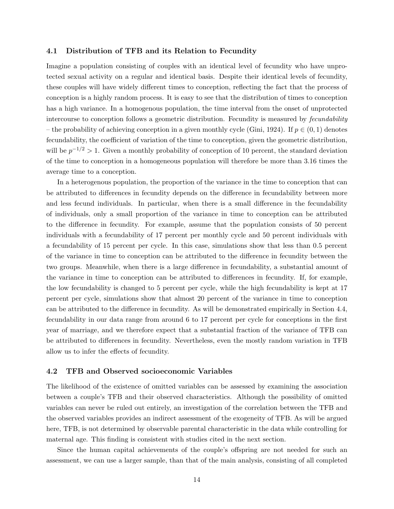## <span id="page-15-0"></span>4.1 Distribution of TFB and its Relation to Fecundity

Imagine a population consisting of couples with an identical level of fecundity who have unprotected sexual activity on a regular and identical basis. Despite their identical levels of fecundity, these couples will have widely different times to conception, reflecting the fact that the process of conception is a highly random process. It is easy to see that the distribution of times to conception has a high variance. In a homogenous population, the time interval from the onset of unprotected intercourse to conception follows a geometric distribution. Fecundity is measured by *fecundability* – the probability of achieving conception in a given monthly cycle [\(Gini, 1924\)](#page-40-12). If  $p \in (0,1)$  denotes fecundability, the coefficient of variation of the time to conception, given the geometric distribution, will be  $p^{-1/2} > 1$ . Given a monthly probability of conception of 10 percent, the standard deviation of the time to conception in a homogeneous population will therefore be more than 3.16 times the average time to a conception.

In a heterogenous population, the proportion of the variance in the time to conception that can be attributed to differences in fecundity depends on the difference in fecundability between more and less fecund individuals. In particular, when there is a small difference in the fecundability of individuals, only a small proportion of the variance in time to conception can be attributed to the difference in fecundity. For example, assume that the population consists of 50 percent individuals with a fecundability of 17 percent per monthly cycle and 50 percent individuals with a fecundability of 15 percent per cycle. In this case, simulations show that less than 0.5 percent of the variance in time to conception can be attributed to the difference in fecundity between the two groups. Meanwhile, when there is a large difference in fecundability, a substantial amount of the variance in time to conception can be attributed to differences in fecundity. If, for example, the low fecundability is changed to 5 percent per cycle, while the high fecundability is kept at 17 percent per cycle, simulations show that almost 20 percent of the variance in time to conception can be attributed to the difference in fecundity. As will be demonstrated empirically in Section [4.4,](#page-18-0) fecundability in our data range from around 6 to 17 percent per cycle for conceptions in the first year of marriage, and we therefore expect that a substantial fraction of the variance of TFB can be attributed to differences in fecundity. Nevertheless, even the mostly random variation in TFB allow us to infer the effects of fecundity.

## 4.2 TFB and Observed socioeconomic Variables

The likelihood of the existence of omitted variables can be assessed by examining the association between a couple's TFB and their observed characteristics. Although the possibility of omitted variables can never be ruled out entirely, an investigation of the correlation between the TFB and the observed variables provides an indirect assessment of the exogeneity of TFB. As will be argued here, TFB, is not determined by observable parental characteristic in the data while controlling for maternal age. This finding is consistent with studies cited in the next section.

Since the human capital achievements of the couple's offspring are not needed for such an assessment, we can use a larger sample, than that of the main analysis, consisting of all completed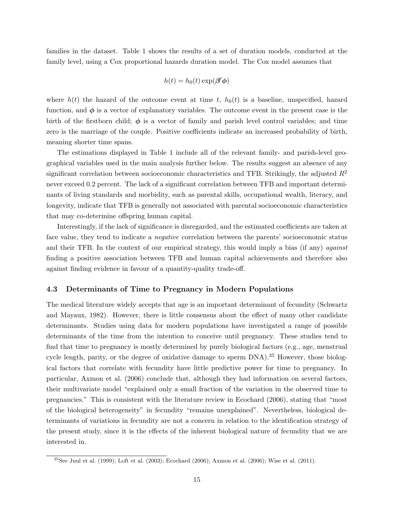<span id="page-16-0"></span>families in the dataset. Table [1](#page-17-0) shows the results of a set of duration models, conducted at the family level, using a Cox proportional hazards duration model. The Cox model assumes that

$$
h(t) = h_0(t) \exp(\beta' \phi)
$$

where  $h(t)$  the hazard of the outcome event at time  $t$ ,  $h_0(t)$  is a baseline, unspecified, hazard function, and  $\phi$  is a vector of explanatory variables. The outcome event in the present case is the birth of the firstborn child;  $\phi$  is a vector of family and parish level control variables; and time zero is the marriage of the couple. Positive coefficients indicate an increased probability of birth, meaning shorter time spans.

The estimations displayed in Table [1](#page-17-0) include all of the relevant family- and parish-level geographical variables used in the main analysis further below. The results suggest an absence of any significant correlation between socioeconomic characteristics and TFB. Strikingly, the adjusted *R*<sup>2</sup> never exceed 0.2 percent. The lack of a significant correlation between TFB and important determinants of living standards and morbidity, such as parental skills, occupational wealth, literacy, and longevity, indicate that TFB is generally not associated with parental socioeconomic characteristics that may co-determine offspring human capital.

Interestingly, if the lack of significance is disregarded, and the estimated coefficients are taken at face value, they tend to indicate a *negative* correlation between the parents' socioeconomic status and their TFB. In the context of our empirical strategy, this would imply a bias (if any) *against* finding a positive association between TFB and human capital achievements and therefore also against finding evidence in favour of a quantity-quality trade-off.

## 4.3 Determinants of Time to Pregnancy in Modern Populations

The medical literature widely accepts that age is an important determinant of fecundity [\(Schwartz](#page-42-11) [and Mayaux, 1982\)](#page-42-11). However, there is little consensus about the effect of many other candidate determinants. Studies using data for modern populations have investigated a range of possible determinants of the time from the intention to conceive until pregnancy. These studies tend to find that time to pregnancy is mostly determined by purely biological factors (e.g., age, menstrual cycle length, parity, or the degree of oxidative damage to sperm DNA).[35](#page-1-0) However, those biological factors that correlate with fecundity have little predictive power for time to pregnancy. In particular, [Axmon et al.](#page-38-11) [\(2006\)](#page-38-11) conclude that, although they had information on several factors, their multivariate model "explained only a small fraction of the variation in the observed time to pregnancies." This is consistent with the literature review in [Ecochard](#page-40-13) [\(2006\)](#page-40-13), stating that "most of the biological heterogeneity" in fecundity "remains unexplained". Nevertheless, biological determinants of variations in fecundity are not a concern in relation to the identification strategy of the present study, since it is the effects of the inherent biological nature of fecundity that we are interested in.

 $35$ See [Juul et al.](#page-41-8) [\(1999\)](#page-41-8); [Loft et al.](#page-41-9) [\(2003\)](#page-41-9); [Ecochard](#page-40-13) [\(2006\)](#page-38-11); [Axmon et al.](#page-38-11) (2006); [Wise et al.](#page-43-2) [\(2011\)](#page-43-2).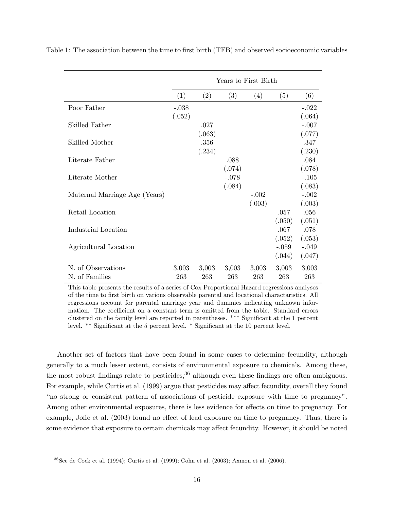|                               |         |        | Years to First Birth |         |         |         |
|-------------------------------|---------|--------|----------------------|---------|---------|---------|
|                               | (1)     | (2)    | (3)                  | (4)     | (5)     | (6)     |
| Poor Father                   | $-.038$ |        |                      |         |         | $-.022$ |
|                               | (.052)  |        |                      |         |         | (.064)  |
| Skilled Father                |         | .027   |                      |         |         | $-.007$ |
|                               |         | (.063) |                      |         |         | (.077)  |
| Skilled Mother                |         | .356   |                      |         |         | .347    |
|                               |         | (.234) |                      |         |         | (.230)  |
| Literate Father               |         |        | .088                 |         |         | .084    |
|                               |         |        | (.074)               |         |         | (.078)  |
| Literate Mother               |         |        | $-.078$              |         |         | $-.105$ |
|                               |         |        | (.084)               |         |         | (.083)  |
| Maternal Marriage Age (Years) |         |        |                      | $-.002$ |         | $-.002$ |
|                               |         |        |                      | (.003)  |         | (.003)  |
| Retail Location               |         |        |                      |         | .057    | .056    |
|                               |         |        |                      |         | (.050)  | (.051)  |
| Industrial Location           |         |        |                      |         | .067    | .078    |
|                               |         |        |                      |         | (.052)  | (.053)  |
| Agricultural Location         |         |        |                      |         | $-.059$ | $-.049$ |
|                               |         |        |                      |         | (.044)  | (.047)  |
| N. of Observations            | 3,003   | 3,003  | 3,003                | 3,003   | 3,003   | 3,003   |
| N. of Families                | 263     | 263    | 263                  | 263     | 263     | 263     |

<span id="page-17-1"></span><span id="page-17-0"></span>Table 1: The association between the time to first birth (TFB) and observed socioeconomic variables

This table presents the results of a series of Cox Proportional Hazard regressions analyses of the time to first birth on various observable parental and locational charactaristics. All regressions account for parental marriage year and dummies indicating unknown information. The coefficient on a constant term is omitted from the table. Standard errors clustered on the family level are reported in parentheses. \*\*\* Significant at the 1 percent level. \*\* Significant at the 5 percent level. \* Significant at the 10 percent level.

Another set of factors that have been found in some cases to determine fecundity, although generally to a much lesser extent, consists of environmental exposure to chemicals. Among these, the most robust findings relate to pesticides,  $36$  although even these findings are often ambiguous. For example, while [Curtis et al.](#page-39-9) [\(1999\)](#page-39-9) argue that pesticides may affect fecundity, overall they found "no strong or consistent pattern of associations of pesticide exposure with time to pregnancy". Among other environmental exposures, there is less evidence for effects on time to pregnancy. For example, Joff[e et al.](#page-41-10) [\(2003\)](#page-41-10) found no effect of lead exposure on time to pregnancy. Thus, there is some evidence that exposure to certain chemicals may affect fecundity. However, it should be noted

 $36$ See [de Cock et al.](#page-39-10) [\(1994\)](#page-39-10); [Curtis et al.](#page-39-9) [\(1999\)](#page-39-9); [Cohn et al.](#page-39-11) [\(2003\)](#page-39-11); [Axmon et al.](#page-38-11) [\(2006\)](#page-38-11).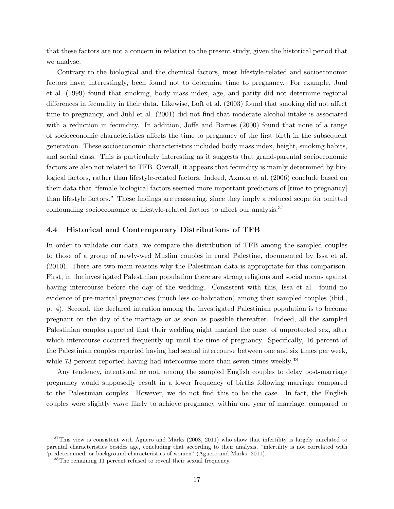<span id="page-18-1"></span>that these factors are not a concern in relation to the present study, given the historical period that we analyse.

Contrary to the biological and the chemical factors, most lifestyle-related and socioeconomic factors have, interestingly, been found not to determine time to pregnancy. For example, [Juul](#page-41-8) [et al.](#page-41-8) [\(1999\)](#page-41-8) found that smoking, body mass index, age, and parity did not determine regional differences in fecundity in their data. Likewise, [Loft et al.](#page-41-9) [\(2003\)](#page-41-9) found that smoking did not affect time to pregnancy, and [Juhl et al.](#page-41-11) [\(2001\)](#page-41-11) did not find that moderate alcohol intake is associated with a reduction in fecundity. In addition, Joff[e and Barnes](#page-41-12)  $(2000)$  found that none of a range of socioeconomic characteristics a↵ects the time to pregnancy of the first birth in the subsequent generation. These socioeconomic characteristics included body mass index, height, smoking habits, and social class. This is particularly interesting as it suggests that grand-parental socioeconomic factors are also not related to TFB. Overall, it appears that fecundity is mainly determined by biological factors, rather than lifestyle-related factors. Indeed, [Axmon et al.](#page-38-11) [\(2006\)](#page-38-11) conclude based on their data that "female biological factors seemed more important predictors of [time to pregnancy] than lifestyle factors." These findings are reassuring, since they imply a reduced scope for omitted confounding socioeconomic or lifestyle-related factors to affect our analysis.<sup>[37](#page-1-0)</sup>

## <span id="page-18-0"></span>4.4 Historical and Contemporary Distributions of TFB

In order to validate our data, we compare the distribution of TFB among the sampled couples to those of a group of newly-wed Muslim couples in rural Palestine, documented by [Issa et al.](#page-40-14) [\(2010\)](#page-40-14). There are two main reasons why the Palestinian data is appropriate for this comparison. First, in the investigated Palestinian population there are strong religious and social norms against having intercourse before the day of the wedding. Consistent with this, Issa et al. found no evidence of pre-marital pregnancies (much less co-habitation) among their sampled couples (ibid., p. 4). Second, the declared intention among the investigated Palestinian population is to become pregnant on the day of the marriage or as soon as possible thereafter. Indeed, all the sampled Palestinian couples reported that their wedding night marked the onset of unprotected sex, after which intercourse occurred frequently up until the time of pregnancy. Specifically, 16 percent of the Palestinian couples reported having had sexual intercourse between one and six times per week, while 73 percent reported having had intercourse more than seven times weekly.<sup>[38](#page-1-0)</sup>

Any tendency, intentional or not, among the sampled English couples to delay post-marriage pregnancy would supposedly result in a lower frequency of births following marriage compared to the Palestinian couples. However, we do not find this to be the case. In fact, the English couples were slightly *more* likely to achieve pregnancy within one year of marriage, compared to

 $37$ This view is consistent with [Aguero and Marks](#page-38-5) [\(2008,](#page-38-5) [2011\)](#page-38-6) who show that infertility is largely unrelated to parental characteristics besides age, concluding that according to their analysis, "infertility is not correlated with 'predetermined' or background characteristics of women" [\(Aguero and Marks, 2011\)](#page-38-6).

<sup>38</sup>The remaining 11 percent refused to reveal their sexual frequency.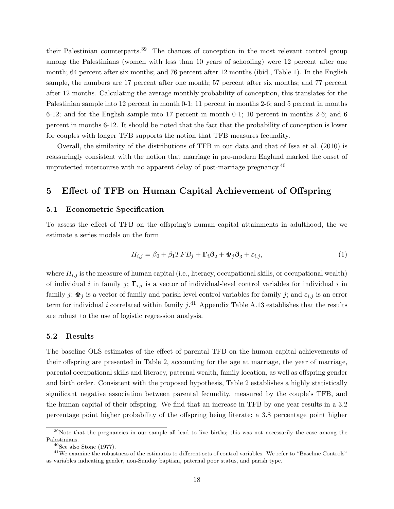<span id="page-19-0"></span>their Palestinian counterparts.[39](#page-1-0) The chances of conception in the most relevant control group among the Palestinians (women with less than 10 years of schooling) were 12 percent after one month; 64 percent after six months; and 76 percent after 12 months (ibid., Table 1). In the English sample, the numbers are 17 percent after one month; 57 percent after six months; and 77 percent after 12 months. Calculating the average monthly probability of conception, this translates for the Palestinian sample into 12 percent in month 0-1; 11 percent in months 2-6; and 5 percent in months 6-12; and for the English sample into 17 percent in month 0-1; 10 percent in months 2-6; and 6 percent in months 6-12. It should be noted that the fact that the probability of conception is lower for couples with longer TFB supports the notion that TFB measures fecundity.

Overall, the similarity of the distributions of TFB in our data and that of [Issa et al.](#page-40-14) [\(2010\)](#page-40-14) is reassuringly consistent with the notion that marriage in pre-modern England marked the onset of unprotected intercourse with no apparent delay of post-marriage pregnancy.<sup>[40](#page-1-0)</sup>

## 5 Effect of TFB on Human Capital Achievement of Offspring

#### 5.1 Econometric Specification

To assess the effect of TFB on the offspring's human capital attainments in adulthood, the we estimate a series models on the form

$$
H_{i,j} = \beta_0 + \beta_1 T F B_j + \Gamma_i \beta_2 + \Phi_j \beta_3 + \varepsilon_{i,j},\tag{1}
$$

where  $H_{i,j}$  is the measure of human capital (i.e., literacy, occupational skills, or occupational wealth) of individual *i* in family *j*;  $\Gamma_{i,j}$  is a vector of individual-level control variables for individual *i* in family *j*;  $\Phi_j$  is a vector of family and parish level control variables for family *j*; and  $\varepsilon_{i,j}$  is an error term for individual *i* correlated within family *j*. [41](#page-1-0) Appendix Table A[.13](#page-56-0) establishes that the results are robust to the use of logistic regression analysis.

#### 5.2 Results

The baseline OLS estimates of the effect of parental TFB on the human capital achievements of their offspring are presented in Table [2,](#page-20-0) accounting for the age at marriage, the year of marriage, parental occupational skills and literacy, paternal wealth, family location, as well as offspring gender and birth order. Consistent with the proposed hypothesis, Table [2](#page-20-0) establishes a highly statistically significant negative association between parental fecundity, measured by the couple's TFB, and the human capital of their offspring. We find that an increase in TFB by one year results in a 3.2 percentage point higher probability of the offspring being literate; a 3.8 percentage point higher

<sup>&</sup>lt;sup>39</sup>Note that the pregnancies in our sample all lead to live births; this was not necessarily the case among the Palestinians.

 $40$ See also [Stone](#page-42-12) [\(1977\)](#page-42-12).

 $41$ We examine the robustness of the estimates to different sets of control variables. We refer to "Baseline Controls" as variables indicating gender, non-Sunday baptism, paternal poor status, and parish type.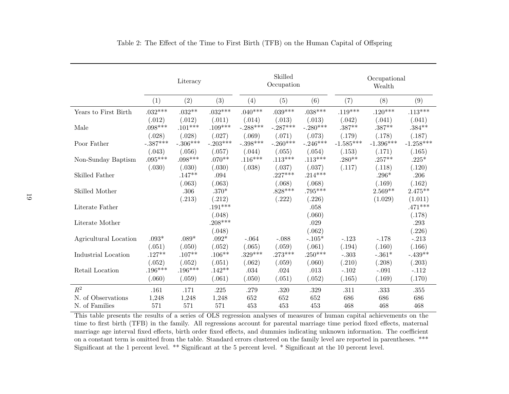<span id="page-20-0"></span>

|                       |                        | Literacy   |            |            | Skilled<br>Occupation |            |             | Occupational<br>Wealth |             |
|-----------------------|------------------------|------------|------------|------------|-----------------------|------------|-------------|------------------------|-------------|
|                       | (1)                    | (2)        | (3)        | (4)        | (5)                   | (6)        | (7)         | (8)                    | (9)         |
| Years to First Birth  | $.032***$              | $.032**$   | $.032***$  | $.040***$  | $.039***$             | $.038***$  | $.119***$   | $.120***$              | $.113***$   |
|                       | (.012)                 | (.012)     | (.011)     | (.014)     | (.013)                | (.013)     | (.042)      | (.041)                 | (.041)      |
| Male                  | $.098***$              | $.101***$  | $.109***$  | $-.288***$ | $-.287***$            | $-.280***$ | $.387**$    | $.387**$               | $.384**$    |
|                       | (.028)                 | (.028)     | (.027)     | (.069)     | (.071)                | (.073)     | (.179)      | (.178)                 | (.187)      |
| Poor Father           | $-.387^{\ast\ast\ast}$ | $-.306***$ | $-.203***$ | $-.398***$ | $-.260***$            | $-.246***$ | $-1.585***$ | $-1.396***$            | $-1.258***$ |
|                       | (.043)                 | (.056)     | (.057)     | (.044)     | (.055)                | (.054)     | (.153)      | (.171)                 | (.165)      |
| Non-Sunday Baptism    | $.095***$              | $.098***$  | $.070**$   | $.116***$  | $.113***$             | $.113***$  | $.280**$    | $.257**$               | $.225*$     |
|                       | (.030)                 | (.030)     | (.030)     | (.038)     | (.037)                | (.037)     | (.117)      | (.118)                 | (.120)      |
| Skilled Father        |                        | $.147**$   | .094       |            | $.227***$             | $.214***$  |             | $.296*$                | .206        |
|                       |                        | (.063)     | (.063)     |            | (.068)                | (.068)     |             | (.169)                 | (.162)      |
| Skilled Mother        |                        | .306       | $.370*$    |            | $.828***$             | $.795***$  |             | $2.569**$              | $2.475**$   |
|                       |                        | (.213)     | (.212)     |            | (.222)                | (.226)     |             | (1.029)                | (1.011)     |
| Literate Father       |                        |            | $.191***$  |            |                       | .058       |             |                        | $.471***$   |
|                       |                        |            | (.048)     |            |                       | (.060)     |             |                        | (.178)      |
| Literate Mother       |                        |            | $.208***$  |            |                       | .029       |             |                        | .293        |
|                       |                        |            | (.048)     |            |                       | (.062)     |             |                        | (.226)      |
| Agricultural Location | $.093*$                | $.089*$    | $.092*$    | $-.064$    | $-.088$               | $-.105*$   | $-.123$     | $-.178$                | $-.213$     |
|                       | (.051)                 | (.050)     | (.052)     | (.065)     | (.059)                | (.061)     | (.194)      | (.160)                 | (.166)      |
| Industrial Location   | $.127**$               | $.107**$   | $.106**$   | $.329***$  | $.273***$             | $.250***$  | $-.303$     | $-.361*$               | $-.439**$   |
|                       | (.052)                 | (.052)     | (.051)     | (.062)     | (.059)                | (.060)     | (.210)      | (.208)                 | (.203)      |
| Retail Location       | $.196***$              | $.196***$  | $.142**$   | .034       | .024                  | .013       | $-.102$     | $-.091$                | $-.112$     |
|                       | (.060)                 | (.059)     | (.061)     | (.050)     | (.051)                | (.052)     | (.165)      | (.169)                 | (.170)      |
| $\mathbb{R}^2$        | .161                   | .171       | .225       | .279       | .320                  | .329       | .311        | .333                   | .355        |
| N. of Observations    | 1,248                  | 1,248      | 1,248      | 652        | 652                   | 652        | 686         | 686                    | 686         |
| N. of Families        | 571                    | 571        | 571        | 453        | 453                   | 453        | 468         | 468                    | 468         |

<span id="page-20-1"></span>Table 2: The Effect of the Time to First Birth (TFB) on the Human Capital of Offspring

This table presents the results of <sup>a</sup> series of OLS regression analyses of measures of human capital achievements on the time to first birth (TFB) in the family. All regressions account for parental marriage time period fixed effects, maternal marriage age interval fixed effects, birth order fixed effects, and dummies indicating unknown information. The coefficient on <sup>a</sup> constant term is omitted from the table. Standard errors clustered on the family level are reported in parentheses. \*\*\* Significant at the 1 percent level. \*\* Significant at the 5 percent level. \* Significant at the 10 percent level.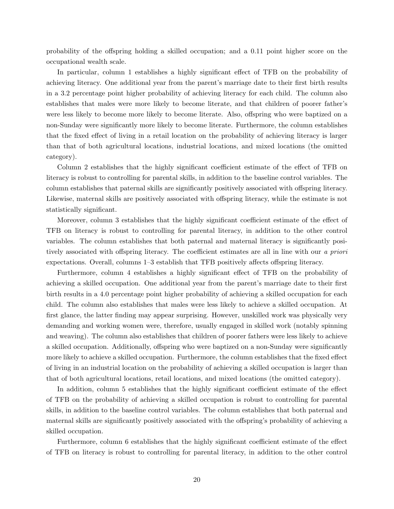probability of the offspring holding a skilled occupation; and a 0.11 point higher score on the occupational wealth scale.

In particular, column 1 establishes a highly significant effect of TFB on the probability of achieving literacy. One additional year from the parent's marriage date to their first birth results in a 3.2 percentage point higher probability of achieving literacy for each child. The column also establishes that males were more likely to become literate, and that children of poorer father's were less likely to become more likely to become literate. Also, offspring who were baptized on a non-Sunday were significantly more likely to become literate. Furthermore, the column establishes that the fixed effect of living in a retail location on the probability of achieving literacy is larger than that of both agricultural locations, industrial locations, and mixed locations (the omitted category).

Column 2 establishes that the highly significant coefficient estimate of the effect of TFB on literacy is robust to controlling for parental skills, in addition to the baseline control variables. The column establishes that paternal skills are significantly positively associated with offspring literacy. Likewise, maternal skills are positively associated with offspring literacy, while the estimate is not statistically significant.

Moreover, column 3 establishes that the highly significant coefficient estimate of the effect of TFB on literacy is robust to controlling for parental literacy, in addition to the other control variables. The column establishes that both paternal and maternal literacy is significantly positively associated with offspring literacy. The coefficient estimates are all in line with our *a priori* expectations. Overall, columns 1–3 establish that TFB positively affects offspring literacy.

Furthermore, column 4 establishes a highly significant effect of TFB on the probability of achieving a skilled occupation. One additional year from the parent's marriage date to their first birth results in a 4.0 percentage point higher probability of achieving a skilled occupation for each child. The column also establishes that males were less likely to achieve a skilled occupation. At first glance, the latter finding may appear surprising. However, unskilled work was physically very demanding and working women were, therefore, usually engaged in skilled work (notably spinning and weaving). The column also establishes that children of poorer fathers were less likely to achieve a skilled occupation. Additionally, offspring who were baptized on a non-Sunday were significantly more likely to achieve a skilled occupation. Furthermore, the column establishes that the fixed effect of living in an industrial location on the probability of achieving a skilled occupation is larger than that of both agricultural locations, retail locations, and mixed locations (the omitted category).

In addition, column 5 establishes that the highly significant coefficient estimate of the effect of TFB on the probability of achieving a skilled occupation is robust to controlling for parental skills, in addition to the baseline control variables. The column establishes that both paternal and maternal skills are significantly positively associated with the offspring's probability of achieving a skilled occupation.

Furthermore, column 6 establishes that the highly significant coefficient estimate of the effect of TFB on literacy is robust to controlling for parental literacy, in addition to the other control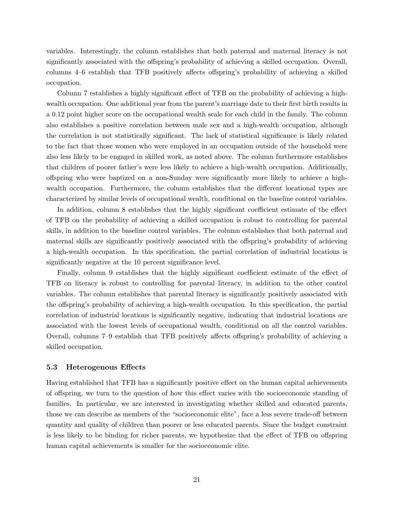variables. Interestingly, the column establishes that both paternal and maternal literacy is not significantly associated with the offspring's probability of achieving a skilled occupation. Overall, columns 4–6 establish that TFB positively affects offspring's probability of achieving a skilled occupation.

Column 7 establishes a highly significant effect of TFB on the probability of achieving a highwealth occupation. One additional year from the parent's marriage date to their first birth results in a 0.12 point higher score on the occupational wealth scale for each child in the family. The column also establishes a positive correlation between male sex and a high-wealth occupation, although the correlation is not statistically significant. The lack of statistical significance is likely related to the fact that those women who were employed in an occupation outside of the household were also less likely to be engaged in skilled work, as noted above. The column furthermore establishes that children of poorer father's were less likely to achieve a high-wealth occupation. Additionally, offspring who were baptized on a non-Sunday were significantly more likely to achieve a highwealth occupation. Furthermore, the column establishes that the different locational types are characterized by similar levels of occupational wealth, conditional on the baseline control variables.

In addition, column 8 establishes that the highly significant coefficient estimate of the effect of TFB on the probability of achieving a skilled occupation is robust to controlling for parental skills, in addition to the baseline control variables. The column establishes that both paternal and maternal skills are significantly positively associated with the offspring's probability of achieving a high-wealth occupation. In this specification, the partial correlation of industrial locations is significantly negative at the 10 percent significance level.

Finally, column 9 establishes that the highly significant coefficient estimate of the effect of TFB on literacy is robust to controlling for parental literacy, in addition to the other control variables. The column establishes that parental literacy is significantly positively associated with the offspring's probability of achieving a high-wealth occupation. In this specification, the partial correlation of industrial locations is significantly negative, indicating that industrial locations are associated with the lowest levels of occupational wealth, conditional on all the control variables. Overall, columns 7–9 establish that TFB positively affects offspring's probability of achieving a skilled occupation.

### 5.3 Heterogenous Effects

Having established that TFB has a significantly positive effect on the human capital achievements of offspring, we turn to the question of how this effect varies with the socioeconomic standing of families. In particular, we are interested in investigating whether skilled and educated parents, those we can describe as members of the "socioeconomic elite", face a less severe trade-off between quantity and quality of children than poorer or less educated parents. Since the budget constraint is less likely to be binding for richer parents, we hypothesize that the effect of TFB on offspring human capital achievements is smaller for the socioeconomic elite.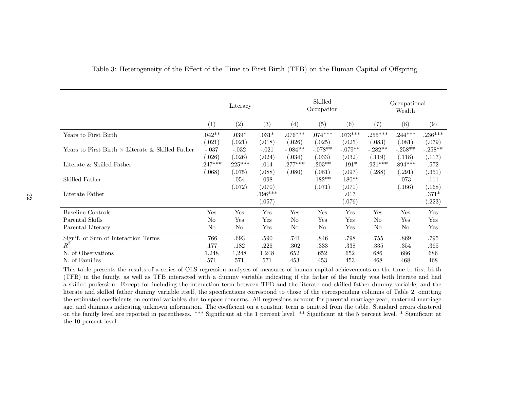|                                                         |                     | Literacy            |                     |                     | Skilled<br>Occupation |                     |                     | Occupational<br>Wealth |                     |
|---------------------------------------------------------|---------------------|---------------------|---------------------|---------------------|-----------------------|---------------------|---------------------|------------------------|---------------------|
|                                                         | (1)                 | (2)                 | (3)                 | $\left( 4\right)$   | (5)                   | (6)                 | (7)                 | (8)                    | (9)                 |
| Years to First Birth                                    | $.042**$<br>(.021)  | $.039*$<br>(.021)   | $.031*$<br>(.018)   | $.076***$<br>(.026) | $.074***$<br>(.025)   | $.073***$<br>(.025) | $.255***$<br>(.083) | $.244***$<br>(.081)    | $.236***$<br>(.079) |
| Years to First Birth $\times$ Literate & Skilled Father | $-.037$<br>(.026)   | $-.032$<br>(.026)   | $-.021$<br>(.024)   | $-.084**$<br>(.034) | $-.078**$<br>(.033)   | $-.079**$<br>(.032) | $-.282**$<br>(.119) | $-.258**$<br>(.118)    | $-.258**$<br>(.117) |
| Literate & Skilled Father                               | $.247***$<br>(.068) | $.225***$<br>(.075) | .014<br>(.088)      | $.277***$<br>(.080) | $.203**$<br>(.081)    | $.191*$<br>(.097)   | $.931***$<br>(.288) | $.894***$<br>(.291)    | .572<br>(.351)      |
| Skilled Father                                          |                     | .054<br>(.072)      | .098<br>(.070)      |                     | $.182**$<br>(.071)    | $.180**$<br>(.071)  |                     | .073<br>(.166)         | .111<br>(.168)      |
| Literate Father                                         |                     |                     | $.196***$<br>(.057) |                     |                       | .017<br>(.076)      |                     |                        | $.371*$<br>(.223)   |
| Baseline Controls                                       | Yes                 | Yes                 | Yes                 | Yes                 | Yes                   | Yes                 | Yes                 | Yes                    | Yes                 |
| Parental Skills                                         | No                  | Yes                 | Yes                 | No                  | Yes                   | Yes                 | No.                 | Yes                    | Yes                 |
| Parental Literacy                                       | No                  | No                  | Yes                 | No                  | No                    | Yes                 | No                  | No                     | Yes                 |
| Signif. of Sum of Interaction Terms                     | .766                | .693                | .590                | .741                | .846                  | .798                | .755                | .869                   | .795                |
| $R^2$                                                   | .177                | .182                | .226                | .302                | .333                  | .338                | .335                | .354                   | .365                |
| N. of Observations                                      | 1,248               | 1,248               | 1,248               | 652                 | 652                   | 652                 | 686                 | 686                    | 686                 |
| N. of Families                                          | 571                 | 571                 | 571                 | 453                 | 453                   | 453                 | 468                 | 468                    | 468                 |

## <span id="page-23-0"></span>Table 3: Heterogeneity of the Effect of the Time to First Birth (TFB) on the Human Capital of Offspring

This table presents the results of <sup>a</sup> series of OLS regression analyses of measures of human capital achievements on the time to first birth (TFB) in the family, as well as TFB interacted with <sup>a</sup> dummy variable indicating if the father of the family was both literate and had <sup>a</sup> skilled profession. Except for including the interaction term between TFB and the literate and skilled father dummy variable, and the literate and skilled father dummy variable itself, the specifications correspond to those of the corresponding columns of Table [2,](#page-20-1) omitting the estimated coefficients on control variables due to space concerns. All regressions account for parental marriage year, maternal marriage age, and dummies indicating unknown information. The coefficient on a constant term is omitted from the table. Standard errors clustered on the family level are reported in parentheses. \*\*\* Significant at the <sup>1</sup> percent level. \*\* Significant at the 5 percent level. \* Significant at the 10 percent level.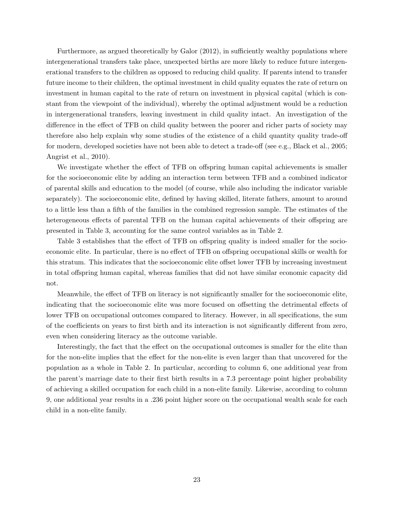<span id="page-24-0"></span>Furthermore, as argued theoretically by Galor (2012), in sufficiently wealthy populations where intergenerational transfers take place, unexpected births are more likely to reduce future intergenerational transfers to the children as opposed to reducing child quality. If parents intend to transfer future income to their children, the optimal investment in child quality equates the rate of return on investment in human capital to the rate of return on investment in physical capital (which is constant from the viewpoint of the individual), whereby the optimal adjustment would be a reduction in intergenerational transfers, leaving investment in child quality intact. An investigation of the difference in the effect of TFB on child quality between the poorer and richer parts of society may therefore also help explain why some studies of the existence of a child quantity quality trade-off for modern, developed societies have not been able to detect a trade-off (see e.g., [Black et al., 2005;](#page-39-3) [Angrist et al., 2010\)](#page-38-7).

We investigate whether the effect of TFB on offspring human capital achievements is smaller for the socioeconomic elite by adding an interaction term between TFB and a combined indicator of parental skills and education to the model (of course, while also including the indicator variable separately). The socioeconomic elite, defined by having skilled, literate fathers, amount to around to a little less than a fifth of the families in the combined regression sample. The estimates of the heterogeneous effects of parental TFB on the human capital achievements of their offspring are presented in Table [3,](#page-23-0) accounting for the same control variables as in Table [2.](#page-20-0)

Table [3](#page-23-0) establishes that the effect of TFB on offspring quality is indeed smaller for the socioeconomic elite. In particular, there is no effect of TFB on offspring occupational skills or wealth for this stratum. This indicates that the socioeconomic elite offset lower TFB by increasing investment in total offspring human capital, whereas families that did not have similar economic capacity did not.

Meanwhile, the effect of TFB on literacy is not significantly smaller for the socioeconomic elite, indicating that the socioeconomic elite was more focused on offsetting the detrimental effects of lower TFB on occupational outcomes compared to literacy. However, in all specifications, the sum of the coefficients on years to first birth and its interaction is not significantly different from zero, even when considering literacy as the outcome variable.

Interestingly, the fact that the effect on the occupational outcomes is smaller for the elite than for the non-elite implies that the effect for the non-elite is even larger than that uncovered for the population as a whole in Table [2.](#page-20-0) In particular, according to column 6, one additional year from the parent's marriage date to their first birth results in a 7.3 percentage point higher probability of achieving a skilled occupation for each child in a non-elite family. Likewise, according to column 9, one additional year results in a .236 point higher score on the occupational wealth scale for each child in a non-elite family.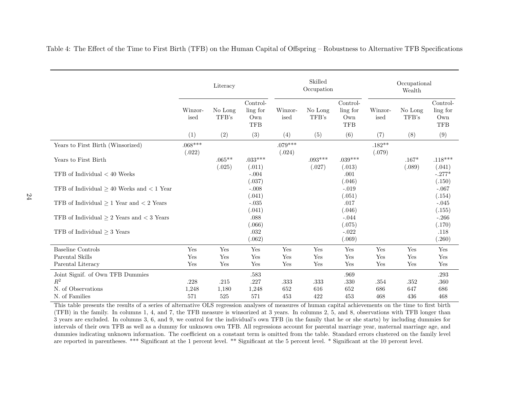|                                                    |                     | Literacy           |                                           |                     | Skilled<br>Occupation |                                           |                    | Occupational<br>Wealth |                                           |
|----------------------------------------------------|---------------------|--------------------|-------------------------------------------|---------------------|-----------------------|-------------------------------------------|--------------------|------------------------|-------------------------------------------|
|                                                    | Winzor-<br>ised     | No Long<br>TFB's   | Control-<br>ling for<br>Own<br><b>TFB</b> | Winzor-<br>ised     | No Long<br>TFB's      | Control-<br>ling for<br>Own<br><b>TFB</b> | Winzor-<br>ised    | No Long<br>TFB's       | Control-<br>ling for<br>Own<br><b>TFB</b> |
|                                                    | (1)                 | (2)                | (3)                                       | (4)                 | (5)                   | (6)                                       | (7)                | (8)                    | (9)                                       |
| Years to First Birth (Winsorized)                  | $.068***$<br>(.022) |                    |                                           | $.079***$<br>(.024) |                       |                                           | $.182**$<br>(.079) |                        |                                           |
| Years to First Birth                               |                     | $.065**$<br>(.025) | $.033***$<br>(.011)                       |                     | $.093***$<br>(.027)   | $.039***$<br>(.013)                       |                    | $.167*$<br>(.089)      | $.118***$<br>(.041)                       |
| TFB of Individual $< 40$ Weeks                     |                     |                    | $-.004$<br>(.037)                         |                     |                       | .001<br>(.046)                            |                    |                        | $-.277*$<br>(.150)                        |
| TFB of Individual $\geq 40$ Weeks and $\lt 1$ Year |                     |                    | $-.008$<br>(.041)                         |                     |                       | $-.019$<br>(.051)                         |                    |                        | $-.067$<br>(.154)                         |
| TFB of Individual $\geq 1$ Year and $\lt 2$ Years  |                     |                    | $-.035$<br>(.041)                         |                     |                       | .017<br>(.046)                            |                    |                        | $-.045$<br>(.155)                         |
| TFB of Individual $\geq 2$ Years and $\lt 3$ Years |                     |                    | .088<br>(.066)                            |                     |                       | $-.044$<br>(.075)                         |                    |                        | $-.266$<br>(.170)                         |
| TFB of Individual $\geq$ 3 Years                   |                     |                    | .032<br>(.062)                            |                     |                       | $-.022$<br>(.069)                         |                    |                        | .118<br>(.260)                            |
| <b>Baseline Controls</b>                           | Yes                 | Yes                | Yes                                       | Yes                 | Yes                   | Yes                                       | Yes                | Yes                    | Yes                                       |
| Parental Skills                                    | Yes                 | Yes                | Yes                                       | Yes                 | Yes                   | Yes                                       | Yes                | Yes                    | Yes                                       |
| Parental Literacy                                  | Yes                 | Yes                | Yes                                       | Yes                 | Yes                   | Yes                                       | Yes                | Yes                    | Yes                                       |
| Joint Signif. of Own TFB Dummies                   |                     |                    | .583                                      |                     |                       | .969                                      |                    |                        | .293                                      |
| $R^2$                                              | .228                | .215               | .227                                      | .333                | .333                  | $.330\,$                                  | .354               | .352                   | .360                                      |
| N. of Observations                                 | 1,248               | 1,180              | 1,248                                     | 652                 | 616                   | 652                                       | 686                | 647                    | 686                                       |
| N. of Families                                     | 571                 | 525                | 571                                       | 453                 | 422                   | 453                                       | 468                | 436                    | 468                                       |

<span id="page-25-0"></span>Table 4: The Effect of the Time to First Birth (TFB) on the Human Capital of Offspring – Robustness to Alternative TFB Specifications

This table presents the results of <sup>a</sup> series of alternative OLS regression analyses of measures of human capital achievements on the time to first birth (TFB) in the family. In columns 1, 4, and 7, the TFB measure is winsorized at <sup>3</sup> years. In columns 2, 5, and 8, observations with TFB longer than <sup>3</sup> years are excluded. In columns 3, 6, and 9, we control for the individual's own TFB (in the family that he or she starts) by including dummies for intervals of their own TFB as well as <sup>a</sup> dummy for unknown own TFB. All regressions account for parental marriage year, maternal marriage age, and dummies indicating unknown information. The coefficient on a constant term is omitted from the table. Standard errors clustered on the family level are reported in parentheses. \*\*\* Significant at the <sup>1</sup> percent level. \*\* Significant at the 5 percent level. \* Significant at the 10 percent level.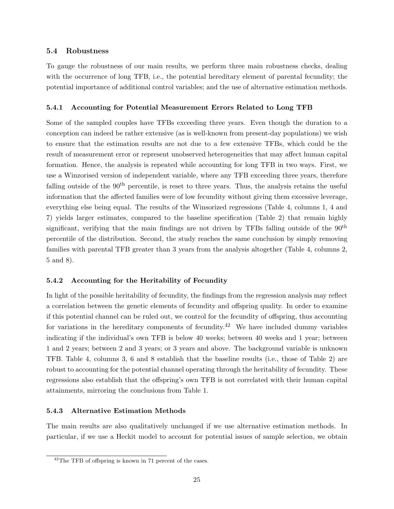## 5.4 Robustness

To gauge the robustness of our main results, we perform three main robustness checks, dealing with the occurrence of long TFB, i.e., the potential hereditary element of parental fecundity; the potential importance of additional control variables; and the use of alternative estimation methods.

## <span id="page-26-0"></span>5.4.1 Accounting for Potential Measurement Errors Related to Long TFB

Some of the sampled couples have TFBs exceeding three years. Even though the duration to a conception can indeed be rather extensive (as is well-known from present-day populations) we wish to ensure that the estimation results are not due to a few extensive TFBs, which could be the result of measurement error or represent unobserved heterogeneities that may affect human capital formation. Hence, the analysis is repeated while accounting for long TFB in two ways. First, we use a Winzorised version of independent variable, where any TFB exceeding three years, therefore falling outside of the 90<sup>th</sup> percentile, is reset to three years. Thus, the analysis retains the useful information that the affected families were of low fecundity without giving them excessive leverage, everything else being equal. The results of the Winsorized regressions (Table [4,](#page-25-0) columns 1, 4 and 7) yields larger estimates, compared to the baseline specification (Table [2\)](#page-20-0) that remain highly significant, verifying that the main findings are not driven by TFBs falling outside of the  $90<sup>th</sup>$ percentile of the distribution. Second, the study reaches the same conclusion by simply removing families with parental TFB greater than 3 years from the analysis altogether (Table [4,](#page-25-0) columns 2, 5 and 8).

## <span id="page-26-1"></span>5.4.2 Accounting for the Heritability of Fecundity

In light of the possible heritability of fecundity, the findings from the regression analysis may reflect a correlation between the genetic elements of fecundity and offspring quality. In order to examine if this potential channel can be ruled out, we control for the fecundity of offspring, thus accounting for variations in the hereditary components of fecundity.<sup>[42](#page-1-0)</sup> We have included dummy variables indicating if the individual's own TFB is below 40 weeks; between 40 weeks and 1 year; between 1 and 2 years; between 2 and 3 years; or 3 years and above. The background variable is unknown TFB. Table [4,](#page-25-0) columns 3, 6 and 8 establish that the baseline results (i.e., those of Table [2\)](#page-20-0) are robust to accounting for the potential channel operating through the heritability of fecundity. These regressions also establish that the offspring's own TFB is not correlated with their human capital attainments, mirroring the conclusions from Table [1.](#page-17-0)

## 5.4.3 Alternative Estimation Methods

The main results are also qualitatively unchanged if we use alternative estimation methods. In particular, if we use a Heckit model to account for potential issues of sample selection, we obtain

 $^{42}$ The TFB of offspring is known in 71 percent of the cases.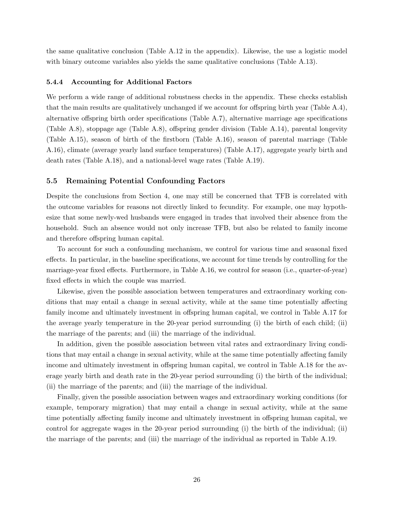the same qualitative conclusion (Table A[.12](#page-55-0) in the appendix). Likewise, the use a logistic model with binary outcome variables also yields the same qualitative conclusions (Table A[.13\)](#page-56-0).

#### 5.4.4 Accounting for Additional Factors

We perform a wide range of additional robustness checks in the appendix. These checks establish that the main results are qualitatively unchanged if we account for offspring birth year (Table  $A.4$ ), alternative offspring birth order specifications (Table  $A.7$ ), alternative marriage age specifications (Table A[.8\)](#page-51-0), stoppage age (Table A.8), offspring gender division (Table A[.14\)](#page-57-0), parental longevity (Table A[.15\)](#page-58-0), season of birth of the firstborn (Table A[.16\)](#page-59-0), season of parental marriage (Table A[.16\)](#page-59-0), climate (average yearly land surface temperatures) (Table A[.17\)](#page-60-0), aggregate yearly birth and death rates (Table A[.18\)](#page-61-0), and a national-level wage rates (Table A[.19\)](#page-62-0).

#### 5.5 Remaining Potential Confounding Factors

Despite the conclusions from Section [4,](#page-14-0) one may still be concerned that TFB is correlated with the outcome variables for reasons not directly linked to fecundity. For example, one may hypothesize that some newly-wed husbands were engaged in trades that involved their absence from the household. Such an absence would not only increase TFB, but also be related to family income and therefore offspring human capital.

To account for such a confounding mechanism, we control for various time and seasonal fixed effects. In particular, in the baseline specifications, we account for time trends by controlling for the marriage-year fixed effects. Furthermore, in Table  $A.16$ , we control for season (i.e., quarter-of-year) fixed effects in which the couple was married.

Likewise, given the possible association between temperatures and extraordinary working conditions that may entail a change in sexual activity, while at the same time potentially affecting family income and ultimately investment in offspring human capital, we control in Table A[.17](#page-60-0) for the average yearly temperature in the 20-year period surrounding (i) the birth of each child; (ii) the marriage of the parents; and (iii) the marriage of the individual.

In addition, given the possible association between vital rates and extraordinary living conditions that may entail a change in sexual activity, while at the same time potentially affecting family income and ultimately investment in offspring human capital, we control in Table A[.18](#page-61-0) for the average yearly birth and death rate in the 20-year period surrounding (i) the birth of the individual; (ii) the marriage of the parents; and (iii) the marriage of the individual.

Finally, given the possible association between wages and extraordinary working conditions (for example, temporary migration) that may entail a change in sexual activity, while at the same time potentially affecting family income and ultimately investment in offspring human capital, we control for aggregate wages in the 20-year period surrounding (i) the birth of the individual; (ii) the marriage of the parents; and (iii) the marriage of the individual as reported in Table A[.19.](#page-62-0)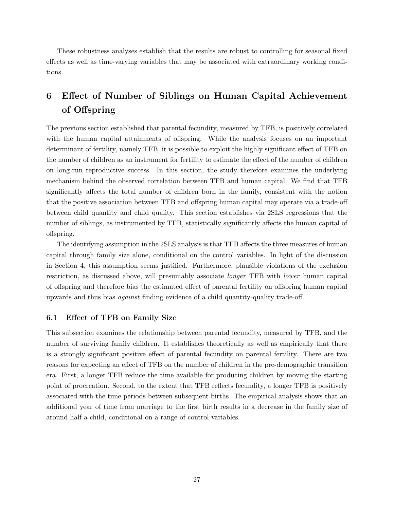These robustness analyses establish that the results are robust to controlling for seasonal fixed effects as well as time-varying variables that may be associated with extraordinary working conditions.

## <span id="page-28-0"></span>6 Effect of Number of Siblings on Human Capital Achievement of Offspring

The previous section established that parental fecundity, measured by TFB, is positively correlated with the human capital attainments of offspring. While the analysis focuses on an important determinant of fertility, namely TFB, it is possible to exploit the highly significant effect of TFB on the number of children as an instrument for fertility to estimate the effect of the number of children on long-run reproductive success. In this section, the study therefore examines the underlying mechanism behind the observed correlation between TFB and human capital. We find that TFB significantly affects the total number of children born in the family, consistent with the notion that the positive association between TFB and offspring human capital may operate via a trade-off between child quantity and child quality. This section establishes via 2SLS regressions that the number of siblings, as instrumented by TFB, statistically significantly affects the human capital of offspring.

The identifying assumption in the 2SLS analysis is that TFB affects the three measures of human capital through family size alone, conditional on the control variables. In light of the discussion in Section [4,](#page-14-0) this assumption seems justified. Furthermore, plausible violations of the exclusion restriction, as discussed above, will presumably associate *longer* TFB with *lower* human capital of offspring and therefore bias the estimated effect of parental fertility on offspring human capital upwards and thus bias *against* finding evidence of a child quantity-quality trade-off.

## 6.1 Effect of TFB on Family Size

This subsection examines the relationship between parental fecundity, measured by TFB, and the number of surviving family children. It establishes theoretically as well as empirically that there is a strongly significant positive effect of parental fecundity on parental fertility. There are two reasons for expecting an effect of TFB on the number of children in the pre-demographic transition era. First, a longer TFB reduce the time available for producing children by moving the starting point of procreation. Second, to the extent that TFB reflects fecundity, a longer TFB is positively associated with the time periods between subsequent births. The empirical analysis shows that an additional year of time from marriage to the first birth results in a decrease in the family size of around half a child, conditional on a range of control variables.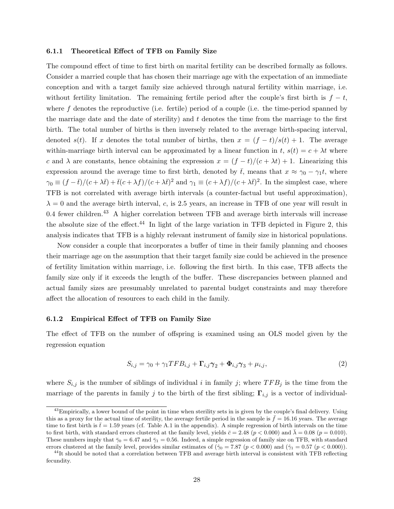#### 6.1.1 Theoretical Effect of TFB on Family Size

The compound effect of time to first birth on marital fertility can be described formally as follows. Consider a married couple that has chosen their marriage age with the expectation of an immediate conception and with a target family size achieved through natural fertility within marriage, i.e. without fertility limitation. The remaining fertile period after the couple's first birth is  $f - t$ , where f denotes the reproductive (i.e. fertile) period of a couple (i.e. the time-period spanned by the marriage date and the date of sterility) and *t* denotes the time from the marriage to the first birth. The total number of births is then inversely related to the average birth-spacing interval, denoted *s*(*t*). If *x* denotes the total number of births, then  $x = (f - t)/s(t) + 1$ . The average within-marriage birth interval can be approximated by a linear function in  $t$ ,  $s(t) = c + \lambda t$  where *c* and  $\lambda$  are constants, hence obtaining the expression  $x = (f - t)/(c + \lambda t) + 1$ . Linearizing this expression around the average time to first birth, denoted by  $\bar{t}$ , means that  $x \approx \gamma_0 - \gamma_1 t$ , where  $\gamma_0 \equiv (f - \bar{t})/(c + \lambda \bar{t}) + \bar{t}(c + \lambda f)/(c + \lambda \bar{t})^2$  and  $\gamma_1 \equiv (c + \lambda f)/(c + \lambda \bar{t})^2$ . In the simplest case, where TFB is not correlated with average birth intervals (a counter-factual but useful approximation),  $\lambda = 0$  and the average birth interval, *c*, is 2.5 years, an increase in TFB of one year will result in 0.4 fewer children.<sup>[43](#page-1-0)</sup> A higher correlation between TFB and average birth intervals will increase the absolute size of the effect. $^{44}$  $^{44}$  $^{44}$  In light of the large variation in TFB depicted in Figure [2,](#page-7-0) this analysis indicates that TFB is a highly relevant instrument of family size in historical populations.

Now consider a couple that incorporates a buffer of time in their family planning and chooses their marriage age on the assumption that their target family size could be achieved in the presence of fertility limitation within marriage, i.e. following the first birth. In this case, TFB a↵ects the family size only if it exceeds the length of the buffer. These discrepancies between planned and actual family sizes are presumably unrelated to parental budget constraints and may therefore affect the allocation of resources to each child in the family.

#### 6.1.2 Empirical Effect of TFB on Family Size

The effect of TFB on the number of offspring is examined using an OLS model given by the regression equation

<span id="page-29-0"></span>
$$
S_{i,j} = \gamma_0 + \gamma_1 T F B_{i,j} + \Gamma_{i,j} \gamma_2 + \Phi_{i,j} \gamma_3 + \mu_{i,j}, \qquad (2)
$$

where  $S_{i,j}$  is the number of siblings of individual *i* in family *j*; where  $TFB_j$  is the time from the marriage of the parents in family *j* to the birth of the first sibling;  $\Gamma_{i,j}$  is a vector of individual-

 $^{43}$ Empirically, a lower bound of the point in time when sterility sets in is given by the couple's final delivery. Using this as a proxy for the actual time of sterility, the average fertile period in the sample is  $f = 16.16$  years. The average time to first birth is  $\bar{t} = 1.59$  years (cf. Table A[.1](#page-44-0) in the appendix). A simple regression of birth intervals on the time to first birth, with standard errors clustered at the family level, yields  $\bar{c} = 2.48$  ( $p < 0.000$ ) and  $\bar{\lambda} = 0.08$  ( $p = 0.010$ ). These numbers imply that  $\bar{\gamma}_0 = 6.47$  and  $\bar{\gamma}_1 = 0.56$ . Indeed, a simple regression of family size on TFB, with standard errors clustered at the family level, provides similar estimates of  $(\hat{\gamma}_0 = 7.87 \ (p < 0.000)$  and  $(\hat{\gamma}_1 = 0.57 \ (p < 0.000))$ .

<sup>&</sup>lt;sup>44</sup>It should be noted that a correlation between TFB and average birth interval is consistent with TFB reflecting fecundity.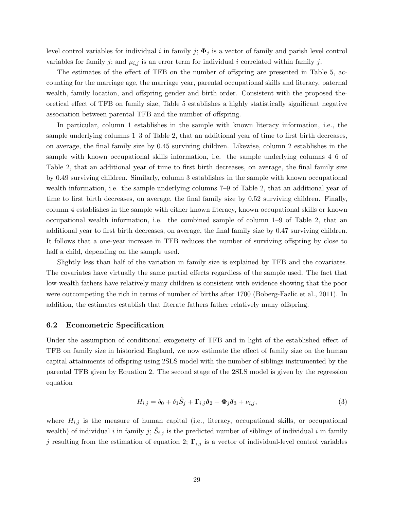<span id="page-30-0"></span>level control variables for individual *i* in family *j*;  $\Phi_j$  is a vector of family and parish level control variables for family *j*; and  $\mu_{i,j}$  is an error term for individual *i* correlated within family *j*.

The estimates of the effect of TFB on the number of offspring are presented in Table [5,](#page-31-0) accounting for the marriage age, the marriage year, parental occupational skills and literacy, paternal wealth, family location, and offspring gender and birth order. Consistent with the proposed the-oretical effect of TFB on family size, Table [5](#page-31-0) establishes a highly statistically significant negative association between parental TFB and the number of offspring.

In particular, column 1 establishes in the sample with known literacy information, i.e., the sample underlying columns 1–3 of Table [2,](#page-20-0) that an additional year of time to first birth decreases, on average, the final family size by 0.45 surviving children. Likewise, column 2 establishes in the sample with known occupational skills information, i.e. the sample underlying columns 4–6 of Table [2,](#page-20-0) that an additional year of time to first birth decreases, on average, the final family size by 0.49 surviving children. Similarly, column 3 establishes in the sample with known occupational wealth information, i.e. the sample underlying columns 7–9 of Table [2,](#page-20-0) that an additional year of time to first birth decreases, on average, the final family size by 0.52 surviving children. Finally, column 4 establishes in the sample with either known literacy, known occupational skills or known occupational wealth information, i.e. the combined sample of column 1–9 of Table [2,](#page-20-0) that an additional year to first birth decreases, on average, the final family size by 0.47 surviving children. It follows that a one-year increase in TFB reduces the number of surviving offspring by close to half a child, depending on the sample used.

Slightly less than half of the variation in family size is explained by TFB and the covariates. The covariates have virtually the same partial effects regardless of the sample used. The fact that low-wealth fathers have relatively many children is consistent with evidence showing that the poor were outcompeting the rich in terms of number of births after 1700 [\(Boberg-Fazlic et al., 2011\)](#page-39-4). In addition, the estimates establish that literate fathers father relatively many offspring.

#### 6.2 Econometric Specification

Under the assumption of conditional exogeneity of TFB and in light of the established effect of TFB on family size in historical England, we now estimate the effect of family size on the human capital attainments of offspring using 2SLS model with the number of siblings instrumented by the parental TFB given by Equation [2.](#page-29-0) The second stage of the 2SLS model is given by the regression equation

$$
H_{i,j} = \delta_0 + \delta_1 \hat{S}_j + \Gamma_{i,j} \delta_2 + \Phi_j \delta_3 + \nu_{i,j},
$$
\n(3)

where  $H_{i,j}$  is the measure of human capital (i.e., literacy, occupational skills, or occupational wealth) of individual *i* in family *j*;  $S_{i,j}$  is the predicted number of siblings of individual *i* in family *j* resulting from the estimation of equation [2;](#page-29-0)  $\Gamma_{i,j}$  is a vector of individual-level control variables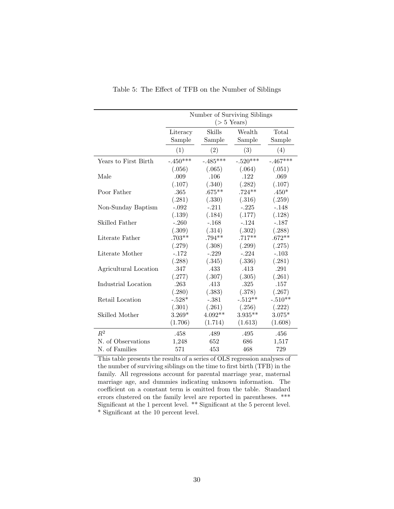<span id="page-31-0"></span>

|                       |                    |                  | Number of Surviving Siblings<br>$($ > 5 Years) |                 |
|-----------------------|--------------------|------------------|------------------------------------------------|-----------------|
|                       | Literacy<br>Sample | Skills<br>Sample | Wealth<br>Sample                               | Total<br>Sample |
|                       | (1)                | (2)              | (3)                                            | (4)             |
| Years to First Birth  | $-.450***$         | $-.485***$       | $-.520***$                                     | $-.467***$      |
|                       | (.056)             | (.065)           | (.064)                                         | (.051)          |
| Male                  | .009               | .106             | .122                                           | .069            |
|                       | (.107)             | (.340)           | (.282)                                         | (.107)          |
| Poor Father           | .365               | $.675**$         | $.724**$                                       | $.450*$         |
|                       | (.281)             | (.330)           | (.316)                                         | (.259)          |
| Non-Sunday Baptism    | $-.092$            | $-.211$          | $-.225$                                        | $-.148$         |
|                       | (.139)             | (.184)           | (.177)                                         | (.128)          |
| Skilled Father        | $-.260$            | $-.168$          | $-.124$                                        | $-.187$         |
|                       | (.309)             | (.314)           | (.302)                                         | (.288)          |
| Literate Father       | $.703**$           | $.794**$         | $.717**$                                       | $.672**$        |
|                       | (.279)             | (.308)           | (.299)                                         | (.275)          |
| Literate Mother       | $-.172$            | $-.229$          | $-.224$                                        | $-.103$         |
|                       | (.288)             | (.345)           | (.336)                                         | (.281)          |
| Agricultural Location | .347               | .433             | .413                                           | .291            |
|                       | (.277)             | (.307)           | (.305)                                         | (.261)          |
| Industrial Location   | .263               | .413             | .325                                           | .157            |
|                       | (.280)             | (.383)           | (.378)                                         | (.267)          |
| Retail Location       | $-.528*$           | $-.381$          | $-.512**$                                      | $-.510**$       |
|                       | (.301)             | (.261)           | (.256)                                         | (.222)          |
| Skilled Mother        | $3.269*$           | $4.092**$        | $3.935**$                                      | $3.075*$        |
|                       | (1.706)            | (1.714)          | (1.613)                                        | (1.608)         |
| $R^2$                 | .458               | .489             | .495                                           | .456            |
| N. of Observations    | 1,248              | 652              | 686                                            | 1,517           |
| N. of Families        | 571                | 453              | 468                                            | 729             |

Table 5: The Effect of TFB on the Number of Siblings

This table presents the results of a series of OLS regression analyses of the number of surviving siblings on the time to first birth (TFB) in the family. All regressions account for parental marriage year, maternal marriage age, and dummies indicating unknown information. The coefficient on a constant term is omitted from the table. Standard errors clustered on the family level are reported in parentheses. \*\*\* Significant at the 1 percent level. \*\* Significant at the 5 percent level. \* Significant at the 10 percent level.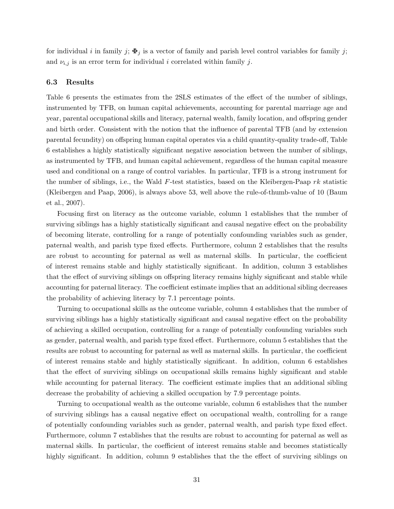<span id="page-32-0"></span>for individual *i* in family *j*;  $\Phi_j$  is a vector of family and parish level control variables for family *j*; and  $\nu_{i,j}$  is an error term for individual *i* correlated within family *j*.

## 6.3 Results

Table [6](#page-33-0) presents the estimates from the 2SLS estimates of the effect of the number of siblings, instrumented by TFB, on human capital achievements, accounting for parental marriage age and year, parental occupational skills and literacy, paternal wealth, family location, and offspring gender and birth order. Consistent with the notion that the influence of parental TFB (and by extension parental fecundity) on offspring human capital operates via a child quantity-quality trade-off, Table [6](#page-33-0) establishes a highly statistically significant negative association between the number of siblings, as instrumented by TFB, and human capital achievement, regardless of the human capital measure used and conditional on a range of control variables. In particular, TFB is a strong instrument for the number of siblings, i.e., the Wald *F*-test statistics, based on the Kleibergen-Paap *rk* statistic [\(Kleibergen and Paap, 2006\)](#page-41-13), is always above 53, well above the rule-of-thumb-value of 10 [\(Baum](#page-38-12) [et al., 2007\)](#page-38-12).

Focusing first on literacy as the outcome variable, column 1 establishes that the number of surviving siblings has a highly statistically significant and causal negative effect on the probability of becoming literate, controlling for a range of potentially confounding variables such as gender, paternal wealth, and parish type fixed effects. Furthermore, column 2 establishes that the results are robust to accounting for paternal as well as maternal skills. In particular, the coefficient of interest remains stable and highly statistically significant. In addition, column 3 establishes that the effect of surviving siblings on offspring literacy remains highly significant and stable while accounting for paternal literacy. The coefficient estimate implies that an additional sibling decreases the probability of achieving literacy by 7.1 percentage points.

Turning to occupational skills as the outcome variable, column 4 establishes that the number of surviving siblings has a highly statistically significant and causal negative effect on the probability of achieving a skilled occupation, controlling for a range of potentially confounding variables such as gender, paternal wealth, and parish type fixed effect. Furthermore, column 5 establishes that the results are robust to accounting for paternal as well as maternal skills. In particular, the coefficient of interest remains stable and highly statistically significant. In addition, column 6 establishes that the effect of surviving siblings on occupational skills remains highly significant and stable while accounting for paternal literacy. The coefficient estimate implies that an additional sibling decrease the probability of achieving a skilled occupation by 7.9 percentage points.

Turning to occupational wealth as the outcome variable, column 6 establishes that the number of surviving siblings has a causal negative effect on occupational wealth, controlling for a range of potentially confounding variables such as gender, paternal wealth, and parish type fixed effect. Furthermore, column 7 establishes that the results are robust to accounting for paternal as well as maternal skills. In particular, the coefficient of interest remains stable and becomes statistically highly significant. In addition, column 9 establishes that the the effect of surviving siblings on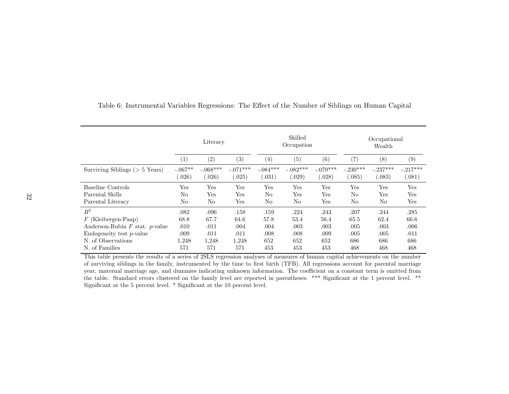|                                     | Literacy          |            |                   | Skilled<br>Occupation |            | Occupational<br>Wealth |                   |            |            |
|-------------------------------------|-------------------|------------|-------------------|-----------------------|------------|------------------------|-------------------|------------|------------|
|                                     | $\left( 1\right)$ | (2)        | $\left( 3\right)$ | (4)                   | (5)        | (6)                    | $\left( 7\right)$ | (8)        | (9)        |
| Surviving Siblings ( $> 5$ Years)   | $-.067**$         | $-.068***$ | $-.071***$        | $-.084***$            | $-.082***$ | $-.079***$             | $-.230***$        | $-.237***$ | $-.217***$ |
|                                     | (.026)            | (.026)     | (.025)            | (.031)                | (.029)     | (.028)                 | 0.085)            | (.083)     | (.081)     |
| Baseline Controls                   | $_{\rm Yes}$      | Yes        | Yes               | Yes                   | Yes        | Yes                    | Yes               | Yes        | Yes        |
| Parental Skills                     | No                | Yes        | Yes               | No                    | Yes        | Yes                    | N <sub>o</sub>    | Yes        | Yes        |
| Parental Literacy                   | No                | No         | Yes               | No                    | No         | Yes                    | N <sub>o</sub>    | No         | Yes        |
| $R^2$                               | .082              | .096       | .158              | .159                  | .224       | .243                   | .207              | .244       | .285       |
| $F$ (Kleibergen-Paap)               | 68.8              | 67.7       | 64.6              | 57.8                  | 53.4       | 56.4                   | 65.5              | 62.4       | 66.6       |
| Anderson-Rubin $F$ stat. $p$ -value | .010              | .011       | .004              | .004                  | .003       | .003                   | .005              | .003       | .006       |
| $\mu$ Endogeneity test p-value      | .009              | .011       | .011              | .008                  | .008       | .009                   | .005              | .005       | .011       |
| N. of Observations                  | 1,248             | 1.248      | 1.248             | 652                   | 652        | 652                    | 686               | 686        | 686        |
| N. of Families                      | 571               | 571        | 571               | 453                   | 453        | 453                    | 468               | 468        | 468        |

## <span id="page-33-0"></span>Table 6: Instrumental Variables Regressions: The Effect of the Number of Siblings on Human Capital

This table presents the results of <sup>a</sup> series of 2SLS regression analyses of measures of human capital achievements on the number of surviving siblings in the family, instrumented by the time to first birth (TFB). All regressions account for parental marriage year, maternal marriage age, and dummies indicating unknown information. The coefficient on a constant term is omitted from the table. Standard errors clustered on the family level are reported in parentheses. \*\*\* Significant at the <sup>1</sup> percent level. \*\* Significant at the 5 percent level. \* Significant at the 10 percent level.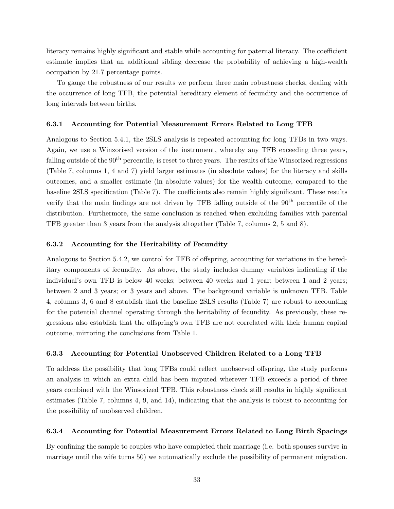literacy remains highly significant and stable while accounting for paternal literacy. The coefficient estimate implies that an additional sibling decrease the probability of achieving a high-wealth occupation by 21.7 percentage points.

To gauge the robustness of our results we perform three main robustness checks, dealing with the occurrence of long TFB, the potential hereditary element of fecundity and the occurrence of long intervals between births.

#### 6.3.1 Accounting for Potential Measurement Errors Related to Long TFB

Analogous to Section [5.4.1,](#page-26-0) the 2SLS analysis is repeated accounting for long TFBs in two ways. Again, we use a Winzorised version of the instrument, whereby any TFB exceeding three years, falling outside of the  $90<sup>th</sup>$  percentile, is reset to three years. The results of the Winsorized regressions (Table [7,](#page-35-0) columns 1, 4 and 7) yield larger estimates (in absolute values) for the literacy and skills outcomes, and a smaller estimate (in absolute values) for the wealth outcome, compared to the baseline 2SLS specification (Table [7\)](#page-35-0). The coefficients also remain highly significant. These results verify that the main findings are not driven by TFB falling outside of the 90<sup>th</sup> percentile of the distribution. Furthermore, the same conclusion is reached when excluding families with parental TFB greater than 3 years from the analysis altogether (Table [7,](#page-35-0) columns 2, 5 and 8).

#### 6.3.2 Accounting for the Heritability of Fecundity

Analogous to Section [5.4.2,](#page-26-1) we control for TFB of offspring, accounting for variations in the hereditary components of fecundity. As above, the study includes dummy variables indicating if the individual's own TFB is below 40 weeks; between 40 weeks and 1 year; between 1 and 2 years; between 2 and 3 years; or 3 years and above. The background variable is unknown TFB. Table [4,](#page-25-0) columns 3, 6 and 8 establish that the baseline 2SLS results (Table [7\)](#page-35-0) are robust to accounting for the potential channel operating through the heritability of fecundity. As previously, these regressions also establish that the offspring's own TFB are not correlated with their human capital outcome, mirroring the conclusions from Table [1.](#page-17-0)

## 6.3.3 Accounting for Potential Unobserved Children Related to a Long TFB

To address the possibility that long TFBs could reflect unobserved offspring, the study performs an analysis in which an extra child has been imputed wherever TFB exceeds a period of three years combined with the Winsorized TFB. This robustness check still results in highly significant estimates (Table [7,](#page-35-0) columns 4, 9, and 14), indicating that the analysis is robust to accounting for the possibility of unobserved children.

### 6.3.4 Accounting for Potential Measurement Errors Related to Long Birth Spacings

By confining the sample to couples who have completed their marriage (i.e. both spouses survive in marriage until the wife turns 50) we automatically exclude the possibility of permanent migration.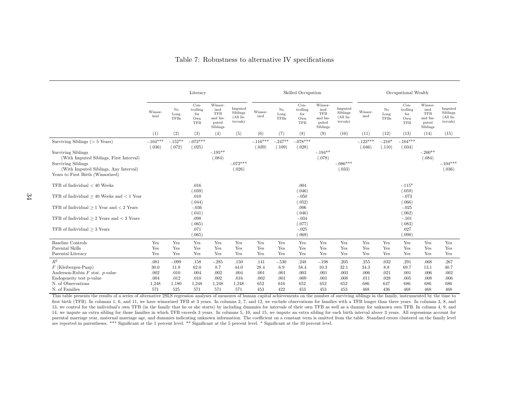| Table 7: Robustness to alternative IV specifications |  |  |
|------------------------------------------------------|--|--|
|------------------------------------------------------|--|--|

<span id="page-35-0"></span>

|                                                                                                                                        |                      |                           | Literacy                                       |                                                               |                                               |                      |                                 | Skilled Occupation                             |                                                               |                                               |                     |                                 | Occupational Wealth                            |                                                               |                                               |
|----------------------------------------------------------------------------------------------------------------------------------------|----------------------|---------------------------|------------------------------------------------|---------------------------------------------------------------|-----------------------------------------------|----------------------|---------------------------------|------------------------------------------------|---------------------------------------------------------------|-----------------------------------------------|---------------------|---------------------------------|------------------------------------------------|---------------------------------------------------------------|-----------------------------------------------|
|                                                                                                                                        | Winsor-<br>ized      | No<br>Long<br><b>TFBs</b> | $Con-$<br>trolling<br>for<br>Own<br><b>TFB</b> | Winsor-<br>ized<br><b>TFB</b><br>and Im-<br>puted<br>Siblings | Imputed<br>Siblings<br>$(All$ In-<br>tervals) | Winsor-<br>ized      | $\rm No$<br>Long<br><b>TFBs</b> | $Con-$<br>trolling<br>for<br>Own<br><b>TFB</b> | Winsor-<br>ized<br><b>TFB</b><br>and Im-<br>puted<br>Siblings | Imputed<br>Siblings<br>$(All$ In-<br>tervals) | Winsor-<br>ized     | $\rm No$<br>Long<br><b>TFBs</b> | $Con-$<br>trolling<br>for<br>Own<br><b>TFB</b> | Winsor-<br>ized<br><b>TFB</b><br>and Im-<br>puted<br>Siblings | Imputed<br>Siblings<br>$(All$ In-<br>tervals) |
|                                                                                                                                        | (1)                  | (2)                       | (3)                                            | (4)                                                           | (5)                                           | (6)                  | (7)                             | (8)                                            | (9)                                                           | (10)                                          | (11)                | (12)                            | (13)                                           | (14)                                                          | (15)                                          |
| Surviving Siblings ( $> 5$ Years)<br><b>Surviving Siblings</b><br>(With Imputed Siblings, First Interval)<br><b>Surviving Siblings</b> | $-.104***$<br>(.036) | $-.152**$<br>(.072)       | $-.073***$<br>(.025)                           | $-.195**$<br>(.084)                                           | $-.073***$                                    | $-.116***$<br>(.039) | $-.247**$<br>(.109)             | $-.078***$<br>(.028)                           | $-194**$<br>(.078)                                            | $-.086***$                                    | $-123***$<br>(.046) | $-.210*$<br>(.110)              | $-.104***$<br>(.034)                           | $-.200**$<br>(.084)                                           | $-.104***$                                    |
| (With Imputed Siblings, Any Interval)<br>Years to First Birth (Winsorized)                                                             |                      |                           |                                                |                                                               | (.026)                                        |                      |                                 |                                                |                                                               | (.033)                                        |                     |                                 |                                                |                                                               | (.036)                                        |
| TFB of Individual $< 40$ Weeks                                                                                                         |                      |                           | .016<br>(.039)                                 |                                                               |                                               |                      |                                 | .004<br>(.046)                                 |                                                               |                                               |                     |                                 | $-.115*$<br>(.059)                             |                                                               |                                               |
| TFB of Individual $\geq 40$ Weeks and $< 1$ Year                                                                                       |                      |                           | .010<br>(.044)                                 |                                                               |                                               |                      |                                 | $-.050$<br>(.052)                              |                                                               |                                               |                     |                                 | $-.073$<br>(.066)                              |                                                               |                                               |
| TFB of Individual $\geq 1$ Year and $\lt 2$ Years                                                                                      |                      |                           | $-.036$<br>(.041)                              |                                                               |                                               |                      |                                 | .006<br>(.046)                                 |                                                               |                                               |                     |                                 | $-.025$<br>(.062)                              |                                                               |                                               |
| TFB of Individual $> 2$ Years and $<$ 3 Years                                                                                          |                      |                           | .098<br>(.065)                                 |                                                               |                                               |                      |                                 | $-.034$<br>(.077)                              |                                                               |                                               |                     |                                 | $-.101$<br>(.083)                              |                                                               |                                               |
| TFB of Individual $\geq 3$ Years                                                                                                       |                      |                           | .071<br>(.065)                                 |                                                               |                                               |                      |                                 | $-.025$<br>(.069)                              |                                                               |                                               |                     |                                 | .027<br>(.098)                                 |                                                               |                                               |
| <b>Baseline Controls</b>                                                                                                               | Yes                  | Yes                       | Yes                                            | Yes                                                           | Yes                                           | Yes                  | Yes                             | Yes                                            | Yes                                                           | Yes                                           | Yes                 | Yes                             | Yes                                            | Yes                                                           | Yes                                           |
| Parental Skills<br>Parental Literacy                                                                                                   | Yes<br>Yes           | Yes<br>Yes                | Yes<br>Yes                                     | Yes<br>Yes                                                    | Yes<br>Yes                                    | Yes<br>Yes           | Yes<br>Yes                      | Yes<br>Yes                                     | Yes<br>Yes                                                    | Yes<br>Yes                                    | Yes<br>Yes          | Yes<br>Yes                      | Yes<br>Yes                                     | Yes<br>Yes                                                    | Yes<br>Yes                                    |
| $R^2$                                                                                                                                  | .081                 | $-.099$                   | .158                                           | $-285$                                                        | .150                                          | .141                 | $-.530$                         | .248                                           | $-.198$                                                       | .205                                          | .255                | .032                            | .291                                           | .068                                                          | .267                                          |
| $F$ (Kleibergen-Paap)                                                                                                                  | 30.0                 | 11.8                      | 62.0                                           | 8.7                                                           | 44.0                                          | 28.4                 | 6.9                             | 58.4                                           | 10.3                                                          | 32.1                                          | 34.3                | 8.8                             | 69.7                                           | 13.1                                                          | 40.7                                          |
| Anderson-Rubin $F$ stat. $p$ -value                                                                                                    | .002                 | .010                      | .004                                           | .002                                                          | .004                                          | .001                 | .001                            | .003                                           | .001                                                          | .003                                          | .006                | .021                            | .001                                           | .006                                                          | .002                                          |
| Endogeneity test p-value                                                                                                               | .004                 | .012                      | .010                                           | .002                                                          | .016                                          | .002                 | .001                            | .009                                           | .001                                                          | .008                                          | .011                | .028                            | .005                                           | .008                                                          | .006                                          |
| N. of Observations                                                                                                                     | 1,248                | 1,180                     | 1,248                                          | 1,248                                                         | 1,248                                         | 652                  | 616                             | 652                                            | 652                                                           | 652                                           | 686                 | 647                             | 686                                            | 686                                                           | 686                                           |
| N. of Families                                                                                                                         | 571                  | 525                       | 571                                            | 571                                                           | 571                                           | 453                  | 422                             | 453                                            | 453                                                           | 453                                           | 468                 | 436                             | 468                                            | 468                                                           | 468                                           |

This table presents the results of <sup>a</sup> series of alternative 2SLS regression analyses of measures of human capital achievements on the number of surviving siblings in the family, instrumented by the time to first birth (TFB). In columns 1, 6, and 11, we have winsorized TFB at 3 years. In columns 2, 7, and 12, we exclude observations for families with a TFB longer than three years. In columns 3, 8, and 13, we control for the individual's own TFB (in the family that he or she starts) by including dummies for intervals of their own TFB as well as a dummy for unknown own TFB. In column 4, 9, and 14, we impute an extra sibling for those families in which TFB exceeds 3 years. In columns 5, 10, and 15, we impute an extra sibling for each birth interval above 3 years. All regressions account for parental marriage year, maternal marriage age, and dummies indicating unknown information. The coefficient on a constant term is omitted from the table. Standard errors clustered on the family level are reported in parentheses. \*\*\* Significant at the <sup>1</sup> percent level. \*\* Significant at the 5 percent level. \* Significant at the 10 percent level.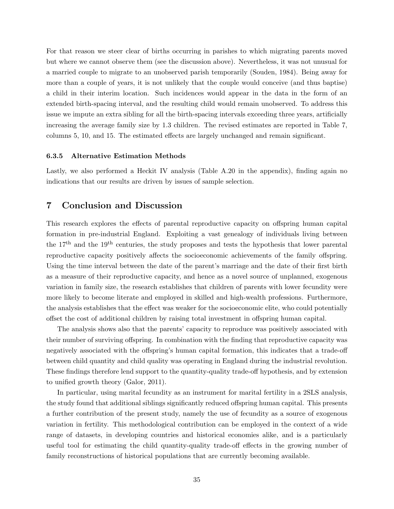<span id="page-36-0"></span>For that reason we steer clear of births occurring in parishes to which migrating parents moved but where we cannot observe them (see the discussion above). Nevertheless, it was not unusual for a married couple to migrate to an unobserved parish temporarily [\(Souden, 1984\)](#page-42-10). Being away for more than a couple of years, it is not unlikely that the couple would conceive (and thus baptise) a child in their interim location. Such incidences would appear in the data in the form of an extended birth-spacing interval, and the resulting child would remain unobserved. To address this issue we impute an extra sibling for all the birth-spacing intervals exceeding three years, artificially increasing the average family size by 1.3 children. The revised estimates are reported in Table [7,](#page-35-0) columns 5, 10, and 15. The estimated effects are largely unchanged and remain significant.

## 6.3.5 Alternative Estimation Methods

Lastly, we also performed a Heckit IV analysis (Table A[.20](#page-63-0) in the appendix), finding again no indications that our results are driven by issues of sample selection.

## 7 Conclusion and Discussion

This research explores the effects of parental reproductive capacity on offspring human capital formation in pre-industrial England. Exploiting a vast genealogy of individuals living between the 17th and the 19th centuries, the study proposes and tests the hypothesis that lower parental reproductive capacity positively affects the socioeconomic achievements of the family offspring. Using the time interval between the date of the parent's marriage and the date of their first birth as a measure of their reproductive capacity, and hence as a novel source of unplanned, exogenous variation in family size, the research establishes that children of parents with lower fecundity were more likely to become literate and employed in skilled and high-wealth professions. Furthermore, the analysis establishes that the effect was weaker for the socioeconomic elite, who could potentially offset the cost of additional children by raising total investment in offspring human capital.

The analysis shows also that the parents' capacity to reproduce was positively associated with their number of surviving offspring. In combination with the finding that reproductive capacity was negatively associated with the offspring's human capital formation, this indicates that a trade-off between child quantity and child quality was operating in England during the industrial revolution. These findings therefore lend support to the quantity-quality trade-off hypothesis, and by extension to unified growth theory [\(Galor, 2011\)](#page-40-0).

In particular, using marital fecundity as an instrument for marital fertility in a 2SLS analysis, the study found that additional siblings significantly reduced offspring human capital. This presents a further contribution of the present study, namely the use of fecundity as a source of exogenous variation in fertility. This methodological contribution can be employed in the context of a wide range of datasets, in developing countries and historical economies alike, and is a particularly useful tool for estimating the child quantity-quality trade-off effects in the growing number of family reconstructions of historical populations that are currently becoming available.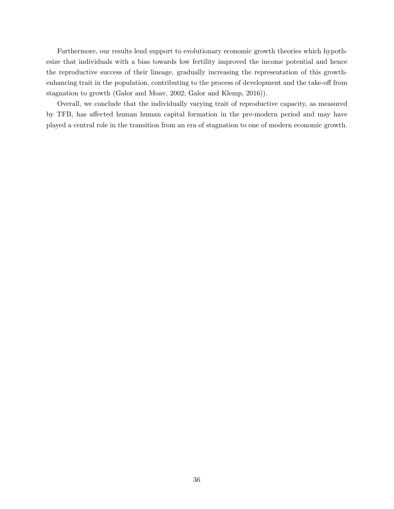<span id="page-37-0"></span>Furthermore, our results lend support to evolutionary economic growth theories which hypothesize that individuals with a bias towards low fertility improved the income potential and hence the reproductive success of their lineage, gradually increasing the representation of this growthenhancing trait in the population, contributing to the process of development and the take-off from stagnation to growth [\(Galor and Moav, 2002;](#page-40-1) [Galor and Klemp, 2016\)](#page-40-2)).

Overall, we conclude that the individually varying trait of reproductive capacity, as measured by TFB, has affected human human capital formation in the pre-modern period and may have played a central role in the transition from an era of stagnation to one of modern economic growth.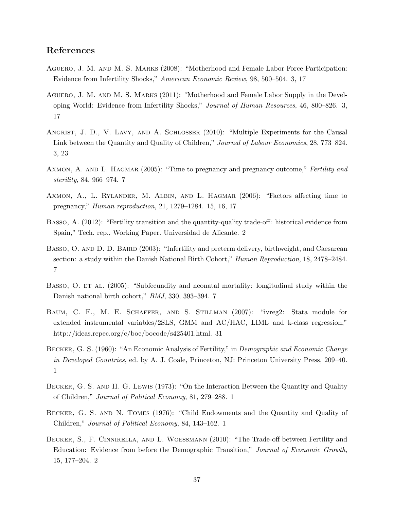## References

- <span id="page-38-5"></span>Aguero, J. M. and M. S. Marks (2008): "Motherhood and Female Labor Force Participation: Evidence from Infertility Shocks," *American Economic Review*, 98, 500–504. [3,](#page-4-0) [17](#page-18-1)
- <span id="page-38-6"></span>Aguero, J. M. and M. S. Marks (2011): "Motherhood and Female Labor Supply in the Developing World: Evidence from Infertility Shocks," *Journal of Human Resources*, 46, 800–826. [3,](#page-4-0) [17](#page-18-1)
- <span id="page-38-7"></span>ANGRIST, J. D., V. LAVY, AND A. SCHLOSSER (2010): "Multiple Experiments for the Causal Link between the Quantity and Quality of Children," *Journal of Labour Economics*, 28, 773–824. [3,](#page-4-0) [23](#page-24-0)
- <span id="page-38-10"></span>AXMON, A. AND L. HAGMAR (2005): "Time to pregnancy and pregnancy outcome," *Fertility and sterility*, 84, 966–974. [7](#page-8-0)
- <span id="page-38-11"></span>AXMON, A., L. RYLANDER, M. ALBIN, AND L. HAGMAR (2006): "Factors affecting time to pregnancy," *Human reproduction*, 21, 1279–1284. [15,](#page-16-0) [16,](#page-17-1) [17](#page-18-1)
- <span id="page-38-3"></span>BASSO, A. (2012): "Fertility transition and the quantity-quality trade-off: historical evidence from Spain," Tech. rep., Working Paper. Universidad de Alicante. [2](#page-3-0)
- <span id="page-38-8"></span>BASSO, O. AND D. D. BAIRD (2003): "Infertility and preterm delivery, birthweight, and Caesarean section: a study within the Danish National Birth Cohort," *Human Reproduction*, 18, 2478–2484. [7](#page-8-0)
- <span id="page-38-9"></span>BASSO, O. ET AL. (2005): "Subfecundity and neonatal mortality: longitudinal study within the Danish national birth cohort," *BMJ*, 330, 393–394. [7](#page-8-0)
- <span id="page-38-12"></span>Baum, C. F., M. E. Schaffer, and S. Stillman (2007): "ivreg2: Stata module for extended instrumental variables/2SLS, GMM and AC/HAC, LIML and k-class regression," http://ideas.repec.org/c/boc/bocode/s425401.html. [31](#page-32-0)
- <span id="page-38-0"></span>Becker, G. S. (1960): "An Economic Analysis of Fertility," in *Demographic and Economic Change in Developed Countries*, ed. by A. J. Coale, Princeton, NJ: Princeton University Press, 209–40. [1](#page-1-1)
- <span id="page-38-1"></span>Becker, G. S. and H. G. Lewis (1973): "On the Interaction Between the Quantity and Quality of Children," *Journal of Political Economy*, 81, 279–288. [1](#page-1-1)
- <span id="page-38-2"></span>Becker, G. S. and N. Tomes (1976): "Child Endowments and the Quantity and Quality of Children," *Journal of Political Economy*, 84, 143–162. [1](#page-1-1)
- <span id="page-38-4"></span>BECKER, S., F. CINNIRELLA, AND L. WOESSMANN (2010): "The Trade-off between Fertility and Education: Evidence from before the Demographic Transition," *Journal of Economic Growth*, 15, 177–204. [2](#page-3-0)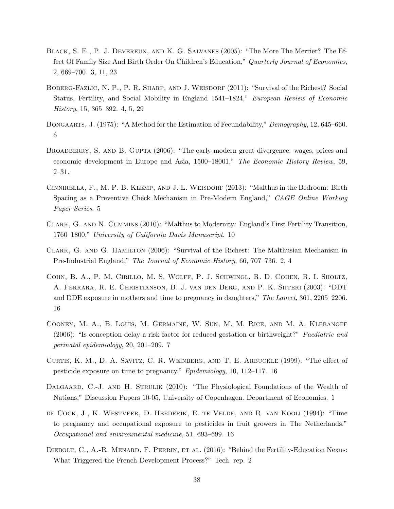- <span id="page-39-3"></span>Black, S. E., P. J. Devereux, and K. G. Salvanes (2005): "The More The Merrier? The Effect Of Family Size And Birth Order On Children's Education," *Quarterly Journal of Economics*, 2, 669–700. [3,](#page-4-0) [11,](#page-12-0) [23](#page-24-0)
- <span id="page-39-4"></span>BOBERG-FAZLIC, N. P., P. R. SHARP, AND J. WEISDORF (2011): "Survival of the Richest? Social Status, Fertility, and Social Mobility in England 1541–1824," *European Review of Economic History*, 15, 365–392. [4,](#page-5-0) [5,](#page-6-1) [29](#page-30-0)
- <span id="page-39-6"></span>Bongaarts, J. (1975): "A Method for the Estimation of Fecundability," *Demography*, 12, 645–660. [6](#page-7-1)
- BROADBERRY, S. AND B. GUPTA (2006): "The early modern great divergence: wages, prices and economic development in Europe and Asia, 1500–18001," *The Economic History Review*, 59, 2–31.
- <span id="page-39-5"></span>CINNIRELLA, F., M. P. B. KLEMP, AND J. L. WEISDORF (2013): "Malthus in the Bedroom: Birth Spacing as a Preventive Check Mechanism in Pre-Modern England," *CAGE Online Working Paper Series*. [5](#page-6-1)
- <span id="page-39-8"></span>Clark, G. and N. Cummins (2010): "Malthus to Modernity: England's First Fertility Transition, 1760–1800," *University of California Davis Manuscript*. [10](#page-11-0)
- <span id="page-39-1"></span>Clark, G. and G. Hamilton (2006): "Survival of the Richest: The Malthusian Mechanism in Pre-Industrial England," *The Journal of Economic History*, 66, 707–736. [2,](#page-3-0) [4](#page-5-0)
- <span id="page-39-11"></span>Cohn, B. A., P. M. Cirillo, M. S. Wolff, P. J. Schwingl, R. D. Cohen, R. I. Sholtz, A. Ferrara, R. E. Christianson, B. J. van den Berg, and P. K. Siiteri (2003): "DDT and DDE exposure in mothers and time to pregnancy in daughters," *The Lancet*, 361, 2205–2206. [16](#page-17-1)
- <span id="page-39-7"></span>Cooney, M. A., B. Louis, M. Germaine, W. Sun, M. M. Rice, and M. A. Klebanoff (2006): "Is conception delay a risk factor for reduced gestation or birthweight?" *Paediatric and perinatal epidemiology*, 20, 201–209. [7](#page-8-0)
- <span id="page-39-9"></span>CURTIS, K. M., D. A. SAVITZ, C. R. WEINBERG, AND T. E. ARBUCKLE  $(1999)$ : "The effect of pesticide exposure on time to pregnancy." *Epidemiology*, 10, 112–117. [16](#page-17-1)
- <span id="page-39-0"></span>DALGAARD, C.-J. AND H. STRULIK (2010): "The Physiological Foundations of the Wealth of Nations," Discussion Papers 10-05, University of Copenhagen. Department of Economics. [1](#page-1-1)
- <span id="page-39-10"></span>de Cock, J., K. Westveer, D. Heederik, E. te Velde, and R. van Kooij (1994): "Time to pregnancy and occupational exposure to pesticides in fruit growers in The Netherlands." *Occupational and environmental medicine*, 51, 693–699. [16](#page-17-1)
- <span id="page-39-2"></span>DIEBOLT, C., A.-R. MENARD, F. PERRIN, ET AL. (2016): "Behind the Fertility-Education Nexus: What Triggered the French Development Process?" Tech. rep. [2](#page-3-0)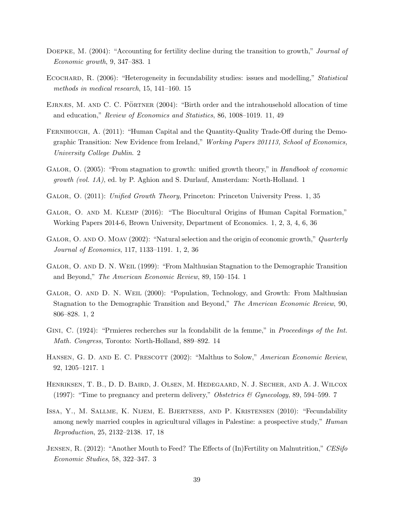- <span id="page-40-6"></span>Doepke, M. (2004): "Accounting for fertility decline during the transition to growth," *Journal of Economic growth*, 9, 347–383. [1](#page-1-1)
- <span id="page-40-13"></span>Ecochard, R. (2006): "Heterogeneity in fecundability studies: issues and modelling," *Statistical methods in medical research*, 15, 141–160. [15](#page-16-0)
- <span id="page-40-11"></span>EJRNÆS, M. AND C. C. PÖRTNER (2004): "Birth order and the intrahousehold allocation of time and education," *Review of Economics and Statistics*, 86, 1008–1019. [11,](#page-12-0) [49](#page-50-1)
- <span id="page-40-8"></span>FERNIHOUGH, A. (2011): "Human Capital and the Quantity-Quality Trade-Off during the Demographic Transition: New Evidence from Ireland," *Working Papers 201113, School of Economics, University College Dublin*. [2](#page-3-0)
- <span id="page-40-7"></span>Galor, O. (2005): "From stagnation to growth: unified growth theory," in *Handbook of economic growth (vol. 1A)*, ed. by P. Aghion and S. Durlauf, Amsterdam: North-Holland. [1](#page-1-1)
- <span id="page-40-0"></span>Galor, O. (2011): *Unified Growth Theory*, Princeton: Princeton University Press. [1,](#page-1-1) [35](#page-36-0)
- <span id="page-40-2"></span>GALOR, O. AND M. KLEMP (2016): "The Biocultural Origins of Human Capital Formation," Working Papers 2014-6, Brown University, Department of Economics. [1,](#page-1-1) [2,](#page-3-0) [3,](#page-4-0) [4,](#page-5-0) [6,](#page-7-1) [36](#page-37-0)
- <span id="page-40-1"></span>GALOR, O. AND O. MOAV (2002): "Natural selection and the origin of economic growth," *Quarterly Journal of Economics*, 117, 1133–1191. [1,](#page-1-1) [2,](#page-3-0) [36](#page-37-0)
- <span id="page-40-3"></span>Galor, O. and D. N. Weil (1999): "From Malthusian Stagnation to the Demographic Transition and Beyond," *The American Economic Review*, 89, 150–154. [1](#page-1-1)
- <span id="page-40-4"></span>Galor, O. and D. N. Weil (2000): "Population, Technology, and Growth: From Malthusian Stagnation to the Demographic Transition and Beyond," *The American Economic Review*, 90, 806–828. [1,](#page-1-1) [2](#page-3-0)
- <span id="page-40-12"></span>Gini, C. (1924): "Prmieres recherches sur la fcondabilit de la femme," in *Proceedings of the Int. Math. Congress*, Toronto: North-Holland, 889–892. [14](#page-15-0)
- <span id="page-40-5"></span>HANSEN, G. D. AND E. C. PRESCOTT (2002): "Malthus to Solow," *American Economic Review*, 92, 1205–1217. [1](#page-1-1)
- <span id="page-40-10"></span>Henriksen, T. B., D. D. Baird, J. Olsen, M. Hedegaard, N. J. Secher, and A. J. Wilcox (1997): "Time to pregnancy and preterm delivery," *Obstetrics & Gynecology*, 89, 594–599. [7](#page-8-0)
- <span id="page-40-14"></span>Issa, Y., M. Sallme, K. Nijem, E. Bjertness, and P. Kristensen (2010): "Fecundability among newly married couples in agricultural villages in Palestine: a prospective study," *Human Reproduction*, 25, 2132–2138. [17,](#page-18-1) [18](#page-19-0)
- <span id="page-40-9"></span>JENSEN, R. (2012): "Another Mouth to Feed? The Effects of (In)Fertility on Malnutrition," *CESifo Economic Studies*, 58, 322–347. [3](#page-4-0)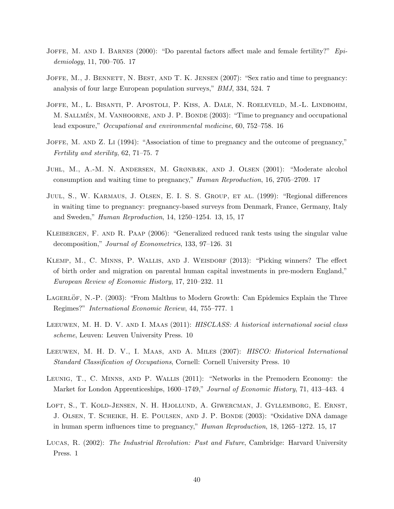- <span id="page-41-12"></span>JOFFE, M. AND I. BARNES (2000): "Do parental factors affect male and female fertility?" *Epidemiology*, 11, 700–705. [17](#page-18-1)
- <span id="page-41-4"></span>JOFFE, M., J. BENNETT, N. BEST, AND T. K. JENSEN (2007): "Sex ratio and time to pregnancy: analysis of four large European population surveys," *BMJ*, 334, 524. [7](#page-8-0)
- <span id="page-41-10"></span>Joffe, M., L. Bisanti, P. Apostoli, P. Kiss, A. Dale, N. Roeleveld, M.-L. Lindbohm, M. SALLMÉN, M. VANHOORNE, AND J. P. BONDE (2003): "Time to pregnancy and occupational lead exposure," *Occupational and environmental medicine*, 60, 752–758. [16](#page-17-1)
- <span id="page-41-3"></span>JOFFE, M. AND Z. LI (1994): "Association of time to pregnancy and the outcome of pregnancy," *Fertility and sterility*, 62, 71–75. [7](#page-8-0)
- <span id="page-41-11"></span>Juhl, M., A.-M. N. Andersen, M. Grønbæk, and J. Olsen (2001): "Moderate alcohol consumption and waiting time to pregnancy," *Human Reproduction*, 16, 2705–2709. [17](#page-18-1)
- <span id="page-41-8"></span>JUUL, S., W. KARMAUS, J. OLSEN, E. I. S. S. GROUP, ET AL. (1999): "Regional differences in waiting time to pregnancy: pregnancy-based surveys from Denmark, France, Germany, Italy and Sweden," *Human Reproduction*, 14, 1250–1254. [13,](#page-14-1) [15,](#page-16-0) [17](#page-18-1)
- <span id="page-41-13"></span>Kleibergen, F. and R. Paap (2006): "Generalized reduced rank tests using the singular value decomposition," *Journal of Econometrics*, 133, 97–126. [31](#page-32-0)
- <span id="page-41-7"></span>KLEMP, M., C. MINNS, P. WALLIS, AND J. WEISDORF (2013): "Picking winners? The effect of birth order and migration on parental human capital investments in pre-modern England," *European Review of Economic History*, 17, 210–232. [11](#page-12-0)
- <span id="page-41-1"></span>LAGERLÖF, N.-P. (2003): "From Malthus to Modern Growth: Can Epidemics Explain the Three Regimes?" *International Economic Review*, 44, 755–777. [1](#page-1-1)
- <span id="page-41-6"></span>Leeuwen, M. H. D. V. and I. Maas (2011): *HISCLASS: A historical international social class scheme*, Leuven: Leuven University Press. [10](#page-11-0)
- <span id="page-41-5"></span>Leeuwen, M. H. D. V., I. Maas, and A. Miles (2007): *HISCO: Historical International Standard Classification of Occupations*, Cornell: Cornell University Press. [10](#page-11-0)
- <span id="page-41-2"></span>Leunig, T., C. Minns, and P. Wallis (2011): "Networks in the Premodern Economy: the Market for London Apprenticeships, 1600–1749," *Journal of Economic History*, 71, 413–443. [4](#page-5-0)
- <span id="page-41-9"></span>LOFT, S., T. KOLD-JENSEN, N. H. HJOLLUND, A. GIWERCMAN, J. GYLLEMBORG, E. ERNST, J. Olsen, T. Scheike, H. E. Poulsen, and J. P. Bonde (2003): "Oxidative DNA damage in human sperm influences time to pregnancy," *Human Reproduction*, 18, 1265–1272. [15,](#page-16-0) [17](#page-18-1)
- <span id="page-41-0"></span>Lucas, R. (2002): *The Industrial Revolution: Past and Future*, Cambridge: Harvard University Press. [1](#page-1-1)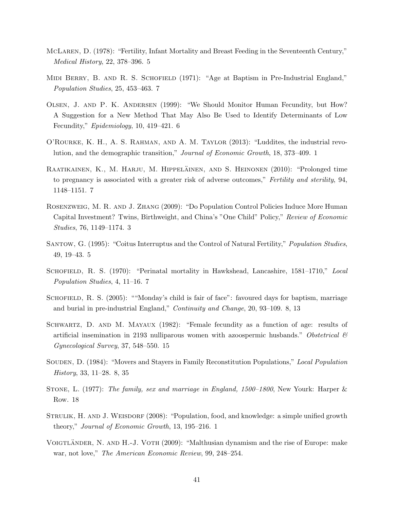- <span id="page-42-3"></span>McLaren, D. (1978): "Fertility, Infant Mortality and Breast Feeding in the Seventeenth Century," *Medical History*, 22, 378–396. [5](#page-6-1)
- <span id="page-42-7"></span>MIDI BERRY, B. AND R. S. SCHOFIELD (1971): "Age at Baptism in Pre-Industrial England," *Population Studies*, 25, 453–463. [7](#page-8-0)
- <span id="page-42-5"></span>Olsen, J. and P. K. Andersen (1999): "We Should Monitor Human Fecundity, but How? A Suggestion for a New Method That May Also Be Used to Identify Determinants of Low Fecundity," *Epidemiology*, 10, 419–421. [6](#page-7-1)
- <span id="page-42-1"></span>O'Rourke, K. H., A. S. Rahman, and A. M. Taylor (2013): "Luddites, the industrial revolution, and the demographic transition," *Journal of Economic Growth*, 18, 373–409. [1](#page-1-1)
- <span id="page-42-6"></span>RAATIKAINEN, K., M. HARJU, M. HIPPELÄINEN, AND S. HEINONEN (2010): "Prolonged time to pregnancy is associated with a greater risk of adverse outcomes," *Fertility and sterility*, 94, 1148–1151. [7](#page-8-0)
- <span id="page-42-2"></span>Rosenzweig, M. R. and J. Zhang (2009): "Do Population Control Policies Induce More Human Capital Investment? Twins, Birthweight, and China's "One Child" Policy," *Review of Economic Studies*, 76, 1149–1174. [3](#page-4-0)
- <span id="page-42-4"></span>Santow, G. (1995): "Coitus Interruptus and the Control of Natural Fertility," *Population Studies*, 49, 19–43. [5](#page-6-1)
- <span id="page-42-8"></span>SCHOFIELD, R. S. (1970): "Perinatal mortality in Hawkshead, Lancashire, 1581-1710," *Local Population Studies*, 4, 11–16. [7](#page-8-0)
- <span id="page-42-9"></span>SCHOFIELD, R. S. (2005): ""Monday's child is fair of face": favoured days for baptism, marriage and burial in pre-industrial England," *Continuity and Change*, 20, 93–109. [8,](#page-9-1) [13](#page-14-1)
- <span id="page-42-11"></span>SCHWARTZ, D. AND M. MAYAUX (1982): "Female fecundity as a function of age: results of artificial insemination in 2193 nulliparous women with azoospermic husbands." *Obstetrical & Gynecological Survey*, 37, 548–550. [15](#page-16-0)
- <span id="page-42-10"></span>Souden, D. (1984): "Movers and Stayers in Family Reconstitution Populations," *Local Population History*, 33, 11–28. [8,](#page-9-1) [35](#page-36-0)
- <span id="page-42-12"></span>Stone, L. (1977): *The family, sex and marriage in England, 1500–1800*, New Yourk: Harper & Row. [18](#page-19-0)
- <span id="page-42-0"></span>STRULIK, H. AND J. WEISDORF (2008): "Population, food, and knowledge: a simple unified growth theory," *Journal of Economic Growth*, 13, 195–216. [1](#page-1-1)
- VOIGTLÄNDER, N. AND H.-J. VOTH  $(2009)$ : "Malthusian dynamism and the rise of Europe: make war, not love," *The American Economic Review*, 99, 248–254.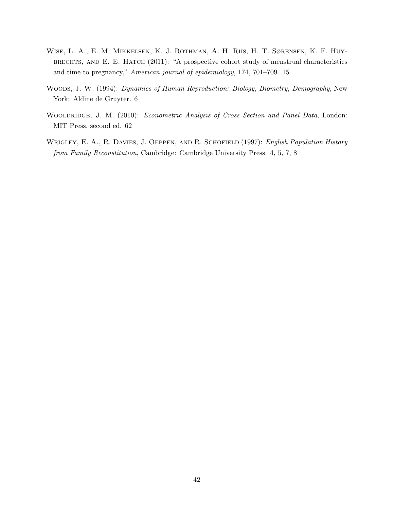- <span id="page-43-2"></span>Wise, L. A., E. M. Mikkelsen, K. J. Rothman, A. H. Riis, H. T. Sørensen, K. F. Huybrechts, and E. E. Hatch (2011): "A prospective cohort study of menstrual characteristics and time to pregnancy," *American journal of epidemiology*, 174, 701–709. [15](#page-16-0)
- <span id="page-43-1"></span>Woods, J. W. (1994): *Dynamics of Human Reproduction: Biology, Biometry, Demography*, New York: Aldine de Gruyter. [6](#page-7-1)
- <span id="page-43-3"></span>Wooldridge, J. M. (2010): *Econometric Analysis of Cross Section and Panel Data*, London: MIT Press, second ed. [62](#page-63-1)
- <span id="page-43-0"></span>Wrigley, E. A., R. Davies, J. Oeppen, and R. Schofield (1997): *English Population History from Family Reconstitution*, Cambridge: Cambridge University Press. [4,](#page-5-0) [5,](#page-6-1) [7,](#page-8-0) [8](#page-9-1)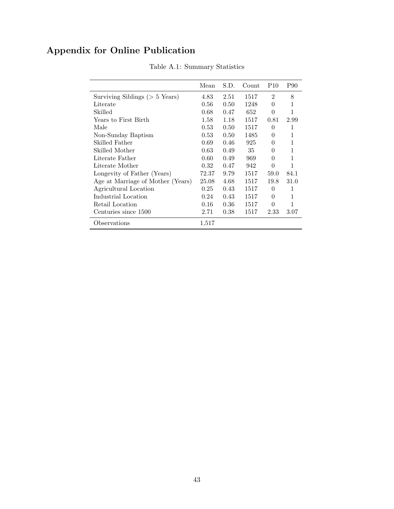# <span id="page-44-0"></span>Appendix for Online Publication

|                                   | Mean  | S.D.           | Count | P <sub>10</sub> | P90  |
|-----------------------------------|-------|----------------|-------|-----------------|------|
| Surviving Siblings ( $> 5$ Years) | 4.83  | 2.51           | 1517  | $\overline{2}$  | 8    |
| Literate                          | 0.56  | 0.50           | 1248  | $\theta$        | 1    |
| Skilled                           | 0.68  | 0.47           | 652   | $\theta$        |      |
| Years to First Birth              | 1.58  | 1.18           | 1517  | 0.81            | 2.99 |
| Male                              | 0.53  | $0.50^{\circ}$ | 1517  | $\Omega$        | 1    |
| Non-Sunday Baptism                | 0.53  | $0.50^{\circ}$ | 1485  | 0               | 1    |
| Skilled Father                    | 0.69  | 0.46           | 925   | 0               | 1    |
| Skilled Mother                    | 0.63  | 0.49           | 35    | 0               | 1    |
| Literate Father                   | 0.60  | 0.49           | 969   | $\theta$        | 1    |
| Literate Mother                   | 0.32  | 0.47           | 942   | $\theta$        | 1    |
| Longevity of Father (Years)       | 72.37 | 9.79           | 1517  | 59.0            | 84.1 |
| Age at Marriage of Mother (Years) | 25.08 | 4.68           | 1517  | 19.8            | 31.0 |
| Agricultural Location             | 0.25  | 0.43           | 1517  | $\Omega$        | 1    |
| Industrial Location               | 0.24  | 0.43           | 1517  | 0               | 1    |
| Retail Location                   | 0.16  | 0.36           | 1517  | $\theta$        | 1    |
| Centuries since 1500              | 2.71  | 0.38           | 1517  | 2.33            | 3.07 |
| Observations                      | 1,517 |                |       |                 |      |

Table A.1: Summary Statistics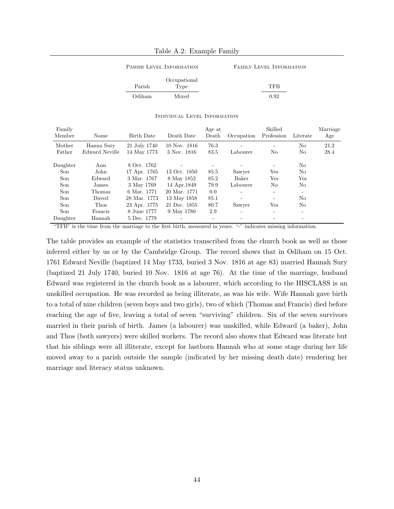PARISH LEVEL INFORMATION FAMILY LEVEL INFORMATION

|        | Occupational |            |
|--------|--------------|------------|
| Parish | Type         | TFR        |
| Odiham | Mixed        | $\rm 0.92$ |

|  | INDIVIDUAL LEVEL INFORMATION |
|--|------------------------------|
|--|------------------------------|

<span id="page-45-0"></span>

| Family   |                |              |              | Age at |            | Skilled                  |          | Marriage |
|----------|----------------|--------------|--------------|--------|------------|--------------------------|----------|----------|
| Member   | Name           | Birth Date   | Death Date   | Death  | Occupation | Profession               | Literate | Age      |
| Mother   | Hanna Sury     | 21 July 1740 | 10 Nov. 1816 | 76.3   |            |                          | No       | 21.2     |
| Father   | Edward Neville | 14 May 1773  | 3 Nov. 1816  | 83.5   | Labourer   | No                       | No       | 28.4     |
| Daughter | Ann            | 8 Oct. 1762  |              |        |            | ٠                        | No       |          |
| Son      | John           | 17 Apr. 1765 | 13 Oct. 1850 | 85.5   | Sawyer     | Yes                      | No       |          |
| Son      | Edward         | 3 Mar. 1767  | 8 May 1852   | 85.2   | Baker      | Yes                      | Yes      |          |
| Son      | James          | 3 May 1769   | 14 Apr. 1849 | 79.9   | Labourer   | No                       | No       |          |
| Son      | Thomas         | 6 Mar. 1771  | 20 Mar. 1771 | 0.0    |            | ÷.                       |          |          |
| Son      | Daved          | 28 Mar. 1773 | 13 May 1858  | 85.1   |            | ۰                        | No       |          |
| Son      | Thos           | 23 Apr. 1775 | 21 Dec. 1855 | 80.7   | Sawyer     | Yes                      | No       |          |
| Son      | Francis        | 8 June 1777  | 9 May 1780   | 2.9    |            | $\overline{\phantom{a}}$ |          |          |
| Daughter | Hannah         | 5 Dec. 1779  |              |        |            |                          |          |          |

"TFB" is the time from the marriage to the first birth, measured in years. "-" indicates missing information.

The table provides an example of the statistics transcribed from the church book as well as those inferred either by us or by the Cambridge Group. The record shows that in Odiham on 15 Oct. 1761 Edward Neville (baptized 14 May 1733, buried 3 Nov. 1816 at age 83) married Hannah Sury (baptized 21 July 1740, buried 10 Nov. 1816 at age 76). At the time of the marriage, husband Edward was registered in the church book as a labourer, which according to the HISCLASS is an unskilled occupation. He was recorded as being illiterate, as was his wife. Wife Hannah gave birth to a total of nine children (seven boys and two girls), two of which (Thomas and Francis) died before reaching the age of five, leaving a total of seven "surviving" children. Six of the seven survivors married in their parish of birth. James (a labourer) was unskilled, while Edward (a baker), John and Thos (both sawyers) were skilled workers. The record also shows that Edward was literate but that his siblings were all illiterate, except for lastborn Hannah who at some stage during her life moved away to a parish outside the sample (indicated by her missing death date) rendering her marriage and literacy status unknown.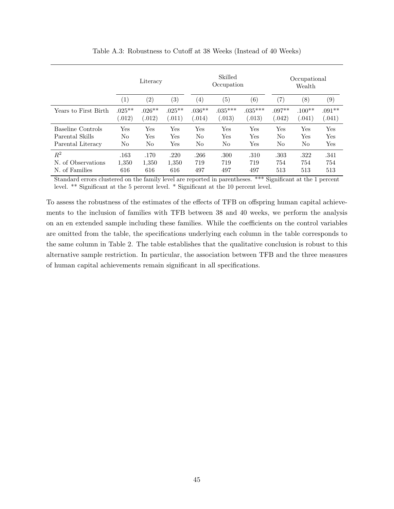<span id="page-46-0"></span>

|                      | Literacy  |                   |                   | Skilled<br>Occupation |                      |              | Occupational<br>Wealth |                  |                   |
|----------------------|-----------|-------------------|-------------------|-----------------------|----------------------|--------------|------------------------|------------------|-------------------|
|                      | (1)       | $\left( 2\right)$ | $\left( 3\right)$ | $\left( 4\right)$     | $\left( 5\right)$    | (6)          | $\left( 7\right)$      | $\left(8\right)$ | $\left( 9\right)$ |
| Years to First Birth | $.025***$ | $.026**$          | $.025***$         | $.036**$              | $.035***$            | $.035***$    | $.097**$               | $.100**$         | $.091**$          |
|                      | (.012)    | (.012)            | (.011)            | (.014)                | (.013)               | (.013)       | (.042)                 | 0.041)           | (.041)            |
| Baseline Controls    | Yes       | Yes               | Yes               | Yes                   | Yes                  | Yes          | Yes                    | Yes              | Yes               |
| Parental Skills      | No        | Yes               | Yes               | No                    | $\operatorname{Yes}$ | Yes          | No                     | $_{\rm Yes}$     | Yes               |
| Parental Literacy    | No        | No                | Yes               | No                    | No                   | $_{\rm Yes}$ | No                     | No               | Yes               |
| $R^2$                | .163      | .170              | .220              | .266                  | .300                 | .310         | .303                   | .322             | .341              |
| N. of Observations   | 1,350     | 1,350             | 1,350             | 719                   | 719                  | 719          | 754                    | 754              | 754               |
| N. of Families       | 616       | 616               | 616               | 497                   | 497                  | 497          | 513                    | 513              | 513               |

Table A.3: Robustness to Cutoff at 38 Weeks (Instead of 40 Weeks)

Standard errors clustered on the family level are reported in parentheses. \*\*\* Significant at the 1 percent level. \*\* Significant at the 5 percent level. \* Significant at the 10 percent level.

To assess the robustness of the estimates of the effects of TFB on offspring human capital achievements to the inclusion of families with TFB between 38 and 40 weeks, we perform the analysis on an en extended sample including these families. While the coefficients on the control variables are omitted from the table, the specifications underlying each column in the table corresponds to the same column in Table [2.](#page-20-0) The table establishes that the qualitative conclusion is robust to this alternative sample restriction. In particular, the association between TFB and the three measures of human capital achievements remain significant in all specifications.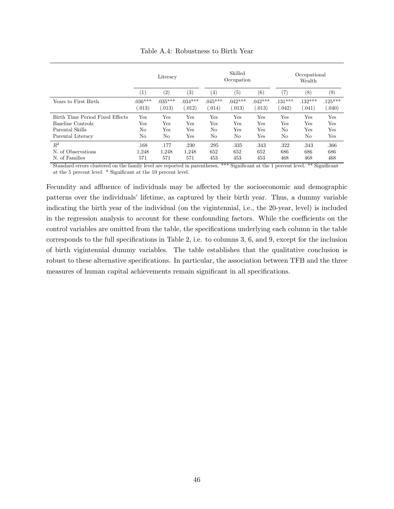<span id="page-47-0"></span>

|                                 | Literacy            |                     |                     | Skilled<br>Occupation |                    |                     | Occupational<br>Wealth |                     |                     |
|---------------------------------|---------------------|---------------------|---------------------|-----------------------|--------------------|---------------------|------------------------|---------------------|---------------------|
|                                 | (1)                 | (2)                 | $\left( 3\right)$   | $\left( 4\right)$     | $\left( 5\right)$  | $^{(6)}$            | (7)                    | (8)                 | (9)                 |
| Years to First Birth            | $.036***$<br>0.013) | $.035***$<br>0.013) | $.034***$<br>(.012) | $.045***$<br>(0.014)  | $.042***$<br>(013) | $.042***$<br>(.013) | $.131***$<br>(0.42)    | $.132***$<br>0.041) | $.125***$<br>(0.40) |
| Birth Time Period Fixed Effects | Yes                 | Yes                 | Yes                 | Yes                   | Yes                | Yes                 | Yes                    | Yes                 | Yes                 |
| Baseline Controls               | Yes                 | Yes                 | Yes                 | Yes                   | Yes                | Yes                 | Yes                    | Yes                 | Yes                 |
| Parental Skills                 | No                  | Yes                 | Yes                 | No                    | Yes                | Yes                 | No                     | Yes                 | Yes                 |
| Parental Literacy               | No                  | No                  | Yes                 | No                    | No                 | Yes                 | No                     | No                  | Yes                 |
| $R^2$                           | .168                | .177                | .230                | .295                  | .335               | .343                | .322                   | .343                | .366                |
| N. of Observations              | 1.248               | 1.248               | 1.248               | 652                   | 652                | 652                 | 686                    | 686                 | 686                 |
| N. of Families                  | 571                 | 571                 | 571                 | 453                   | 453                | 453                 | 468                    | 468                 | 468                 |

Table A.4: Robustness to Birth Year

Standard errors clustered on the family level are reported in parentheses. \*\*\* Significant at the 1 percent level. \*\* Significant at the 5 percent level. \* Significant at the 10 percent level.

Fecundity and affluence of individuals may be affected by the socioeconomic and demographic patterns over the individuals' lifetime, as captured by their birth year. Thus, a dummy variable indicating the birth year of the individual (on the vigintennial, i.e., the 20-year, level) is included in the regression analysis to account for these confounding factors. While the coefficients on the control variables are omitted from the table, the specifications underlying each column in the table corresponds to the full specifications in Table [2,](#page-20-0) i.e. to columns 3, 6, and 9, except for the inclusion of birth vigintennial dummy variables. The table establishes that the qualitative conclusion is robust to these alternative specifications. In particular, the association between TFB and the three measures of human capital achievements remain significant in all specifications.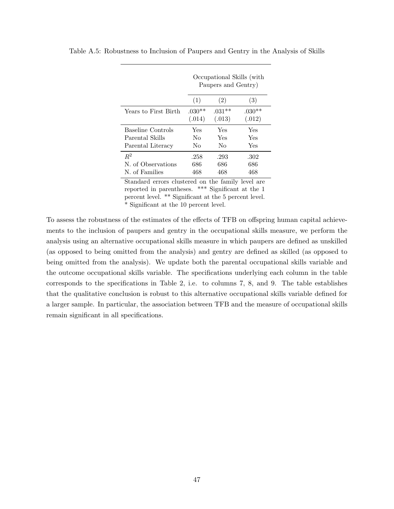|                      | Occupational Skills (with<br>Paupers and Gentry) |          |          |  |  |  |  |
|----------------------|--------------------------------------------------|----------|----------|--|--|--|--|
|                      | (1)                                              | (2)      | (3)      |  |  |  |  |
| Years to First Birth | $.030**$                                         | $.031**$ | $.030**$ |  |  |  |  |
|                      | (.014)                                           | (.013)   | (.012)   |  |  |  |  |
| Baseline Controls    | Yes                                              | Yes      | Yes      |  |  |  |  |
| Parental Skills      | No                                               | Yes      | Yes      |  |  |  |  |
| Parental Literacy    | No                                               | Nο       | Yes      |  |  |  |  |
| $R^2$                | .258                                             | .293     | .302     |  |  |  |  |
| N. of Observations   | 686                                              | 686      | 686      |  |  |  |  |
| N. of Families       | 468                                              | 468      | 468      |  |  |  |  |

<span id="page-48-0"></span>Table A.5: Robustness to Inclusion of Paupers and Gentry in the Analysis of Skills

Standard errors clustered on the family level are reported in parentheses. \*\*\* Significant at the 1 percent level. \*\* Significant at the 5 percent level. \* Significant at the 10 percent level.

To assess the robustness of the estimates of the effects of TFB on offspring human capital achievements to the inclusion of paupers and gentry in the occupational skills measure, we perform the analysis using an alternative occupational skills measure in which paupers are defined as unskilled (as opposed to being omitted from the analysis) and gentry are defined as skilled (as opposed to being omitted from the analysis). We update both the parental occupational skills variable and the outcome occupational skills variable. The specifications underlying each column in the table corresponds to the specifications in Table [2,](#page-20-0) i.e. to columns 7, 8, and 9. The table establishes that the qualitative conclusion is robust to this alternative occupational skills variable defined for a larger sample. In particular, the association between TFB and the measure of occupational skills remain significant in all specifications.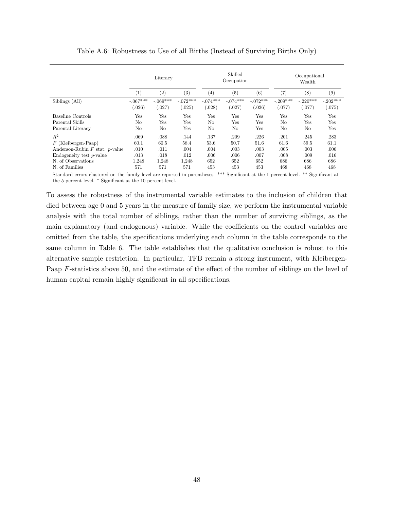<span id="page-49-0"></span>

|                                     | Literacy   |            |            |                   | Skilled<br>Occupation |            | Occupational<br>Wealth |            |            |
|-------------------------------------|------------|------------|------------|-------------------|-----------------------|------------|------------------------|------------|------------|
|                                     | (1)        | (2)        | (3)        | $\left( 4\right)$ | (5)                   | (6)        | (7)                    | $^{(8)}$   | (9)        |
| Siblings (All)                      | $-.067***$ | $-.069***$ | $-.072***$ | $-.074***$        | $-.074***$            | $-.072***$ | $-.209***$             | $-.220***$ | $-.202***$ |
|                                     | (.026)     | (.027)     | (0.025)    | (.028)            | (.027)                | (.026)     | (077)                  | (.077)     | (075)      |
| Baseline Controls                   | Yes        | Yes        | Yes        | Yes               | Yes                   | Yes        | Yes                    | Yes        | Yes        |
| Parental Skills                     | No         | Yes        | Yes        | $\rm No$          | Yes                   | Yes        | No                     | Yes        | Yes        |
| Parental Literacy                   | No         | No         | Yes        | $\rm No$          | N <sub>o</sub>        | Yes        | No                     | $\rm No$   | Yes        |
| $R^2$                               | .069       | .088       | .144       | .137              | .209                  | .226       | .201                   | .245       | .283       |
| $F$ (Kleibergen-Paap)               | 60.1       | 60.5       | 58.4       | 53.6              | 50.7                  | 51.6       | 61.6                   | 59.5       | 61.1       |
| Anderson-Rubin $F$ stat. $p$ -value | .010       | .011       | .004       | .004              | .003                  | .003       | .005                   | .003       | .006       |
| Endogeneity test $p$ -value         | .013       | .018       | .012       | .006              | .006                  | .007       | .008                   | .009       | .016       |
| N. of Observations                  | 1.248      | 1.248      | 1,248      | 652               | 652                   | 652        | 686                    | 686        | 686        |
| N. of Families                      | 571        | 571        | 571        | 453               | 453                   | 453        | 468                    | 468        | 468        |

Table A.6: Robustness to Use of all Births (Instead of Surviving Births Only)

Standard errors clustered on the family level are reported in parentheses. \*\*\* Significant at the 1 percent level. \*\* Significant at the 5 percent level. \* Significant at the 10 percent level.

To assess the robustness of the instrumental variable estimates to the inclusion of children that died between age 0 and 5 years in the measure of family size, we perform the instrumental variable analysis with the total number of siblings, rather than the number of surviving siblings, as the main explanatory (and endogenous) variable. While the coefficients on the control variables are omitted from the table, the specifications underlying each column in the table corresponds to the same column in Table [6.](#page-33-0) The table establishes that the qualitative conclusion is robust to this alternative sample restriction. In particular, TFB remain a strong instrument, with Kleibergen-Paap *F*-statistics above 50, and the estimate of the effect of the number of siblings on the level of human capital remain highly significant in all specifications.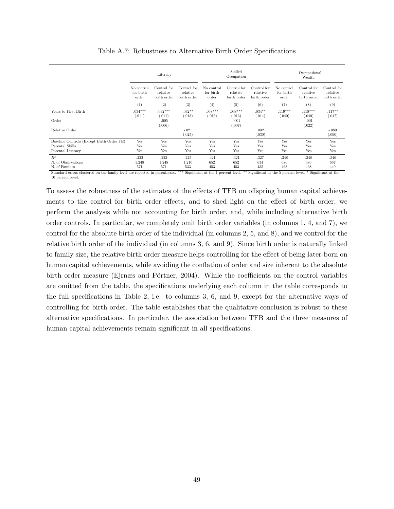<span id="page-50-1"></span><span id="page-50-0"></span>

|                                           | Literacy                         |                                        |                                        |                                  | Skilled<br>Occupation                  |                                        | Occupational<br>Wealth           |                                        |                                        |
|-------------------------------------------|----------------------------------|----------------------------------------|----------------------------------------|----------------------------------|----------------------------------------|----------------------------------------|----------------------------------|----------------------------------------|----------------------------------------|
|                                           | No control<br>for birth<br>order | Control for<br>relative<br>birth order | Control for<br>relative<br>birth order | No control<br>for birth<br>order | Control for<br>relative<br>birth order | Control for<br>relative<br>birth order | No control<br>for birth<br>order | Control for<br>relative<br>birth order | Control for<br>relative<br>birth order |
|                                           | (1)                              | (2)                                    | (3)                                    | (4)                              | (5)                                    | (6)                                    | (7)                              | (8)                                    | (9)                                    |
| Years to First Birth                      | $.034***$<br>(.011)              | $.032***$<br>(.011)                    | $.032**$<br>(.013)                     | $.038***$<br>(.013)              | $.038***$<br>(.013)                    | $.034**$<br>(.014)                     | $.119***$<br>(.040)              | $.118***$<br>(.040)                    | $.117**$<br>(.047)                     |
| Order                                     |                                  | $-.005$<br>(.006)                      |                                        |                                  | $-.001$<br>(.007)                      |                                        |                                  | $-.001$<br>(.022)                      |                                        |
| Relative Order                            |                                  |                                        | $-.021$<br>(.025)                      |                                  |                                        | .002<br>(.030)                         |                                  |                                        | $-.089$<br>(.090)                      |
| Baseline Controls (Except Birth Order FE) | Yes                              | Yes                                    | Yes                                    | Yes                              | Yes                                    | Yes                                    | Yes                              | Yes                                    | Yes                                    |
| Parental Skills                           | Yes                              | Yes                                    | Yes                                    | Yes                              | Yes                                    | Yes                                    | Yes                              | Yes                                    | Yes                                    |
| Parental Literacy                         | Yes                              | Yes                                    | Yes                                    | Yes                              | Yes                                    | Yes                                    | Yes                              | Yes                                    | Yes                                    |
| $R^2$                                     | .222                             | .223                                   | .225                                   | .321                             | .321                                   | .327                                   | .348                             | .348                                   | .346                                   |
| N. of Observations                        | 1,248                            | 1,248                                  | 1,210                                  | 652                              | 652                                    | 634                                    | 686                              | 686                                    | 667                                    |
| N. of Families                            | 571                              | 571                                    | 533                                    | 453                              | 453                                    | 435                                    | 468                              | 468                                    | 449                                    |

Table A.7: Robustness to Alternative Birth Order Specifications

Standard errors clustered on the family level are reported in parentheses. \*\*\* Significant at the 1 percent level. \*\* Significant at the 5 percent level. \* Significant at the 10 percent level.

To assess the robustness of the estimates of the effects of TFB on offspring human capital achievements to the control for birth order effects, and to shed light on the effect of birth order, we perform the analysis while not accounting for birth order, and, while including alternative birth order controls. In particular, we completely omit birth order variables (in columns 1, 4, and 7), we control for the absolute birth order of the individual (in columns 2, 5, and 8), and we control for the relative birth order of the individual (in columns 3, 6, and 9). Since birth order is naturally linked to family size, the relative birth order measure helps controlling for the effect of being later-born on human capital achievements, while avoiding the conflation of order and size inherent to the absolute birth order measure (Ejrnæs and Pörtner, 2004). While the coefficients on the control variables are omitted from the table, the specifications underlying each column in the table corresponds to the full specifications in Table [2,](#page-20-0) i.e. to columns 3, 6, and 9, except for the alternative ways of controlling for birth order. The table establishes that the qualitative conclusion is robust to these alternative specifications. In particular, the association between TFB and the three measures of human capital achievements remain significant in all specifications.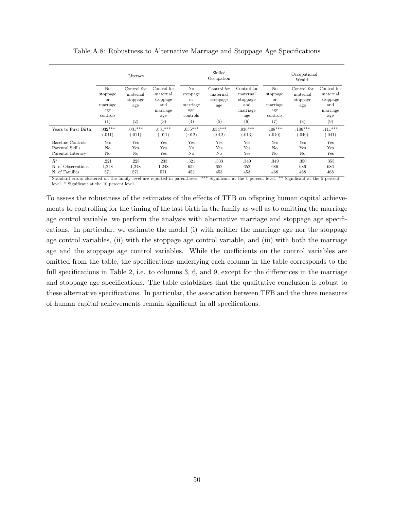<span id="page-51-0"></span>

|                      |                                                                        | Literacy                                   |                                                               |                                                                        | Skilled<br>Occupation                      |                                                               | Occupational<br>Wealth                                     |                                            |                                                               |
|----------------------|------------------------------------------------------------------------|--------------------------------------------|---------------------------------------------------------------|------------------------------------------------------------------------|--------------------------------------------|---------------------------------------------------------------|------------------------------------------------------------|--------------------------------------------|---------------------------------------------------------------|
|                      | N <sub>o</sub><br>stoppage<br><b>or</b><br>marriage<br>age<br>controls | Control for<br>maternal<br>stoppage<br>age | Control for<br>maternal<br>stoppage<br>and<br>marriage<br>age | N <sub>o</sub><br>stoppage<br><b>or</b><br>marriage<br>age<br>controls | Control for<br>maternal<br>stoppage<br>age | Control for<br>maternal<br>stoppage<br>and<br>marriage<br>age | No<br>stoppage<br><b>or</b><br>marriage<br>age<br>controls | Control for<br>maternal<br>stoppage<br>age | Control for<br>maternal<br>stoppage<br>and<br>marriage<br>age |
|                      | (1)                                                                    | (2)                                        | (3)                                                           | (4)                                                                    | (5)                                        | (6)                                                           | (7)                                                        | (8)                                        | (9)                                                           |
| Years to First Birth | $.032***$                                                              | $.031***$                                  | $.031***$                                                     | $.035***$                                                              | $.034***$                                  | $.036***$                                                     | $.108***$                                                  | $.106***$                                  | $.111***$                                                     |
|                      | (.011)                                                                 | (.011)                                     | (.011)                                                        | (.012)                                                                 | (.012)                                     | (.013)                                                        | .040)                                                      | (.040)                                     | (.041)                                                        |
| Baseline Controls    | Yes                                                                    | Yes                                        | Yes                                                           | Yes                                                                    | Yes                                        | Yes                                                           | Yes                                                        | Yes                                        | Yes                                                           |
| Parental Skills      | No                                                                     | Yes                                        | <b>Yes</b>                                                    | No                                                                     | Yes                                        | Yes                                                           | No                                                         | Yes                                        | Yes                                                           |
| Parental Literacy    | N <sub>o</sub>                                                         | No                                         | Yes                                                           | N <sub>o</sub>                                                         | N <sub>o</sub>                             | Yes                                                           | No                                                         | No                                         | Yes                                                           |
| $R^2$                | .221                                                                   | .228                                       | .233                                                          | .321                                                                   | .333                                       | .340                                                          | .349                                                       | .350                                       | .355                                                          |
| N. of Observations   | 1,248                                                                  | 1,248                                      | 1,248                                                         | 652                                                                    | 652                                        | 652                                                           | 686                                                        | 686                                        | 686                                                           |
| N. of Families       | 571                                                                    | 571                                        | 571                                                           | 453                                                                    | 453                                        | 453                                                           | 468                                                        | 468                                        | 468                                                           |

Table A.8: Robustness to Alternative Marriage and Stoppage Age Specifications

Standard errors clustered on the family level are reported in parentheses. \*\*\* Significant at the 1 percent level. \*\* Significant at the 5 percent level. \* Significant at the 10 percent level.

To assess the robustness of the estimates of the effects of TFB on offspring human capital achievements to controlling for the timing of the last birth in the family as well as to omitting the marriage age control variable, we perform the analysis with alternative marriage and stoppage age specifications. In particular, we estimate the model (i) with neither the marriage age nor the stoppage age control variables, (ii) with the stoppage age control variable, and (iii) with both the marriage age and the stoppage age control variables. While the coefficients on the control variables are omitted from the table, the specifications underlying each column in the table corresponds to the full specifications in Table [2,](#page-20-0) i.e. to columns  $3, 6$ , and  $9$ , except for the differences in the marriage and stoppage age specifications. The table establishes that the qualitative conclusion is robust to these alternative specifications. In particular, the association between TFB and the three measures of human capital achievements remain significant in all specifications.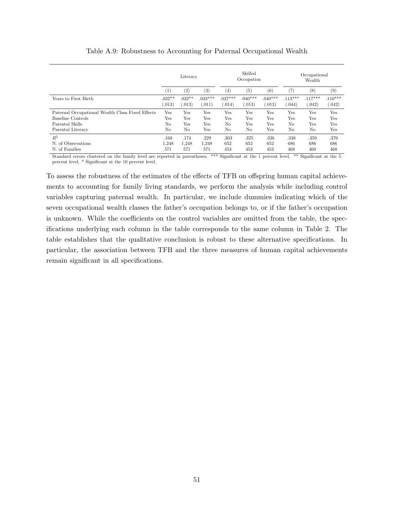<span id="page-52-0"></span>

|                                                  | Literacy         |                   |           | Skilled<br>Occupation |                |           | Occupational<br>Wealth |                |           |
|--------------------------------------------------|------------------|-------------------|-----------|-----------------------|----------------|-----------|------------------------|----------------|-----------|
|                                                  | $\left(1\right)$ | $\left( 2\right)$ | $^{(3)}$  | $\left( 4\right)$     | (5)            | (6)       | (7)                    | (8)            | $^{(9)}$  |
| Years to First Birth                             | $.032**$         | $.032**$          | $.033***$ | $.037***$             | $.040***$      | $.040***$ | $.113***$              | $.117***$      | $.110***$ |
|                                                  | (.013)           | (0.013)           | (0.011)   | (.014)                | (.013)         | (0.013)   | (.044)                 | (.042)         | (.042)    |
| Paternal Occupational Wealth Class Fixed Effects | Yes              | Yes               | Yes       | Yes                   | Yes            | Yes       | Yes                    | Yes            | Yes       |
| Baseline Controls                                | Yes              | Yes               | Yes       | Yes                   | Yes            | Yes       | Yes                    | Yes            | Yes       |
| Parental Skills                                  | No               | Yes               | Yes       | N <sub>o</sub>        | Yes            | Yes       | N <sub>o</sub>         | Yes            | Yes       |
| Parental Literacy                                | No               | No                | Yes       | No                    | N <sub>o</sub> | Yes       | No                     | N <sub>o</sub> | Yes       |
| $R^2$                                            | .168             | .174              | .229      | .303                  | .325           | .336      | .338                   | .359           | .376      |
| N. of Observations                               | 1,248            | 1,248             | 1,248     | 652                   | 652            | 652       | 686                    | 686            | 686       |
| N. of Families                                   | 571              | 571               | 571       | 453                   | 453            | 453       | 468                    | 468            | 468       |

Table A.9: Robustness to Accounting for Paternal Occupational Wealth

Standard errors clustered on the family level are reported in parentheses. \*\*\* Significant at the 1 percent level. \*\* Significant at the 5 percent level. \* Significant at the 10 percent level.

To assess the robustness of the estimates of the effects of TFB on offspring human capital achievements to accounting for family living standards, we perform the analysis while including control variables capturing paternal wealth. In particular, we include dummies indicating which of the seven occupational wealth classes the father's occupation belongs to, or if the father's occupation is unknown. While the coefficients on the control variables are omitted from the table, the specifications underlying each column in the table corresponds to the same column in Table [2.](#page-20-0) The table establishes that the qualitative conclusion is robust to these alternative specifications. In particular, the association between TFB and the three measures of human capital achievements remain significant in all specifications.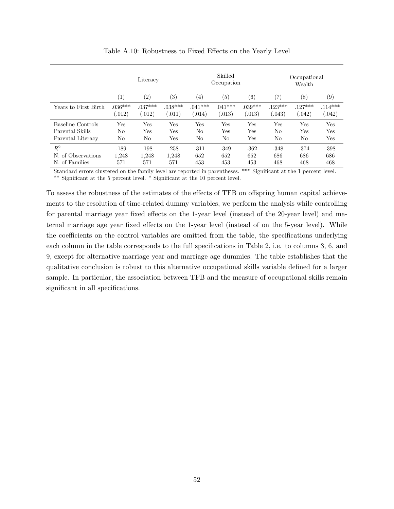<span id="page-53-0"></span>

|                                                           | Literacy             |                      |                          |                     | Skilled<br>Occupation     |                            | Occupational<br>Wealth |                         |                     |
|-----------------------------------------------------------|----------------------|----------------------|--------------------------|---------------------|---------------------------|----------------------------|------------------------|-------------------------|---------------------|
|                                                           | (1)                  | (2)                  | $\left( 3\right)$        | $\left( 4\right)$   | (5)                       | (6)                        | $\scriptstyle{(7)}$    | (8)                     | (9)                 |
| Years to First Birth                                      | $.036***$<br>(.012)  | $.037***$<br>(.012)  | $.038***$<br>(.011)      | $.041***$<br>0.014) | $.041***$<br>(.013)       | $.039***$<br>(.013)        | $.123***$<br>0.043)    | $.127***$<br>(.042)     | $.114***$<br>(.042) |
| Baseline Controls<br>Parental Skills<br>Parental Literacy | Yes<br>No<br>No      | Yes<br>Yes<br>No     | Yes<br><b>Yes</b><br>Yes | Yes<br>No<br>No     | $_{\rm Yes}$<br>Yes<br>No | Yes<br>Yes<br>$_{\rm Yes}$ | Yes<br>No<br>No        | Yes<br><b>Yes</b><br>No | Yes<br>Yes<br>Yes   |
| $R^2$<br>of Observations<br>N.<br>N. of Families          | .189<br>1,248<br>571 | .198<br>1,248<br>571 | .258<br>1,248<br>571     | .311<br>652<br>453  | .349<br>652<br>453        | .362<br>652<br>453         | .348<br>686<br>468     | .374<br>686<br>468      | .398<br>686<br>468  |

Table A.10: Robustness to Fixed Effects on the Yearly Level

Standard errors clustered on the family level are reported in parentheses. \*\*\* Significant at the 1 percent level. \*\* Significant at the 5 percent level. \* Significant at the 10 percent level.

To assess the robustness of the estimates of the effects of TFB on offspring human capital achievements to the resolution of time-related dummy variables, we perform the analysis while controlling for parental marriage year fixed effects on the 1-year level (instead of the 20-year level) and maternal marriage age year fixed effects on the 1-year level (instead of on the 5-year level). While the coefficients on the control variables are omitted from the table, the specifications underlying each column in the table corresponds to the full specifications in Table [2,](#page-20-0) i.e. to columns 3, 6, and 9, except for alternative marriage year and marriage age dummies. The table establishes that the qualitative conclusion is robust to this alternative occupational skills variable defined for a larger sample. In particular, the association between TFB and the measure of occupational skills remain significant in all specifications.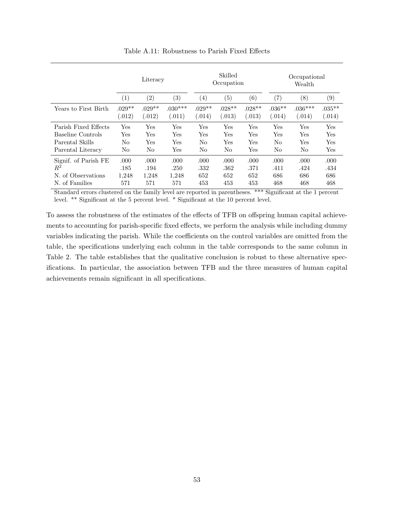<span id="page-54-0"></span>

|                                                                                   | Literacy                     |                                        |                              | Skilled<br>Occupation      |                            |                            | Occupational<br>Wealth             |                            |                            |
|-----------------------------------------------------------------------------------|------------------------------|----------------------------------------|------------------------------|----------------------------|----------------------------|----------------------------|------------------------------------|----------------------------|----------------------------|
|                                                                                   | $\left( 1\right)$            | $\left( 2\right)$<br>$\left( 3\right)$ |                              | $\left( 4\right)$          | $\left( 5\right)$          | (6)                        | (7)                                | (8)                        | $\left( 9\right)$          |
| Years to First Birth                                                              | $.029**$<br>(.012)           | $.029**$<br>(.012)                     | $0.30***$<br>(.011)          | $.029**$<br>(.014)         | $.028**$<br>0.013)         | $.028**$<br>0.013)         | $.036**$<br>(.014)                 | $.036***$<br>(.014)        | $.035**$<br>(.014)         |
| Parish Fixed Effects<br>Baseline Controls<br>Parental Skills<br>Parental Literacy | Yes<br>Yes<br>No<br>No       | Yes<br>Yes<br>Yes<br>N <sub>o</sub>    | Yes<br>Yes<br>Yes<br>Yes     | Yes<br>Yes<br>No<br>No     | Yes<br>Yes<br>Yes<br>No    | Yes<br>Yes<br>Yes<br>Yes   | Yes<br>Yes<br>No<br>N <sub>o</sub> | Yes<br>Yes<br>Yes<br>No    | Yes<br>Yes<br>Yes<br>Yes   |
| Signif. of Parish FE<br>$R^2$<br>Ν.<br>of Observations<br>N. of Families          | .000<br>.185<br>1,248<br>571 | .000<br>.194<br>1,248<br>571           | .000<br>.250<br>1,248<br>571 | .000<br>.332<br>652<br>453 | .000<br>.362<br>652<br>453 | .000<br>.371<br>652<br>453 | .000<br>.411<br>686<br>468         | .000<br>.424<br>686<br>468 | .000<br>.434<br>686<br>468 |

Table A.11: Robustness to Parish Fixed Effects

Standard errors clustered on the family level are reported in parentheses. \*\*\* Significant at the 1 percent level. \*\* Significant at the 5 percent level. \* Significant at the 10 percent level.

To assess the robustness of the estimates of the effects of TFB on offspring human capital achievements to accounting for parish-specific fixed effects, we perform the analysis while including dummy variables indicating the parish. While the coefficients on the control variables are omitted from the table, the specifications underlying each column in the table corresponds to the same column in Table [2.](#page-20-0) The table establishes that the qualitative conclusion is robust to these alternative specifications. In particular, the association between TFB and the three measures of human capital achievements remain significant in all specifications.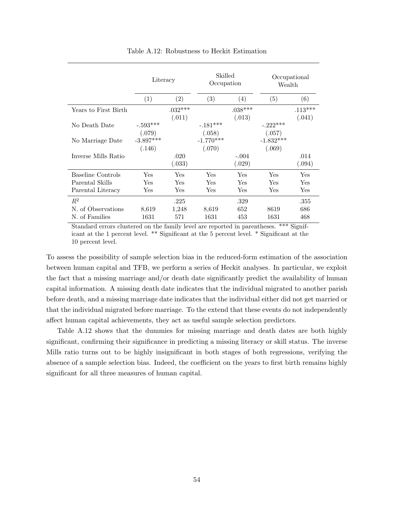<span id="page-55-0"></span>

|                      | Literacy                         |                     | Skilled<br>Occupation |                     | Occupational<br>Wealth |                     |  |
|----------------------|----------------------------------|---------------------|-----------------------|---------------------|------------------------|---------------------|--|
|                      | (1)                              | (2)                 | (3)                   | (4)                 | (5)                    | (6)                 |  |
| Years to First Birth |                                  | $.032***$<br>(.011) |                       | $.038***$<br>(.013) |                        | $.113***$<br>(.041) |  |
| No Death Date        | $-.593^{\ast\ast\ast}$<br>(.079) |                     | $-.181***$<br>(.058)  |                     | $-.222***$<br>(.057)   |                     |  |
| No Marriage Date     | $-3.897***$                      |                     | $-1.770***$           |                     | $-1.832***$            |                     |  |
|                      | (.146)                           |                     | (.070)                |                     | (.069)                 |                     |  |
| Inverse Mills Ratio  |                                  | .020                |                       | $-.004$             |                        | .014                |  |
|                      |                                  | (.033)              |                       | (.029)              |                        | (.094)              |  |
| Baseline Controls    | Yes                              | Yes                 | Yes                   | Yes                 | Yes                    | Yes                 |  |
| Parental Skills      | Yes                              | Yes                 | Yes                   | Yes                 | Yes                    | Yes                 |  |
| Parental Literacy    | Yes                              | Yes                 | Yes                   | Yes                 | Yes                    | Yes                 |  |
| $R^2$                |                                  | .225                |                       | .329                |                        | .355                |  |
| N. of Observations   | 8,619                            | 1,248               | 8,619                 | 652                 | 8619                   | 686                 |  |
| N. of Families       | 1631                             | 571                 | 1631                  | 453                 | 1631                   | 468                 |  |

Table A.12: Robustness to Heckit Estimation

Standard errors clustered on the family level are reported in parentheses. \*\*\* Significant at the 1 percent level. \*\* Significant at the 5 percent level. \* Significant at the 10 percent level.

To assess the possibility of sample selection bias in the reduced-form estimation of the association between human capital and TFB, we perform a series of Heckit analyses. In particular, we exploit the fact that a missing marriage and/or death date significantly predict the availability of human capital information. A missing death date indicates that the individual migrated to another parish before death, and a missing marriage date indicates that the individual either did not get married or that the individual migrated before marriage. To the extend that these events do not independently affect human capital achievements, they act as useful sample selection predictors.

Table A[.12](#page-55-0) shows that the dummies for missing marriage and death dates are both highly significant, confirming their significance in predicting a missing literacy or skill status. The inverse Mills ratio turns out to be highly insignificant in both stages of both regressions, verifying the absence of a sample selection bias. Indeed, the coefficient on the years to first birth remains highly significant for all three measures of human capital.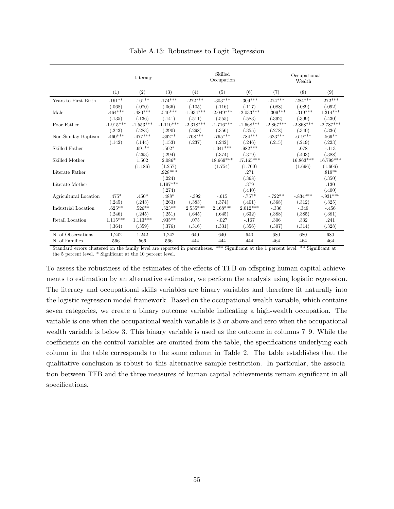<span id="page-56-0"></span>

|                       |             | Literacy    |             |             | Skilled<br>Occupation |             |             | Occupational<br>Wealth |             |  |
|-----------------------|-------------|-------------|-------------|-------------|-----------------------|-------------|-------------|------------------------|-------------|--|
|                       | (1)         | (2)         | (3)         | (4)         | (5)                   | (6)         | (7)         | (8)                    | (9)         |  |
| Years to First Birth  | $.161**$    | $.161**$    | $.174***$   | $.272***$   | $.303***$             | $.309***$   | $.274***$   | $.284***$              | $.272***$   |  |
|                       | (.068)      | (.070)      | (.066)      | (.105)      | (.116)                | (.117)      | (.088)      | (.089)                 | (.092)      |  |
| Male                  | $.464***$   | $.480***$   | $.540***$   | $-1.934***$ | $-2.049***$           | $-2.033***$ | $1.309***$  | $1.319***$             | $1.314***$  |  |
|                       | (.135)      | (.136)      | (.141)      | (.511)      | (.555)                | (.583)      | (.392)      | (.399)                 | (.430)      |  |
| Poor Father           | $-1.915***$ | $-1.553***$ | $-1.110***$ | $-2.318***$ | $-1.716***$           | $-1.668***$ | $-2.867***$ | $-2.868***$            | $-2.787***$ |  |
|                       | (.243)      | (.283)      | (.290)      | (.298)      | (.356)                | (.355)      | (.278)      | (.340)                 | (.336)      |  |
| Non-Sunday Baptism    | $.460***$   | $.477***$   | $.392**$    | $.708***$   | $.765***$             | $.784***$   | $.623***$   | $.619***$              | $.569**$    |  |
|                       | (.142)      | (.144)      | (.153)      | (.237)      | (.242)                | (.246)      | (.215)      | (.219)                 | (.223)      |  |
| Skilled Father        |             | $.691**$    | $.502*$     |             | $1.041***$            | $.982***$   |             | .078                   | $-.113$     |  |
|                       |             | (.293)      | (.294)      |             | (.374)                | (.379)      |             | (.403)                 | (.388)      |  |
| Skilled Mother        |             | 1.502       | $2.086*$    |             | $18.669***$           | 17.165***   |             | $16.863***$            | 16.799***   |  |
|                       |             | (1.186)     | (1.257)     |             | (1.754)               | (1.700)     |             | (1.696)                | (1.606)     |  |
| Literate Father       |             |             | $.928***$   |             |                       | .271        |             |                        | $.819**$    |  |
|                       |             |             | (.224)      |             |                       | (.368)      |             |                        | (.350)      |  |
| Literate Mother       |             |             | $1.197***$  |             |                       | .379        |             |                        | .130        |  |
|                       |             |             | (.274)      |             |                       | (.440)      |             |                        | (.400)      |  |
| Agricultural Location | $.475*$     | $.450*$     | $.488*$     | $-392$      | $-.615$               | $-.757*$    | $-.722**$   | $-.834***$             | $-931***$   |  |
|                       | (.245)      | (.243)      | (.263)      | (.383)      | (.374)                | (.401)      | (.368)      | (.312)                 | (.325)      |  |
| Industrial Location   | $.625**$    | $.526**$    | $.523**$    | $2.535***$  | $2.168***$            | $2.012***$  | $-.336$     | $-.349$                | $-.456$     |  |
|                       | (.246)      | (.245)      | (.251)      | (.645)      | (.645)                | (.632)      | (.388)      | (.385)                 | (.381)      |  |
| Retail Location       | $1.115***$  | $1.113***$  | $.935***$   | .075        | $-.027$               | $-.167$     | .306        | .332                   | .241        |  |
|                       | (.364)      | (.359)      | (.376)      | (.316)      | (.331)                | (.356)      | (.307)      | (.314)                 | (.328)      |  |
| N. of Observations    | 1,242       | 1,242       | 1,242       | 640         | 640                   | 640         | 680         | 680                    | 680         |  |
| N. of Families        | 566         | 566         | 566         | 444         | 444                   | 444         | 464         | 464                    | 464         |  |

Table A.13: Robustness to Logit Regression

Standard errors clustered on the family level are reported in parentheses. \*\*\* Significant at the 1 percent level. \*\* Significant at the 5 percent level. \* Significant at the 10 percent level.

To assess the robustness of the estimates of the effects of TFB on offspring human capital achievements to estimation by an alternative estimator, we perform the analysis using logistic regression. The literacy and occupational skills variables are binary variables and therefore fit naturally into the logistic regression model framework. Based on the occupational wealth variable, which contains seven categories, we create a binary outcome variable indicating a high-wealth occupation. The variable is one when the occupational wealth variable is 3 or above and zero when the occupational wealth variable is below 3. This binary variable is used as the outcome in columns 7–9. While the coefficients on the control variables are omitted from the table, the specifications underlying each column in the table corresponds to the same column in Table [2.](#page-20-0) The table establishes that the qualitative conclusion is robust to this alternative sample restriction. In particular, the association between TFB and the three measures of human capital achievements remain significant in all specifications.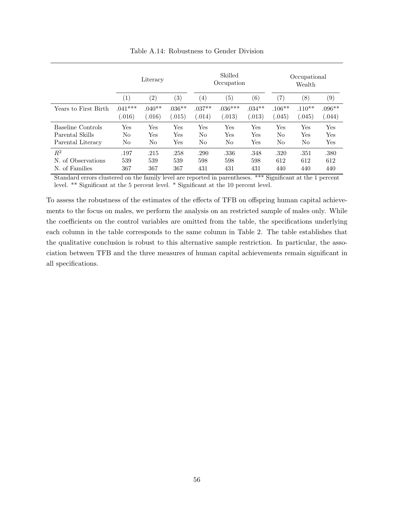<span id="page-57-0"></span>

|                                                           | Literacy             |                    |                    |                    | Skilled<br>Occupation |                    | Occupational<br>Wealth |                    |                                    |  |
|-----------------------------------------------------------|----------------------|--------------------|--------------------|--------------------|-----------------------|--------------------|------------------------|--------------------|------------------------------------|--|
|                                                           | $\left( 1\right)$    | $\left( 2\right)$  | $\left( 3\right)$  | $\left( 4\right)$  | $\left( 5\right)$     | (6)                | $\left( 7\right)$      | $\left(8\right)$   | (9)                                |  |
| Years to First Birth                                      | $.041***$<br>(0.016) | $.040**$<br>0.016) | $.036**$<br>(.015) | $.037**$<br>(.014) | $.036***$<br>(.013)   | $.034**$<br>(.013) | $.106**$<br>(.045)     | $.110**$<br>0.045) | $.096**$<br>(.044)                 |  |
| Baseline Controls<br>Parental Skills<br>Parental Literacy | Yes<br>No<br>No      | Yes<br>Yes<br>No   | Yes<br>Yes<br>Yes  | Yes<br>No<br>No    | Yes<br>Yes<br>No      | Yes<br>Yes<br>Yes  | Yes<br>No<br>No        | Yes<br>Yes<br>No   | Yes<br>Yes<br>$\operatorname{Yes}$ |  |
| $\,R^2$<br>of Observations<br>N.<br>N. of Families        | .197<br>539<br>367   | .215<br>539<br>367 | .258<br>539<br>367 | .290<br>598<br>431 | .336<br>598<br>431    | .348<br>598<br>431 | .320<br>612<br>440     | .351<br>612<br>440 | .380<br>612<br>440                 |  |

Table A.14: Robustness to Gender Division

Standard errors clustered on the family level are reported in parentheses. \*\*\* Significant at the 1 percent level. \*\* Significant at the 5 percent level. \* Significant at the 10 percent level.

To assess the robustness of the estimates of the effects of TFB on offspring human capital achievements to the focus on males, we perform the analysis on an restricted sample of males only. While the coefficients on the control variables are omitted from the table, the specifications underlying each column in the table corresponds to the same column in Table [2.](#page-20-0) The table establishes that the qualitative conclusion is robust to this alternative sample restriction. In particular, the association between TFB and the three measures of human capital achievements remain significant in all specifications.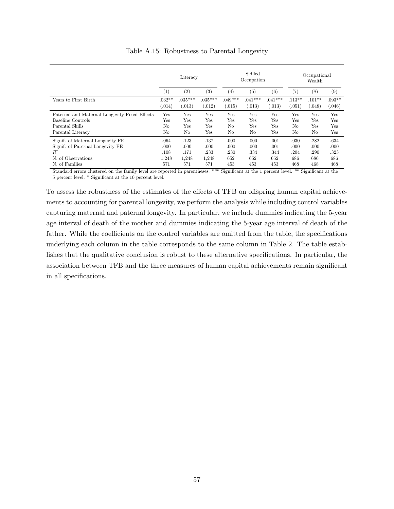<span id="page-58-0"></span>

|                                               | Literacy            |                     |                     |                     | Skilled<br>Occupation |                     | Occupational<br>Wealth |                   |                    |
|-----------------------------------------------|---------------------|---------------------|---------------------|---------------------|-----------------------|---------------------|------------------------|-------------------|--------------------|
|                                               | $^{(1)}$            | (2)                 | (3)                 | (4)                 | $\left( 5\right)$     | (6)                 | (7)                    | $^{(8)}$          | (9)                |
| Years to First Birth                          | $.032**$<br>(0.014) | $.035***$<br>(.013) | $.035***$<br>(.012) | $.049***$<br>(.015) | $.041***$<br>(.013)   | $.041***$<br>(.013) | $.113**$<br>.051)      | $.101**$<br>0.048 | $.093**$<br>0.046) |
| Paternal and Maternal Longevity Fixed Effects | Yes                 | Yes                 | Yes                 | Yes                 | Yes                   | Yes                 | Yes                    | Yes               | Yes                |
| Baseline Controls                             | Yes                 | Yes                 | Yes                 | Yes                 | Yes                   | Yes                 | Yes                    | Yes               | Yes                |
| Parental Skills                               | No                  | Yes                 | Yes                 | No                  | Yes                   | Yes                 | No                     | Yes               | Yes                |
| Parental Literacy                             | No                  | No                  | Yes                 | No                  | No                    | Yes                 | No                     | No                | Yes                |
| Signif. of Maternal Longevity FE              | .064                | .123                | .137                | .000                | .000                  | .001                | .030                   | .282              | .634               |
| Signif. of Paternal Longevity FE              | .000                | .000                | .000                | .000                | .000                  | .001                | .000                   | .000              | .000               |
| $R^2$                                         | .108                | .171                | .233                | .230                | .334                  | .344                | .204                   | .290              | .323               |
| N. of Observations                            | 1,248               | 1,248               | 1,248               | 652                 | 652                   | 652                 | 686                    | 686               | 686                |
| N. of Families                                | 571                 | 571                 | 571                 | 453                 | 453                   | 453                 | 468                    | 468               | 468                |

Table A.15: Robustness to Parental Longevity

Standard errors clustered on the family level are reported in parentheses. \*\*\* Significant at the 1 percent level. \*\* Significant at the 5 percent level. \* Significant at the 10 percent level.

To assess the robustness of the estimates of the effects of TFB on offspring human capital achievements to accounting for parental longevity, we perform the analysis while including control variables capturing maternal and paternal longevity. In particular, we include dummies indicating the 5-year age interval of death of the mother and dummies indicating the 5-year age interval of death of the father. While the coefficients on the control variables are omitted from the table, the specifications underlying each column in the table corresponds to the same column in Table [2.](#page-20-0) The table establishes that the qualitative conclusion is robust to these alternative specifications. In particular, the association between TFB and the three measures of human capital achievements remain significant in all specifications.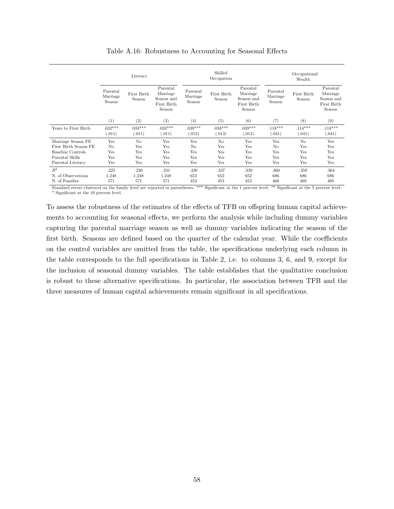<span id="page-59-0"></span>

|                          | Literacy                       |                       |                                                             |                                | Skilled<br>Occupation |                                                             | Occupational<br>Wealth         |                       |                                                             |  |
|--------------------------|--------------------------------|-----------------------|-------------------------------------------------------------|--------------------------------|-----------------------|-------------------------------------------------------------|--------------------------------|-----------------------|-------------------------------------------------------------|--|
|                          | Parental<br>Marriage<br>Season | First Birth<br>Season | Parental<br>Marriage<br>Season and<br>First Birth<br>Season | Parental<br>Marriage<br>Season | First Birth<br>Season | Parental<br>Marriage<br>Season and<br>First Birth<br>Season | Parental<br>Marriage<br>Season | First Birth<br>Season | Parental<br>Marriage<br>Season and<br>First Birth<br>Season |  |
|                          | (1)                            | (2)                   | (3)                                                         | (4)                            | (5)                   | (6)                                                         | (7)                            | (8)                   | (9)                                                         |  |
| Years to First Birth     | $.032***$<br>(.011)            | $.033***$<br>(.011)   | $.033***$<br>(0.011)                                        | $.039***$<br>(.013)            | $.038***$<br>(.013)   | $.039***$<br>(.013)                                         | $.118***$<br>(.041)            | $.114***$<br>(.041)   | $.118***$<br>(.041)                                         |  |
| Marriage Season FE       | Yes                            | No                    | Yes                                                         | Yes                            | No                    | Yes                                                         | Yes                            | No                    | Yes                                                         |  |
| First Birth Season FE    | N <sub>o</sub>                 | Yes                   | Yes                                                         | N <sub>o</sub>                 | Yes                   | Yes                                                         | N <sub>o</sub>                 | Yes                   | Yes                                                         |  |
| <b>Baseline Controls</b> | Yes                            | Yes                   | Yes                                                         | Yes                            | Yes                   | Yes                                                         | Yes                            | Yes                   | Yes                                                         |  |
| Parental Skills          | Yes                            | Yes                   | Yes                                                         | Yes                            | Yes                   | Yes                                                         | Yes                            | Yes                   | Yes                                                         |  |
| Parental Literacy        | Yes                            | Yes                   | Yes                                                         | Yes                            | Yes                   | Yes                                                         | Yes                            | Yes                   | Yes                                                         |  |
| $R^2$                    | .225                           | .230                  | .231                                                        | .330                           | .337                  | .339                                                        | .360                           | .359                  | .364                                                        |  |
| N. of Observations       | 1,248                          | 1,248                 | 1,248                                                       | 652                            | 652                   | 652                                                         | 686                            | 686                   | 686                                                         |  |
| N. of Families           | 571                            | 571                   | 571                                                         | 453                            | 453                   | 453                                                         | 468                            | 468                   | 468                                                         |  |

Table A.16: Robustness to Accounting for Seasonal Effects

Standard errors clustered on the family level are reported in parentheses. \*\*\* Significant at the 1 percent level. \*\* Significant at the 5 percent level.  $^\ast$  Significant at the 10 percent level.

To assess the robustness of the estimates of the effects of TFB on offspring human capital achievements to accounting for seasonal effects, we perform the analysis while including dummy variables capturing the parental marriage season as well as dummy variables indicating the season of the first birth. Seasons are defined based on the quarter of the calendar year. While the coefficients on the control variables are omitted from the table, the specifications underlying each column in the table corresponds to the full specifications in Table [2,](#page-20-0) i.e. to columns 3, 6, and 9, except for the inclusion of seasonal dummy variables. The table establishes that the qualitative conclusion is robust to these alternative specifications. In particular, the association between TFB and the three measures of human capital achievements remain significant in all specifications.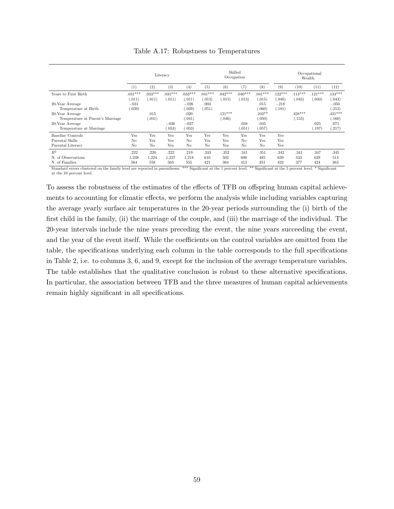<span id="page-60-0"></span>

|                                  | Literacy            |                     |                      |                      | Skilled<br>Occupation |                     |                     |                     | Occupational<br>Wealth |                     |                     |                   |
|----------------------------------|---------------------|---------------------|----------------------|----------------------|-----------------------|---------------------|---------------------|---------------------|------------------------|---------------------|---------------------|-------------------|
|                                  | (1)                 | (2)                 | (3)                  | (4)                  | (5)                   | (6)                 | (7)                 | (8)                 | (9)                    | (10)                | (11)                | (12)              |
| Years to First Birth             | $.031***$<br>(.011) | $.033***$<br>(.011) | $.031***$<br>(0.011) | $.033***$<br>(0.011) | $.041***$<br>(.013)   | $.042***$<br>(.015) | $.040***$<br>(.013) | $.041***$<br>(.015) | $.122***$<br>0.040)    | $.113***$<br>(.043) | $.121***$<br>(.040) | $.134***$<br>043) |
| 20-Year Average                  | $-.031$             |                     |                      | $-.026$              | .003                  |                     |                     | .015                | $-.218$                |                     |                     | $-.050$           |
| Temperature at Birth             | (.039)              |                     |                      | .039)                | (.051)                |                     |                     | .060)               | (.181)                 |                     |                     | .213)             |
| 20-Year Average                  |                     | .015                |                      | .020                 |                       | $.121***$           |                     | $.103**$            |                        | $.458***$           |                     | $.431***$         |
| Temperature at Parent's Marriage |                     | (.041)              |                      | (.041)               |                       | (.046)              |                     | (.050)              |                        | .153)               |                     | .160)             |
| 20-Year Average                  |                     |                     | $-.036$              | $-.037$              |                       |                     | .058                | .045                |                        |                     | .025                | .071              |
| Temperature at Marriage          |                     |                     | (.053)               | .053)                |                       |                     | .051)               | (.057)              |                        |                     | (.197)              | .217)             |
| Baseline Controls                | Yes                 | Yes                 | Yes                  | Yes                  | Yes                   | Yes                 | Yes                 | Yes                 | Yes                    |                     |                     |                   |
| Parental Skills                  | No                  | Yes                 | Yes                  | No                   | Yes                   | Yes                 | N <sub>o</sub>      | Yes                 | Yes                    |                     |                     |                   |
| Parental Literacy                | N <sub>o</sub>      | No                  | Yes                  | No                   | N <sub>o</sub>        | Yes                 | N <sub>o</sub>      | N <sub>o</sub>      | Yes                    |                     |                     |                   |
| $R^2$                            | 222                 | .220                | .222                 | .219                 | .333                  | .352                | .341                | .351                | .342                   | .341                | .347                | .345              |
| N. of Observations               | 1,238               | 1,224               | 1,237                | 1,218                | 610                   | 502                 | 600                 | 485                 | 639                    | 533                 | 629                 | 514               |
| N. of Families                   | 564                 | 558                 | 563                  | 555                  | 421                   | 364                 | 413                 | 351                 | 432                    | 377                 | 424                 | 363               |

Table A.17: Robustness to Temperatures

Standard errors clustered on the family level are reported in parentheses. \*\*\* Significant at the 1 percent level. \*\* Significant at the 5 percent level. \* Significant at the 10 percent level.

To assess the robustness of the estimates of the effects of TFB on offspring human capital achievements to accounting for climatic effects, we perform the analysis while including variables capturing the average yearly surface air temperatures in the 20-year periods surrounding the (i) birth of the first child in the family, (ii) the marriage of the couple, and (iii) the marriage of the individual. The 20-year intervals include the nine years preceding the event, the nine years succeeding the event, and the year of the event itself. While the coefficients on the control variables are omitted from the table, the specifications underlying each column in the table corresponds to the full specifications in Table [2,](#page-20-0) i.e. to columns 3, 6, and 9, except for the inclusion of the average temperature variables. The table establishes that the qualitative conclusion is robust to these alternative specifications. In particular, the association between TFB and the three measures of human capital achievements remain highly significant in all specifications.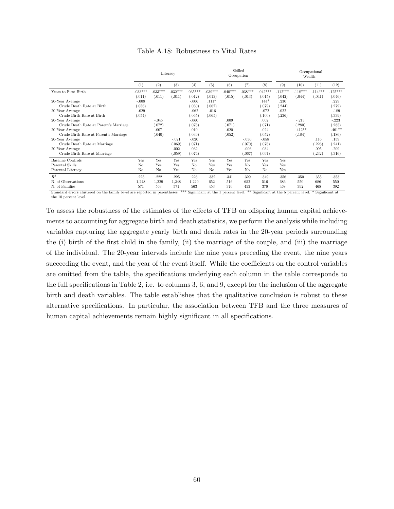| Table A.18: Robustness to Vital Rates |
|---------------------------------------|
|---------------------------------------|

<span id="page-61-0"></span>

|                                                                                                                                                                         |                                        | Skilled<br>Occupation               |                      |                                                          |                                        | Occupational<br>Wealth           |                     |                                                       |                                  |                                          |                     |                                                            |
|-------------------------------------------------------------------------------------------------------------------------------------------------------------------------|----------------------------------------|-------------------------------------|----------------------|----------------------------------------------------------|----------------------------------------|----------------------------------|---------------------|-------------------------------------------------------|----------------------------------|------------------------------------------|---------------------|------------------------------------------------------------|
|                                                                                                                                                                         | (1)                                    | (2)                                 | (3)                  | (4)                                                      | (5)                                    | (6)                              | (7)                 | (8)                                                   | (9)                              | (10)                                     | (11)                | (12)                                                       |
| Years to First Birth                                                                                                                                                    | $.033***$<br>(.011)                    | $.033***$<br>(.011)                 | $.032***$<br>(.011)  | $.035***$<br>(.012)                                      | $.039***$<br>(.013)                    | $.040***$<br>(.015)              | $.038***$<br>(.013) | $.042***$<br>(.015)                                   | $.112***$<br>(.042)              | $.118***$<br>(.044)                      | $.114***$<br>(.041) | $.125***$<br>(.046)                                        |
| 20-Year Average<br>Crude Death Rate at Birth<br>20-Year Average<br>Crude Birth Rate at Birth                                                                            | $-.008$<br>(.056)<br>$-.029$<br>(.054) |                                     |                      | $-.006$<br>(.060)<br>$-.062$<br>(.065)                   | $.111*$<br>(.067)<br>$-.016$<br>(.065) |                                  |                     | $.144*$<br>(.079)<br>$-.072$<br>(.100)                | .230<br>(.244)<br>.022<br>(.236) |                                          |                     | .229<br>(.279)<br>$-.189$<br>(.339)                        |
| 20-Year Average<br>Crude Death Rate at Parent's Marriage<br>20-Year Average<br>Crude Birth Rate at Parent's Marriage<br>20-Year Average<br>Crude Death Rate at Marriage |                                        | $-.045$<br>(.072)<br>.007<br>(.040) | $-.021$<br>(.069)    | $-.060$<br>(.076)<br>.010<br>(.039)<br>$-.020$<br>(.071) |                                        | .009<br>(.071)<br>.020<br>(.052) | $-.036$<br>(.070)   | .002<br>(.071)<br>.024<br>(.052)<br>$-.058$<br>(.076) |                                  | $-.213$<br>(.280)<br>$-.412**$<br>(.184) | .116<br>(.223)      | $-.223$<br>(.285)<br>$-.401**$<br>(.186)<br>.159<br>(.241) |
| 20-Year Average<br>Crude Birth Rate at Marriage                                                                                                                         |                                        |                                     | .002<br>(.059)       | .032<br>(.074)                                           |                                        |                                  | $-.006$<br>(.067)   | .034<br>(.097)                                        |                                  |                                          | .095<br>(.232)      | .209<br>(.316)                                             |
| <b>Baseline Controls</b><br>Parental Skills<br>Parental Literacy                                                                                                        | Yes<br>No<br>No                        | Yes<br>Yes<br>No                    | Yes<br>Yes<br>Yes    | Yes<br>No<br>No                                          | Yes<br>Yes<br>No                       | Yes<br>Yes<br>Yes                | Yes<br>No<br>No     | Yes<br>Yes<br>No                                      | Yes<br>Yes<br>Yes                |                                          |                     |                                                            |
| $R^2$<br>N. of Observations<br>N. of Families                                                                                                                           | .225<br>1,248<br>571                   | .222<br>1,229<br>563                | .225<br>1,248<br>571 | .223<br>1,229<br>563                                     | .332<br>652<br>453                     | .341<br>516<br>376               | .329<br>652<br>453  | .349<br>516<br>376                                    | .356<br>686<br>468               | .350<br>550<br>392                       | .355<br>686<br>468  | .353<br>550<br>392                                         |

Standard errors clustered on the family level are reported in parentheses. \*\*\* Significant at the 1 percent level. \*\* Significant at the 5 percent level. \* Significant at the 10 percent level.

To assess the robustness of the estimates of the effects of TFB on offspring human capital achievements to accounting for aggregate birth and death statistics, we perform the analysis while including variables capturing the aggregate yearly birth and death rates in the 20-year periods surrounding the (i) birth of the first child in the family, (ii) the marriage of the couple, and (iii) the marriage of the individual. The 20-year intervals include the nine years preceding the event, the nine years succeeding the event, and the year of the event itself. While the coefficients on the control variables are omitted from the table, the specifications underlying each column in the table corresponds to the full specifications in Table [2,](#page-20-0) i.e. to columns 3, 6, and 9, except for the inclusion of the aggregate birth and death variables. The table establishes that the qualitative conclusion is robust to these alternative specifications. In particular, the association between TFB and the three measures of human capital achievements remain highly significant in all specifications.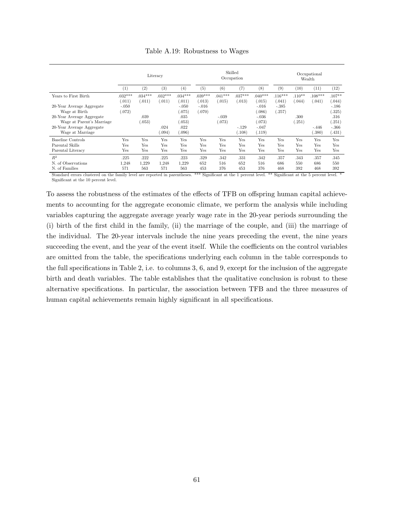<span id="page-62-0"></span>

|                           | Literacy  |           |           |                  |           | Skilled   | Occupation | Occupational<br>Wealth |           |          |           |          |
|---------------------------|-----------|-----------|-----------|------------------|-----------|-----------|------------|------------------------|-----------|----------|-----------|----------|
|                           | (1)       | (2)       | (3)       | $\left(4\right)$ | (5)       | (6)       | (7)        | (8)                    | (9)       | (10)     | (11)      | (12)     |
| Years to First Birth      | $.032***$ | $.034***$ | $.032***$ | $.034***$        | $.039***$ | $.041***$ | $.037***$  | $.040***$              | $.116***$ | $.110**$ | $.108***$ | $.107**$ |
|                           | (.011)    | (.011)    | (.011)    | (.011)           | (.013)    | (.015)    | (.013)     | (.015)                 | 0.041)    | (.044)   | (.041)    | (.044)   |
| 20-Year Average Aggregate | $-.050$   |           |           | $-.050$          | $-.016$   |           |            | $-.016$                | $-.385$   |          |           | $-.186$  |
| Wage at Birth             | (.072)    |           |           | (.075)           | (.070)    |           |            | (.086)                 | (.257)    |          |           | (.325)   |
| 20-Year Average Aggregate |           | .039      |           | .035             |           | $-.039$   |            | $-.036$                |           | .300     |           | .316     |
| Wage at Parent's Marriage |           | (.053)    |           | (.053)           |           | (.073)    |            | (.073)                 |           | .251)    |           | (.251)   |
| 20-Year Average Aggregate |           |           | .024      | .022             |           |           | $-.129$    | $-.047$                |           |          | $-.446$   | $-.366$  |
| Wage at Marriage          |           |           | (.094)    | (.096)           |           |           | (.108)     | (.119)                 |           |          | (.380)    | (.431)   |
| Baseline Controls         | Yes       | Yes       | Yes       | Yes              | Yes       | Yes       | Yes        | Yes                    | Yes       | Yes      | Yes       | Yes      |
| Parental Skills           | Yes       | Yes       | Yes       | Yes              | Yes       | Yes       | Yes        | Yes                    | Yes       | Yes      | Yes       | Yes      |
| Parental Literacy         | Yes       | Yes       | Yes       | Yes              | Yes       | Yes       | Yes        | Yes                    | Yes       | Yes      | Yes       | Yes      |
| $R^2$                     | .225      | .222      | .225      | .223             | .329      | .342      | .331       | .342                   | .357      | .343     | .357      | .345     |
| N. of Observations        | 1,248     | 1,229     | 1,248     | 1,229            | 652       | 516       | 652        | 516                    | 686       | 550      | 686       | 550      |
| N. of Families            | 571       | 563       | 571       | 563              | 453       | 376       | 453        | 376                    | 468       | 392      | 468       | 392      |

Table A.19: Robustness to Wages

Standard errors clustered on the family level are reported in parentheses. \*\*\* Significant at the 1 percent level. \*\* Significant at the 5 percent level. Significant at the 10 percent level.

To assess the robustness of the estimates of the effects of TFB on offspring human capital achievements to accounting for the aggregate economic climate, we perform the analysis while including variables capturing the aggregate average yearly wage rate in the 20-year periods surrounding the (i) birth of the first child in the family, (ii) the marriage of the couple, and (iii) the marriage of the individual. The 20-year intervals include the nine years preceding the event, the nine years succeeding the event, and the year of the event itself. While the coefficients on the control variables are omitted from the table, the specifications underlying each column in the table corresponds to the full specifications in Table [2,](#page-20-0) i.e. to columns 3, 6, and 9, except for the inclusion of the aggregate birth and death variables. The table establishes that the qualitative conclusion is robust to these alternative specifications. In particular, the association between TFB and the three measures of human capital achievements remain highly significant in all specifications.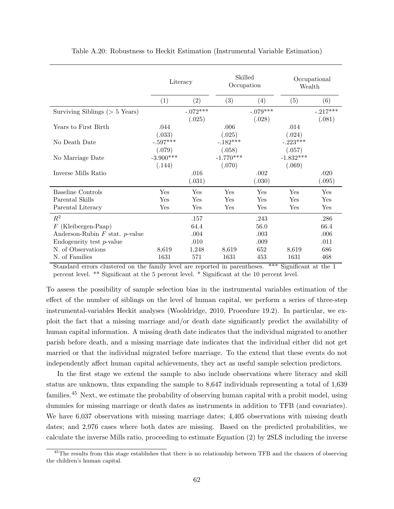<span id="page-63-1"></span><span id="page-63-0"></span>

|                                     | Literacy              |                      | Skilled<br>Occupation |                      | Occupational<br>Wealth |                      |  |
|-------------------------------------|-----------------------|----------------------|-----------------------|----------------------|------------------------|----------------------|--|
|                                     | (1)                   | (2)                  | (3)                   | (4)                  | (5)                    | (6)                  |  |
| Surviving Siblings ( $> 5$ Years)   |                       | $-.072***$<br>(.025) |                       | $-.079***$<br>(.028) |                        | $-.217***$<br>(.081) |  |
| Years to First Birth                | .044<br>(.033)        |                      | .006<br>(.025)        |                      | .014<br>(.024)         |                      |  |
| No Death Date                       | $-.597***$<br>(.079)  |                      | $-.182***$<br>(.058)  |                      | $-.223***$<br>(.057)   |                      |  |
| No Marriage Date                    | $-3.900***$<br>(.144) |                      | $-1.770***$<br>(.070) |                      | $-1.832***$<br>(.069)  |                      |  |
| Inverse Mills Ratio                 |                       | .016<br>(.031)       |                       | .002<br>(.030)       |                        | .020<br>(.095)       |  |
| <b>Baseline Controls</b>            | Yes                   | Yes                  | Yes                   | Yes                  | Yes                    | Yes                  |  |
| Parental Skills                     | Yes                   | Yes                  | Yes                   | Yes                  | Yes                    | Yes                  |  |
| Parental Literacy                   | Yes                   | Yes                  | Yes                   | Yes                  | Yes                    | Yes                  |  |
| $R^2$                               |                       | .157                 |                       | .243                 |                        | .286                 |  |
| $F$ (Kleibergen-Paap)               |                       | 64.4                 |                       | 56.0                 |                        | 66.4                 |  |
| Anderson-Rubin $F$ stat. $p$ -value |                       | .004                 |                       | .003                 |                        | .006                 |  |
| $\mu$ Endogeneity test p-value      |                       | .010                 |                       | .009                 |                        | .011                 |  |
| N. of Observations                  | 8,619                 | 1,248                | 8,619                 | 652                  | 8,619                  | 686                  |  |
| N. of Families                      | 1631                  | 571                  | 1631                  | 453                  | 1631                   | 468                  |  |

Table A.20: Robustness to Heckit Estimation (Instrumental Variable Estimation)

Standard errors clustered on the family level are reported in parentheses. \*\*\* Significant at the 1 percent level. \*\* Significant at the 5 percent level. \* Significant at the 10 percent level.

To assess the possibility of sample selection bias in the instrumental variables estimation of the effect of the number of siblings on the level of human capital, we perform a series of three-step instrumental-variables Heckit analyses [\(Wooldridge, 2010,](#page-43-3) Procedure 19.2). In particular, we exploit the fact that a missing marriage and/or death date significantly predict the availability of human capital information. A missing death date indicates that the individual migrated to another parish before death, and a missing marriage date indicates that the individual either did not get married or that the individual migrated before marriage. To the extend that these events do not independently affect human capital achievements, they act as useful sample selection predictors.

In the first stage we extend the sample to also include observations where literacy and skill status are unknown, thus expanding the sample to 8,647 individuals representing a total of 1,639 families.[45](#page-1-0) Next, we estimate the probability of observing human capital with a probit model, using dummies for missing marriage or death dates as instruments in addition to TFB (and covariates). We have  $6,037$  observations with missing marriage dates; 4,405 observations with missing death dates; and 2,976 cases where both dates are missing. Based on the predicted probabilities, we calculate the inverse Mills ratio, proceeding to estimate Equation [\(2\)](#page-20-0) by 2SLS including the inverse

<sup>&</sup>lt;sup>45</sup>The results from this stage establishes that there is no relationship between TFB and the chances of observing the children's human capital.